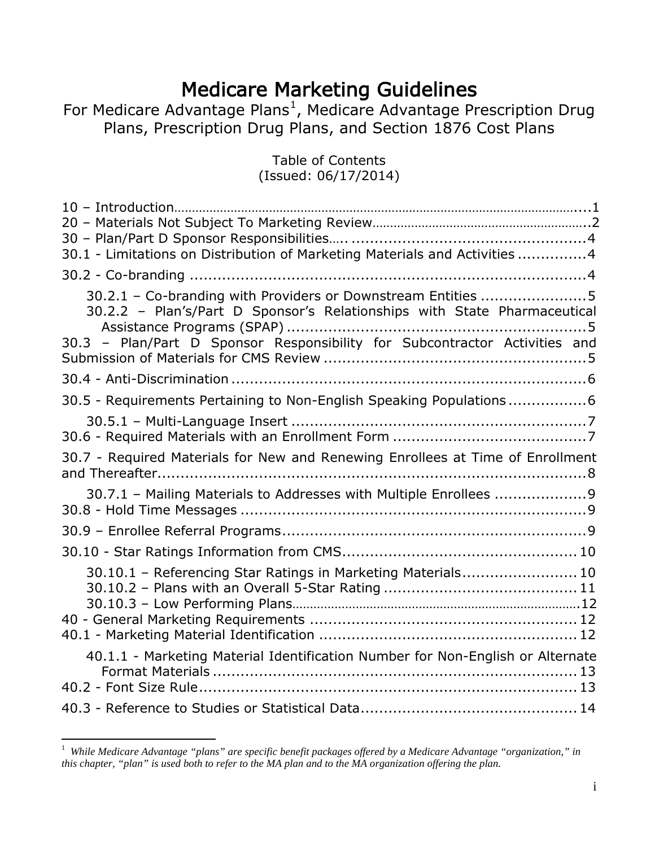**Medicare [Ma](#page-0-0)rketing Guidelines**<br>For Medicare Advantage Plans<sup>[1](#page-0-0)</sup>, Medicare Advantage Prescription Drug Plans, Prescription Drug Plans, and Section 1876 Cost Plans

> Table of Contents (Issued: 06/17/2014)

| 30.1 - Limitations on Distribution of Marketing Materials and Activities 4                                                               |
|------------------------------------------------------------------------------------------------------------------------------------------|
|                                                                                                                                          |
|                                                                                                                                          |
| 30.2.1 - Co-branding with Providers or Downstream Entities 5<br>30.2.2 - Plan's/Part D Sponsor's Relationships with State Pharmaceutical |
| 30.3 - Plan/Part D Sponsor Responsibility for Subcontractor Activities and                                                               |
|                                                                                                                                          |
| 30.5 - Requirements Pertaining to Non-English Speaking Populations6                                                                      |
|                                                                                                                                          |
| 30.7 - Required Materials for New and Renewing Enrollees at Time of Enrollment                                                           |
| 30.7.1 - Mailing Materials to Addresses with Multiple Enrollees 9                                                                        |
|                                                                                                                                          |
|                                                                                                                                          |
| 30.10.1 - Referencing Star Ratings in Marketing Materials 10                                                                             |
|                                                                                                                                          |
|                                                                                                                                          |
|                                                                                                                                          |
| 40.1.1 - Marketing Material Identification Number for Non-English or Alternate                                                           |
|                                                                                                                                          |
|                                                                                                                                          |

<span id="page-0-0"></span> $\frac{1}{1}$  *While Medicare Advantage "plans" are specific benefit packages offered by a Medicare Advantage "organization," in this chapter, "plan" is used both to refer to the MA plan and to the MA organization offering the plan.*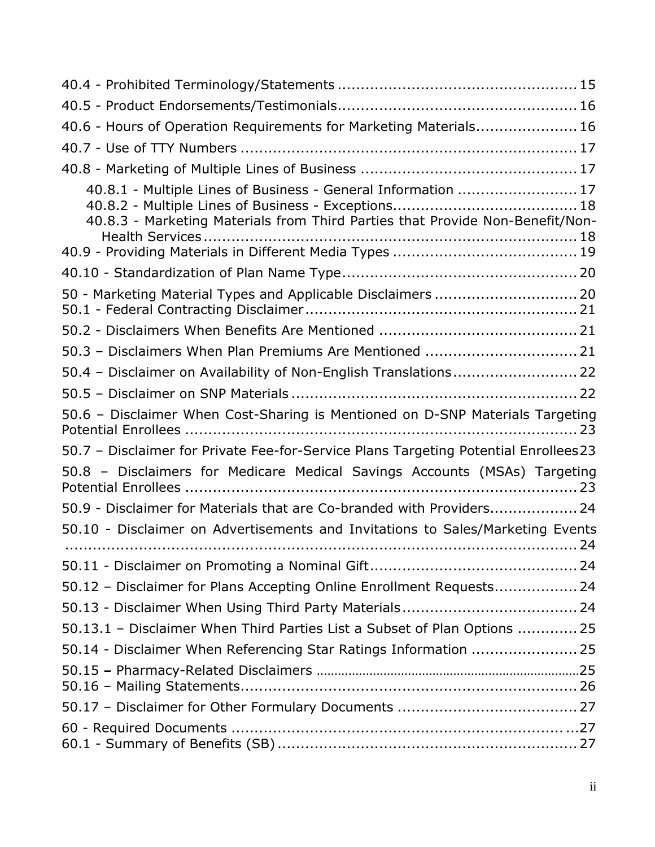| 40.6 - Hours of Operation Requirements for Marketing Materials 16                                                                              |
|------------------------------------------------------------------------------------------------------------------------------------------------|
|                                                                                                                                                |
|                                                                                                                                                |
| 40.8.1 - Multiple Lines of Business - General Information  17<br>40.8.3 - Marketing Materials from Third Parties that Provide Non-Benefit/Non- |
|                                                                                                                                                |
| 50 - Marketing Material Types and Applicable Disclaimers  20                                                                                   |
|                                                                                                                                                |
| 50.3 - Disclaimers When Plan Premiums Are Mentioned  21                                                                                        |
| 50.4 - Disclaimer on Availability of Non-English Translations 22                                                                               |
|                                                                                                                                                |
| 50.6 - Disclaimer When Cost-Sharing is Mentioned on D-SNP Materials Targeting                                                                  |
| 50.7 - Disclaimer for Private Fee-for-Service Plans Targeting Potential Enrollees 23                                                           |
| 50.8 - Disclaimers for Medicare Medical Savings Accounts (MSAs) Targeting                                                                      |
| 50.9 - Disclaimer for Materials that are Co-branded with Providers 24                                                                          |
| 50.10 - Disclaimer on Advertisements and Invitations to Sales/Marketing Events                                                                 |
|                                                                                                                                                |
| 50.12 - Disclaimer for Plans Accepting Online Enrollment Requests 24                                                                           |
|                                                                                                                                                |
| 50.13.1 - Disclaimer When Third Parties List a Subset of Plan Options  25                                                                      |
| 50.14 - Disclaimer When Referencing Star Ratings Information  25                                                                               |
|                                                                                                                                                |
|                                                                                                                                                |
|                                                                                                                                                |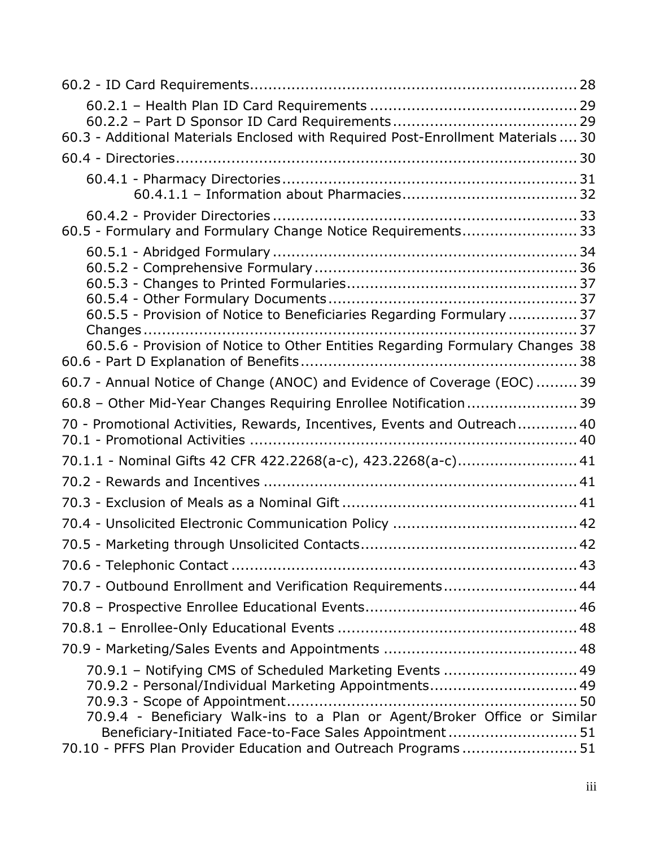| 60.3 - Additional Materials Enclosed with Required Post-Enrollment Materials  30                                                                                                                                                                           |
|------------------------------------------------------------------------------------------------------------------------------------------------------------------------------------------------------------------------------------------------------------|
|                                                                                                                                                                                                                                                            |
|                                                                                                                                                                                                                                                            |
| 60.5 - Formulary and Formulary Change Notice Requirements 33                                                                                                                                                                                               |
| 60.5.5 - Provision of Notice to Beneficiaries Regarding Formulary  37                                                                                                                                                                                      |
| 60.5.6 - Provision of Notice to Other Entities Regarding Formulary Changes 38                                                                                                                                                                              |
| 60.7 - Annual Notice of Change (ANOC) and Evidence of Coverage (EOC)  39                                                                                                                                                                                   |
| 60.8 - Other Mid-Year Changes Requiring Enrollee Notification 39                                                                                                                                                                                           |
| 70 - Promotional Activities, Rewards, Incentives, Events and Outreach 40                                                                                                                                                                                   |
| 70.1.1 - Nominal Gifts 42 CFR 422.2268(a-c), 423.2268(a-c) 41                                                                                                                                                                                              |
|                                                                                                                                                                                                                                                            |
|                                                                                                                                                                                                                                                            |
|                                                                                                                                                                                                                                                            |
|                                                                                                                                                                                                                                                            |
|                                                                                                                                                                                                                                                            |
| 70.7 - Outbound Enrollment and Verification Requirements 44                                                                                                                                                                                                |
|                                                                                                                                                                                                                                                            |
|                                                                                                                                                                                                                                                            |
|                                                                                                                                                                                                                                                            |
| 70.9.1 - Notifying CMS of Scheduled Marketing Events  49<br>70.9.2 - Personal/Individual Marketing Appointments 49<br>70.9.4 - Beneficiary Walk-ins to a Plan or Agent/Broker Office or Similar<br>Beneficiary-Initiated Face-to-Face Sales Appointment 51 |
| 70.10 - PFFS Plan Provider Education and Outreach Programs51                                                                                                                                                                                               |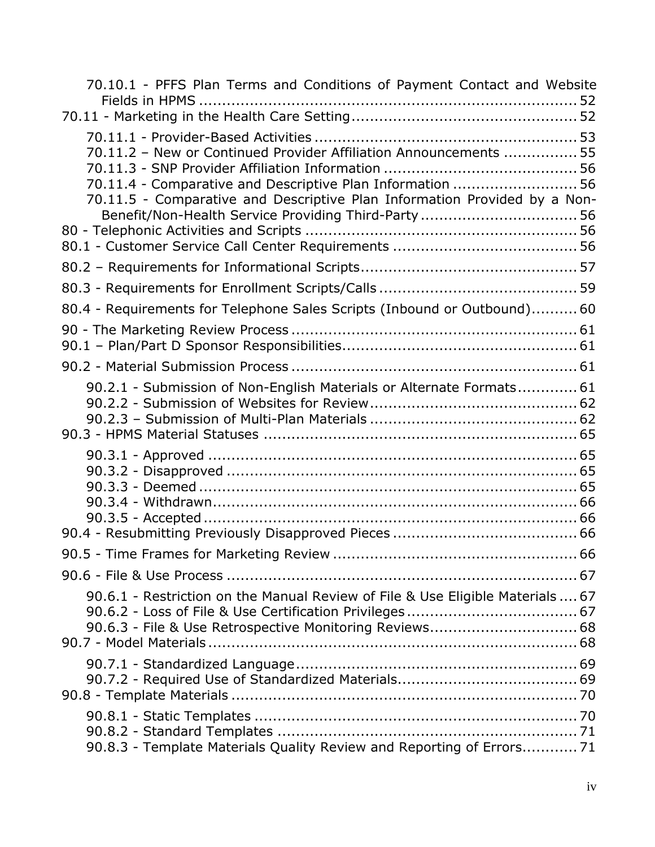| 70.10.1 - PFFS Plan Terms and Conditions of Payment Contact and Website                                                                                                                                      |
|--------------------------------------------------------------------------------------------------------------------------------------------------------------------------------------------------------------|
|                                                                                                                                                                                                              |
| 70.11.2 - New or Continued Provider Affiliation Announcements  55<br>70.11.4 - Comparative and Descriptive Plan Information  56<br>70.11.5 - Comparative and Descriptive Plan Information Provided by a Non- |
|                                                                                                                                                                                                              |
|                                                                                                                                                                                                              |
|                                                                                                                                                                                                              |
|                                                                                                                                                                                                              |
| 80.4 - Requirements for Telephone Sales Scripts (Inbound or Outbound) 60                                                                                                                                     |
|                                                                                                                                                                                                              |
|                                                                                                                                                                                                              |
|                                                                                                                                                                                                              |
| 90.2.1 - Submission of Non-English Materials or Alternate Formats 61                                                                                                                                         |
|                                                                                                                                                                                                              |
|                                                                                                                                                                                                              |
|                                                                                                                                                                                                              |
| 90.6.1 - Restriction on the Manual Review of File & Use Eligible Materials  67                                                                                                                               |
|                                                                                                                                                                                                              |
| 90.8.3 - Template Materials Quality Review and Reporting of Errors71                                                                                                                                         |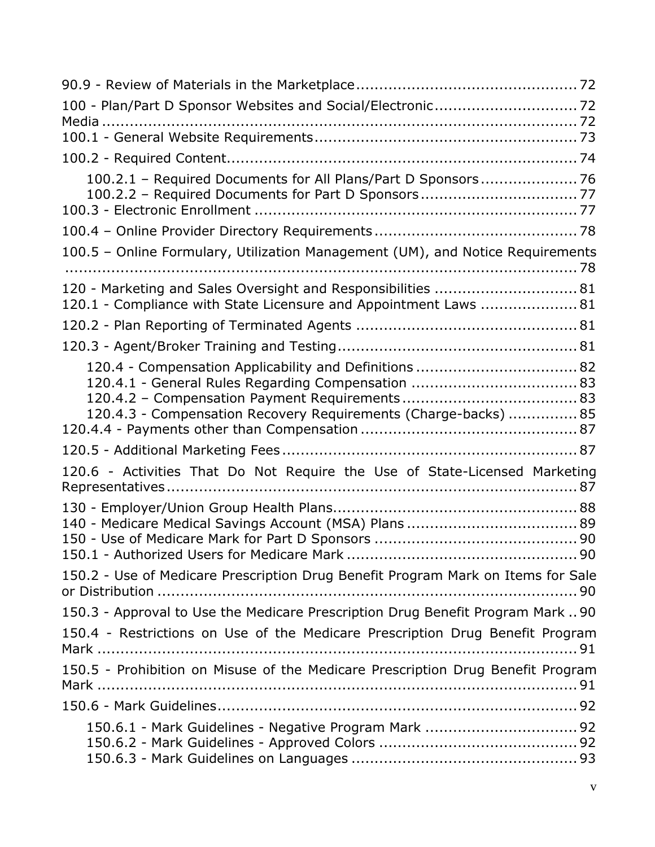| 100.2.1 - Required Documents for All Plans/Part D Sponsors 76<br>100.2.2 - Required Documents for Part D Sponsors 77             |
|----------------------------------------------------------------------------------------------------------------------------------|
|                                                                                                                                  |
| 100.5 - Online Formulary, Utilization Management (UM), and Notice Requirements                                                   |
|                                                                                                                                  |
| 120 - Marketing and Sales Oversight and Responsibilities  81<br>120.1 - Compliance with State Licensure and Appointment Laws  81 |
|                                                                                                                                  |
|                                                                                                                                  |
| 120.4 - Compensation Applicability and Definitions  82<br>120.4.3 - Compensation Recovery Requirements (Charge-backs)  85        |
|                                                                                                                                  |
| 120.6 - Activities That Do Not Require the Use of State-Licensed Marketing                                                       |
|                                                                                                                                  |
| 150.2 - Use of Medicare Prescription Drug Benefit Program Mark on Items for Sale                                                 |
| 150.3 - Approval to Use the Medicare Prescription Drug Benefit Program Mark  90                                                  |
| 150.4 - Restrictions on Use of the Medicare Prescription Drug Benefit Program                                                    |
| 150.5 - Prohibition on Misuse of the Medicare Prescription Drug Benefit Program                                                  |
|                                                                                                                                  |
|                                                                                                                                  |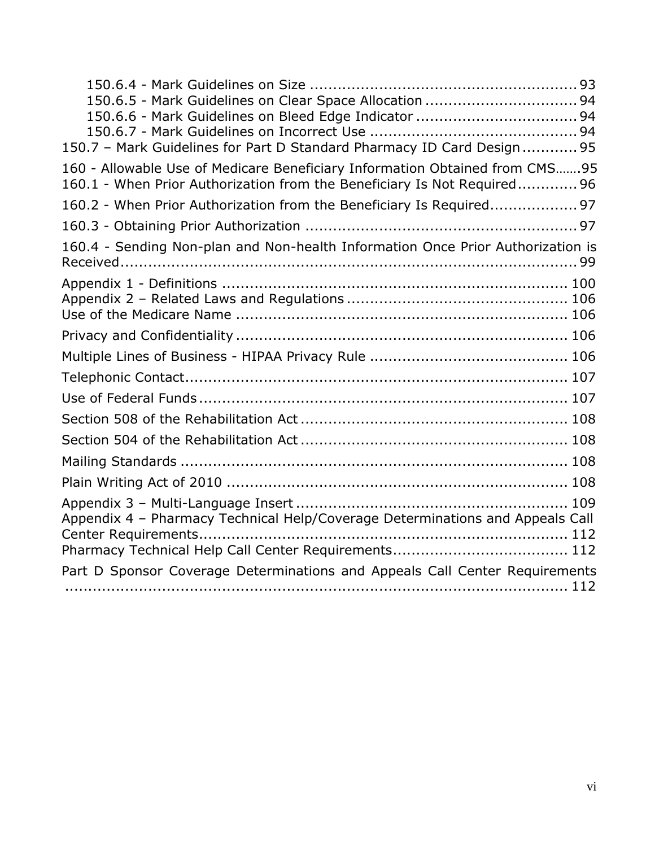| 150.7 - Mark Guidelines for Part D Standard Pharmacy ID Card Design 95                                                                                  |
|---------------------------------------------------------------------------------------------------------------------------------------------------------|
| 160 - Allowable Use of Medicare Beneficiary Information Obtained from CMS95<br>160.1 - When Prior Authorization from the Beneficiary Is Not Required 96 |
| 160.2 - When Prior Authorization from the Beneficiary Is Required 97                                                                                    |
|                                                                                                                                                         |
| 160.4 - Sending Non-plan and Non-health Information Once Prior Authorization is                                                                         |
|                                                                                                                                                         |
|                                                                                                                                                         |
|                                                                                                                                                         |
|                                                                                                                                                         |
|                                                                                                                                                         |
|                                                                                                                                                         |
|                                                                                                                                                         |
|                                                                                                                                                         |
|                                                                                                                                                         |
| Appendix 4 - Pharmacy Technical Help/Coverage Determinations and Appeals Call                                                                           |
| Part D Sponsor Coverage Determinations and Appeals Call Center Requirements                                                                             |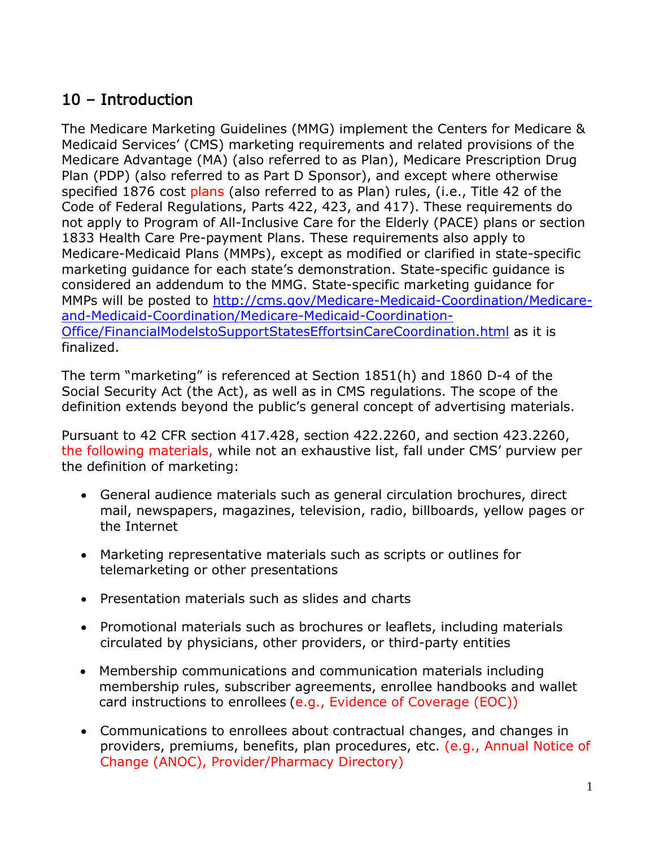# <span id="page-6-0"></span>10 – Introduction

The Medicare Marketing Guidelines (MMG) implement the Centers for Medicare & Medicaid Services' (CMS) marketing requirements and related provisions of the Medicare Advantage (MA) (also referred to as Plan), Medicare Prescription Drug Plan (PDP) (also referred to as Part D Sponsor), and except where otherwise specified 1876 cost plans (also referred to as Plan) rules, (i.e., Title 42 of the Code of Federal Regulations, Parts 422, 423, and 417). These requirements do not apply to Program of All-Inclusive Care for the Elderly (PACE) plans or section 1833 Health Care Pre-payment Plans. These requirements also apply to Medicare-Medicaid Plans (MMPs), except as modified or clarified in state-specific marketing guidance for each state's demonstration. State-specific guidance is considered an addendum to the MMG. State-specific marketing guidance for MMPs will be posted to [http://cms.gov/Medicare-Medicaid-Coordination/Medicare](http://cms.gov/Medicare-Medicaid-Coordination/Medicare-and-Medicaid-Coordination/Medicare-Medicaid-Coordination-Office/FinancialModelstoSupportStatesEffortsinCareCoordination.html)[and-Medicaid-Coordination/Medicare-Medicaid-Coordination-](http://cms.gov/Medicare-Medicaid-Coordination/Medicare-and-Medicaid-Coordination/Medicare-Medicaid-Coordination-Office/FinancialModelstoSupportStatesEffortsinCareCoordination.html)[Office/FinancialModelstoSupportStatesEffortsinCareCoordination.html](http://cms.gov/Medicare-Medicaid-Coordination/Medicare-and-Medicaid-Coordination/Medicare-Medicaid-Coordination-Office/FinancialModelstoSupportStatesEffortsinCareCoordination.html) as it is finalized.

The term "marketing" is referenced at Section 1851(h) and 1860 D-4 of the Social Security Act (the Act), as well as in CMS regulations. The scope of the definition extends beyond the public's general concept of advertising materials.

Pursuant to 42 CFR section 417.428, section 422.2260, and section 423.2260, the following materials, while not an exhaustive list, fall under CMS' purview per the definition of marketing:

- General audience materials such as general circulation brochures, direct mail, newspapers, magazines, television, radio, billboards, yellow pages or the Internet
- Marketing representative materials such as scripts or outlines for telemarketing or other presentations
- Presentation materials such as slides and charts
- Promotional materials such as brochures or leaflets, including materials circulated by physicians, other providers, or third-party entities
- Membership communications and communication materials including membership rules, subscriber agreements, enrollee handbooks and wallet card instructions to enrollees (e.g., Evidence of Coverage (EOC))
- Communications to enrollees about contractual changes, and changes in providers, premiums, benefits, plan procedures, etc. (e.g., Annual Notice of Change (ANOC), Provider/Pharmacy Directory)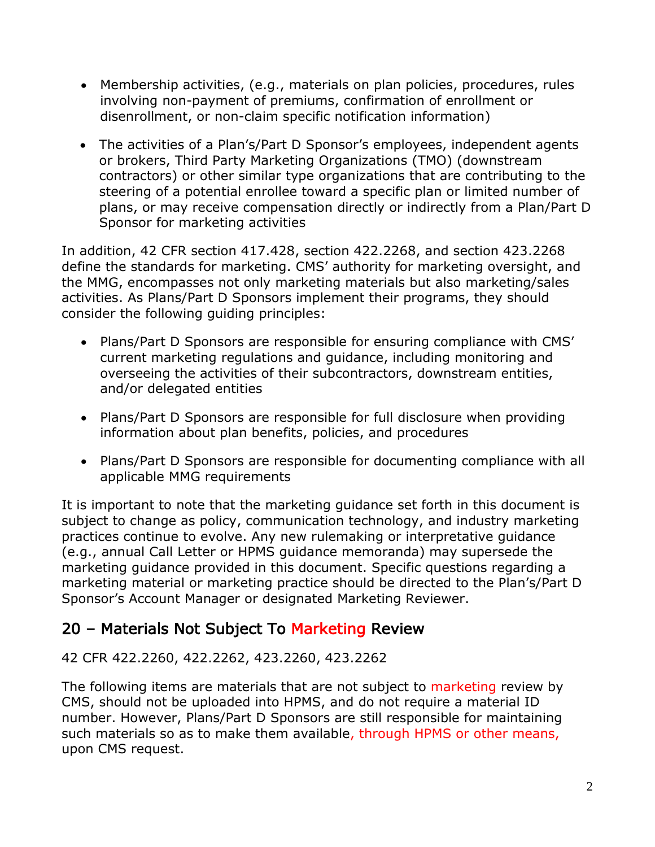- Membership activities, (e.g., materials on plan policies, procedures, rules involving non-payment of premiums, confirmation of enrollment or disenrollment, or non-claim specific notification information)
- The activities of a Plan's/Part D Sponsor's employees, independent agents or brokers, Third Party Marketing Organizations (TMO) (downstream contractors) or other similar type organizations that are contributing to the steering of a potential enrollee toward a specific plan or limited number of plans, or may receive compensation directly or indirectly from a Plan/Part D Sponsor for marketing activities

In addition, 42 CFR section 417.428, section 422.2268, and section 423.2268 define the standards for marketing. CMS' authority for marketing oversight, and the MMG, encompasses not only marketing materials but also marketing/sales activities. As Plans/Part D Sponsors implement their programs, they should consider the following guiding principles:

- Plans/Part D Sponsors are responsible for ensuring compliance with CMS' current marketing regulations and guidance, including monitoring and overseeing the activities of their subcontractors, downstream entities, and/or delegated entities
- Plans/Part D Sponsors are responsible for full disclosure when providing information about plan benefits, policies, and procedures
- Plans/Part D Sponsors are responsible for documenting compliance with all applicable MMG requirements

It is important to note that the marketing guidance set forth in this document is subject to change as policy, communication technology, and industry marketing practices continue to evolve. Any new rulemaking or interpretative guidance (e.g., annual Call Letter or HPMS guidance memoranda) may supersede the marketing guidance provided in this document. Specific questions regarding a marketing material or marketing practice should be directed to the Plan's/Part D Sponsor's Account Manager or designated Marketing Reviewer.

# <span id="page-7-0"></span>20 – Materials Not Subject To Marketing Review

42 CFR 422.2260, 422.2262, 423.2260, 423.2262

The following items are materials that are not subject to marketing review by CMS, should not be uploaded into HPMS, and do not require a material ID number. However, Plans/Part D Sponsors are still responsible for maintaining such materials so as to make them available, through HPMS or other means, upon CMS request.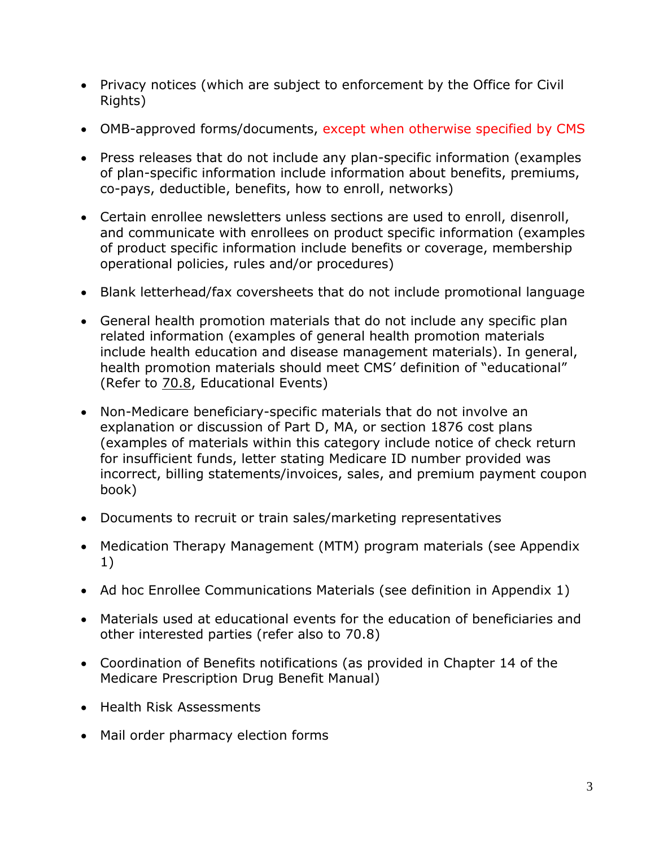- Privacy notices (which are subject to enforcement by the Office for Civil Rights)
- OMB-approved forms/documents, except when otherwise specified by CMS
- Press releases that do not include any plan-specific information (examples of plan-specific information include information about benefits, premiums, co-pays, deductible, benefits, how to enroll, networks)
- Certain enrollee newsletters unless sections are used to enroll, disenroll, and communicate with enrollees on product specific information (examples of product specific information include benefits or coverage, membership operational policies, rules and/or procedures)
- Blank letterhead/fax coversheets that do not include promotional language
- General health promotion materials that do not include any specific plan related information (examples of general health promotion materials include health education and disease management materials). In general, health promotion materials should meet CMS' definition of "educational" (Refer to 70.8, Educational Events)
- Non-Medicare beneficiary-specific materials that do not involve an explanation or discussion of Part D, MA, or section 1876 cost plans (examples of materials within this category include notice of check return for insufficient funds, letter stating Medicare ID number provided was incorrect, billing statements/invoices, sales, and premium payment coupon book)
- Documents to recruit or train sales/marketing representatives
- Medication Therapy Management (MTM) program materials (see Appendix 1)
- Ad hoc Enrollee Communications Materials (see definition in Appendix 1)
- Materials used at educational events for the education of beneficiaries and other interested parties (refer also to 70.8)
- Coordination of Benefits notifications (as provided in Chapter 14 of the Medicare Prescription Drug Benefit Manual)
- Health Risk Assessments
- Mail order pharmacy election forms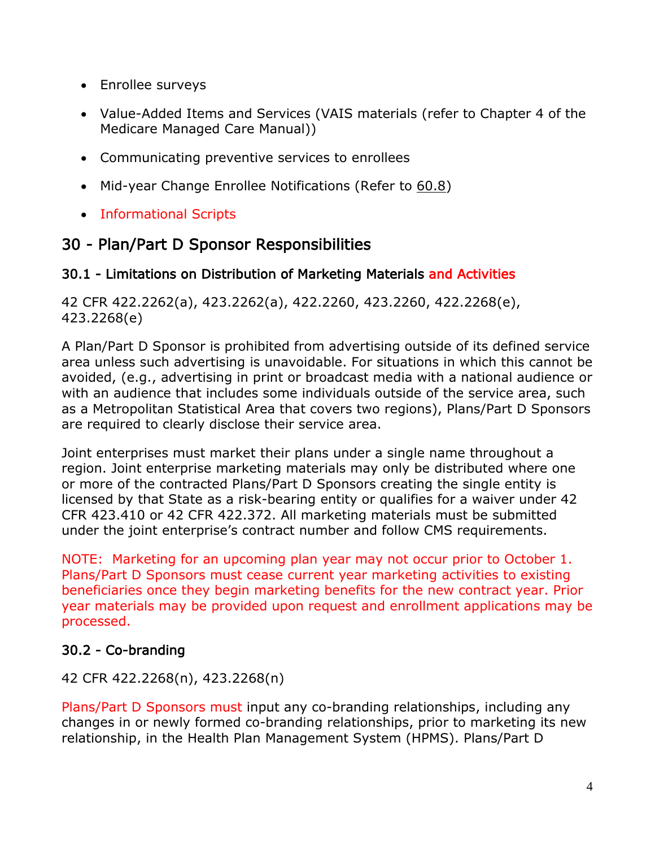- Enrollee surveys
- Value-Added Items and Services (VAIS materials (refer to Chapter 4 of the Medicare Managed Care Manual))
- Communicating preventive services to enrollees
- Mid-year Change Enrollee Notifications (Refer to 60.8)
- Informational Scripts

# <span id="page-9-0"></span>30 - Plan/Part D Sponsor Responsibilities

### <span id="page-9-1"></span>30.1 - Limitations on Distribution of Marketing Materials and Activities

42 CFR 422.2262(a), 423.2262(a), 422.2260, 423.2260, 422.2268(e), 423.2268(e)

A Plan/Part D Sponsor is prohibited from advertising outside of its defined service area unless such advertising is unavoidable. For situations in which this cannot be avoided, (e.g., advertising in print or broadcast media with a national audience or with an audience that includes some individuals outside of the service area, such as a Metropolitan Statistical Area that covers two regions), Plans/Part D Sponsors are required to clearly disclose their service area.

Joint enterprises must market their plans under a single name throughout a region. Joint enterprise marketing materials may only be distributed where one or more of the contracted Plans/Part D Sponsors creating the single entity is licensed by that State as a risk-bearing entity or qualifies for a waiver under 42 CFR 423.410 or 42 CFR 422.372. All marketing materials must be submitted under the joint enterprise's contract number and follow CMS requirements.

NOTE: Marketing for an upcoming plan year may not occur prior to October 1. Plans/Part D Sponsors must cease current year marketing activities to existing beneficiaries once they begin marketing benefits for the new contract year. Prior year materials may be provided upon request and enrollment applications may be processed.

# <span id="page-9-2"></span>30.2 - Co-branding

# 42 CFR 422.2268(n), 423.2268(n)

Plans/Part D Sponsors must input any co-branding relationships, including any changes in or newly formed co-branding relationships, prior to marketing its new relationship, in the Health Plan Management System (HPMS). Plans/Part D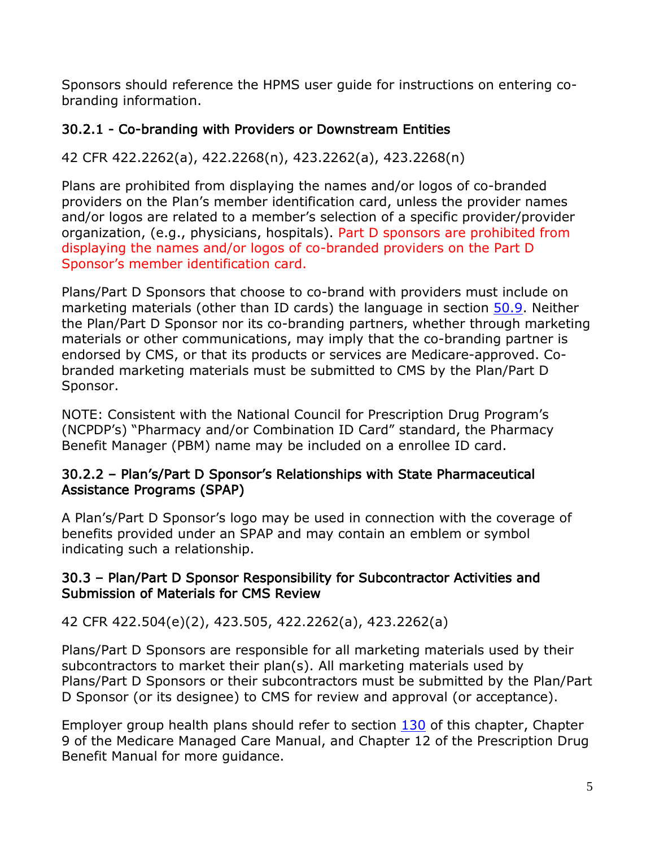Sponsors should reference the HPMS user guide for instructions on entering cobranding information.

# <span id="page-10-0"></span>30.2.1 - Co-branding with Providers or Downstream Entities

# 42 CFR 422.2262(a), 422.2268(n), 423.2262(a), 423.2268(n)

Plans are prohibited from displaying the names and/or logos of co-branded providers on the Plan's member identification card, unless the provider names and/or logos are related to a member's selection of a specific provider/provider organization, (e.g., physicians, hospitals). Part D sponsors are prohibited from displaying the names and/or logos of co-branded providers on the Part D Sponsor's member identification card.

Plans/Part D Sponsors that choose to co-brand with providers must include on marketing materials (other than ID cards) the language in section 50.9. Neither the Plan/Part D Sponsor nor its co-branding partners, whether through marketing materials or other communications, may imply that the co-branding partner is endorsed by CMS, or that its products or services are Medicare-approved. Cobranded marketing materials must be submitted to CMS by the Plan/Part D Sponsor.

NOTE: Consistent with the National Council for Prescription Drug Program's (NCPDP's) "Pharmacy and/or Combination ID Card" standard, the Pharmacy Benefit Manager (PBM) name may be included on a enrollee ID card.

#### <span id="page-10-1"></span>30.2.2 – Plan's/Part D Sponsor's Relationships with State Pharmaceutical Assistance Programs (SPAP)

A Plan's/Part D Sponsor's logo may be used in connection with the coverage of benefits provided under an SPAP and may contain an emblem or symbol indicating such a relationship.

### <span id="page-10-2"></span>30.3 – Plan/Part D Sponsor Responsibility for Subcontractor Activities and Submission of Materials for CMS Review

# 42 CFR 422.504(e)(2), 423.505, 422.2262(a), 423.2262(a)

Plans/Part D Sponsors are responsible for all marketing materials used by their subcontractors to market their plan(s). All marketing materials used by Plans/Part D Sponsors or their subcontractors must be submitted by the Plan/Part D Sponsor (or its designee) to CMS for review and approval (or acceptance).

Employer group health plans should refer to section 130 of this chapter, Chapter 9 of the Medicare Managed Care Manual, and Chapter 12 of the Prescription Drug Benefit Manual for more guidance.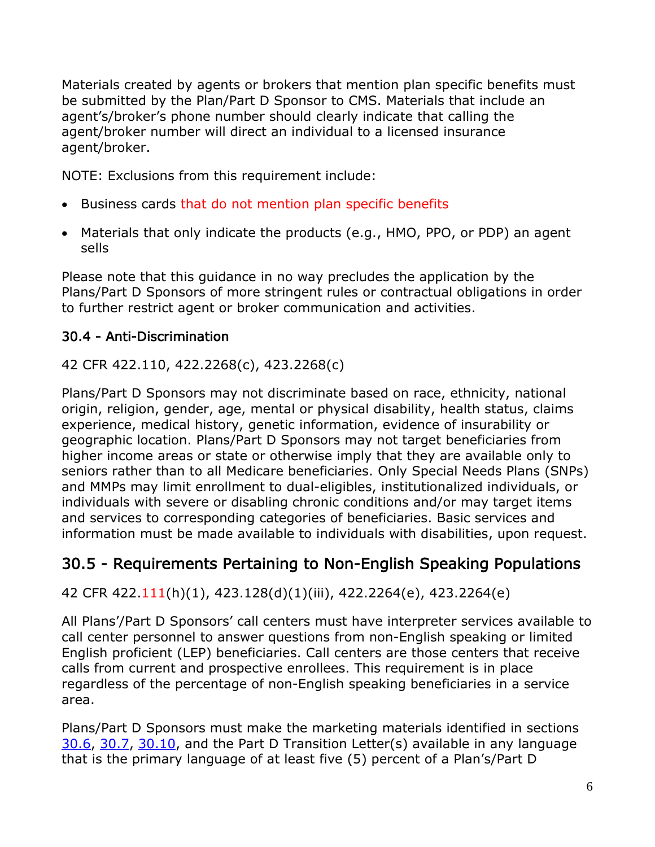Materials created by agents or brokers that mention plan specific benefits must be submitted by the Plan/Part D Sponsor to CMS. Materials that include an agent's/broker's phone number should clearly indicate that calling the agent/broker number will direct an individual to a licensed insurance agent/broker.

NOTE: Exclusions from this requirement include:

- Business cards that do not mention plan specific benefits
- Materials that only indicate the products (e.g., HMO, PPO, or PDP) an agent sells

Please note that this guidance in no way precludes the application by the Plans/Part D Sponsors of more stringent rules or contractual obligations in order to further restrict agent or broker communication and activities.

# <span id="page-11-0"></span>30.4 - Anti-Discrimination

42 CFR 422.110, 422.2268(c), 423.2268(c)

Plans/Part D Sponsors may not discriminate based on race, ethnicity, national origin, religion, gender, age, mental or physical disability, health status, claims experience, medical history, genetic information, evidence of insurability or geographic location. Plans/Part D Sponsors may not target beneficiaries from higher income areas or state or otherwise imply that they are available only to seniors rather than to all Medicare beneficiaries. Only Special Needs Plans (SNPs) and MMPs may limit enrollment to dual-eligibles, institutionalized individuals, or individuals with severe or disabling chronic conditions and/or may target items and services to corresponding categories of beneficiaries. Basic services and information must be made available to individuals with disabilities, upon request.

# <span id="page-11-1"></span>30.5 - Requirements Pertaining to Non-English Speaking Populations

42 CFR 422.111(h)(1), 423.128(d)(1)(iii), 422.2264(e), 423.2264(e)

All Plans'/Part D Sponsors' call centers must have interpreter services available to call center personnel to answer questions from non-English speaking or limited English proficient (LEP) beneficiaries. Call centers are those centers that receive calls from current and prospective enrollees. This requirement is in place regardless of the percentage of non-English speaking beneficiaries in a service area.

Plans/Part D Sponsors must make the marketing materials identified in sections 30.6, 30.7, 30.10, and the Part D Transition Letter(s) available in any language that is the primary language of at least five (5) percent of a Plan's/Part D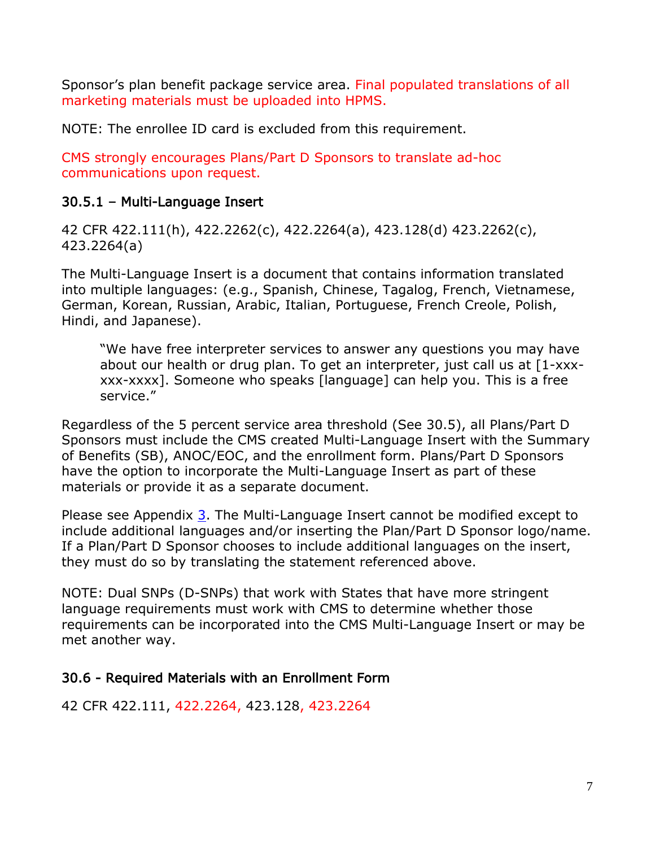Sponsor's plan benefit package service area. Final populated translations of all marketing materials must be uploaded into HPMS.

NOTE: The enrollee ID card is excluded from this requirement.

CMS strongly encourages Plans/Part D Sponsors to translate ad-hoc communications upon request.

### <span id="page-12-0"></span>30.5.1 – Multi-Language Insert

42 CFR 422.111(h), 422.2262(c), 422.2264(a), 423.128(d) 423.2262(c), 423.2264(a)

The Multi-Language Insert is a document that contains information translated into multiple languages: (e.g., Spanish, Chinese, Tagalog, French, Vietnamese, German, Korean, Russian, Arabic, Italian, Portuguese, French Creole, Polish, Hindi, and Japanese).

"We have free interpreter services to answer any questions you may have about our health or drug plan. To get an interpreter, just call us at [1-xxxxxx-xxxx]. Someone who speaks [language] can help you. This is a free service."

Regardless of the 5 percent service area threshold (See 30.5), all Plans/Part D Sponsors must include the CMS created Multi-Language Insert with the Summary of Benefits (SB), ANOC/EOC, and the enrollment form. Plans/Part D Sponsors have the option to incorporate the Multi-Language Insert as part of these materials or provide it as a separate document.

Please see Appendix 3. The Multi-Language Insert cannot be modified except to include additional languages and/or inserting the Plan/Part D Sponsor logo/name. If a Plan/Part D Sponsor chooses to include additional languages on the insert, they must do so by translating the statement referenced above.

NOTE: Dual SNPs (D-SNPs) that work with States that have more stringent language requirements must work with CMS to determine whether those requirements can be incorporated into the CMS Multi-Language Insert or may be met another way.

#### <span id="page-12-1"></span>30.6 - Required Materials with an Enrollment Form

42 CFR 422.111, 422.2264, 423.128, 423.2264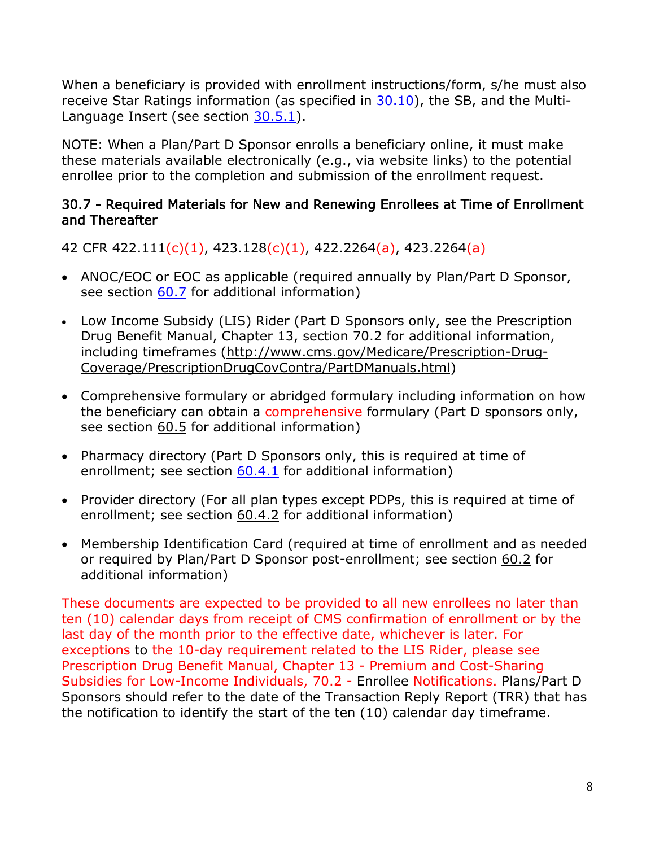When a beneficiary is provided with enrollment instructions/form, s/he must also receive Star Ratings information (as specified in 30.10), the SB, and the Multi-Language Insert (see section 30.5.1).

NOTE: When a Plan/Part D Sponsor enrolls a beneficiary online, it must make these materials available electronically (e.g., via website links) to the potential enrollee prior to the completion and submission of the enrollment request.

#### <span id="page-13-0"></span>30.7 - Required Materials for New and Renewing Enrollees at Time of Enrollment and Thereafter

42 CFR 422.111(c)(1), 423.128(c)(1), 422.2264(a), 423.2264(a)

- ANOC/EOC or EOC as applicable (required annually by Plan/Part D Sponsor, see section 60.7 for additional information)
- Low Income Subsidy (LIS) Rider (Part D Sponsors only, see the Prescription Drug Benefit Manual, Chapter 13, section 70.2 for additional information, including timeframes [\(http://www.cms.gov/Medicare/Prescription-Drug-](http://www.cms.gov/Medicare/Prescription-Drug-Coverage/PrescriptionDrugCovContra/PartDManuals.html)[Coverage/PrescriptionDrugCovContra/PartDManuals.html\)](http://www.cms.gov/Medicare/Prescription-Drug-Coverage/PrescriptionDrugCovContra/PartDManuals.html)
- Comprehensive formulary or abridged formulary including information on how the beneficiary can obtain a comprehensive formulary (Part D sponsors only, see section 60.5 for additional information)
- Pharmacy directory (Part D Sponsors only, this is required at time of enrollment; see section 60.4.1 for additional information)
- Provider directory (For all plan types except PDPs, this is required at time of enrollment; see section 60.4.2 for additional information)
- Membership Identification Card (required at time of enrollment and as needed or required by Plan/Part D Sponsor post-enrollment; see section 60.2 for additional information)

These documents are expected to be provided to all new enrollees no later than ten (10) calendar days from receipt of CMS confirmation of enrollment or by the last day of the month prior to the effective date, whichever is later. For exceptions to the 10-day requirement related to the LIS Rider, please see Prescription Drug Benefit Manual, Chapter 13 - Premium and Cost-Sharing Subsidies for Low-Income Individuals, 70.2 - Enrollee Notifications. Plans/Part D Sponsors should refer to the date of the Transaction Reply Report (TRR) that has the notification to identify the start of the ten (10) calendar day timeframe.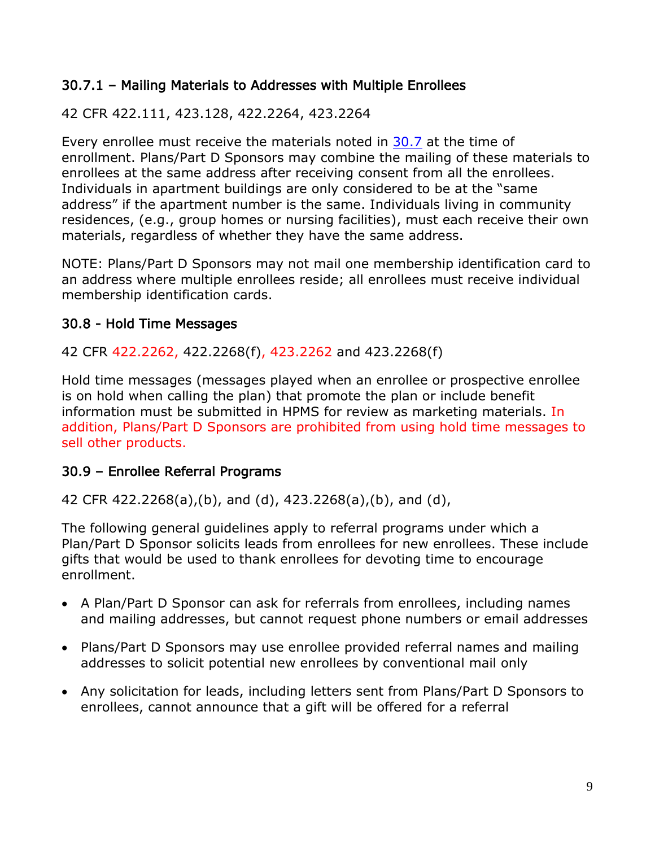### <span id="page-14-0"></span>30.7.1 – Mailing Materials to Addresses with Multiple Enrollees

### 42 CFR 422.111, 423.128, 422.2264, 423.2264

Every enrollee must receive the materials noted in 30.7 at the time of enrollment. Plans/Part D Sponsors may combine the mailing of these materials to enrollees at the same address after receiving consent from all the enrollees. Individuals in apartment buildings are only considered to be at the "same address" if the apartment number is the same. Individuals living in community residences, (e.g., group homes or nursing facilities), must each receive their own materials, regardless of whether they have the same address.

NOTE: Plans/Part D Sponsors may not mail one membership identification card to an address where multiple enrollees reside; all enrollees must receive individual membership identification cards.

### <span id="page-14-1"></span>30.8 - Hold Time Messages

#### 42 CFR 422.2262, 422.2268(f), 423.2262 and 423.2268(f)

Hold time messages (messages played when an enrollee or prospective enrollee is on hold when calling the plan) that promote the plan or include benefit information must be submitted in HPMS for review as marketing materials. In addition, Plans/Part D Sponsors are prohibited from using hold time messages to sell other products.

#### <span id="page-14-2"></span>30.9 – Enrollee Referral Programs

42 CFR 422.2268(a),(b), and (d), 423.2268(a),(b), and (d),

The following general guidelines apply to referral programs under which a Plan/Part D Sponsor solicits leads from enrollees for new enrollees. These include gifts that would be used to thank enrollees for devoting time to encourage enrollment.

- A Plan/Part D Sponsor can ask for referrals from enrollees, including names and mailing addresses, but cannot request phone numbers or email addresses
- Plans/Part D Sponsors may use enrollee provided referral names and mailing addresses to solicit potential new enrollees by conventional mail only
- Any solicitation for leads, including letters sent from Plans/Part D Sponsors to enrollees, cannot announce that a gift will be offered for a referral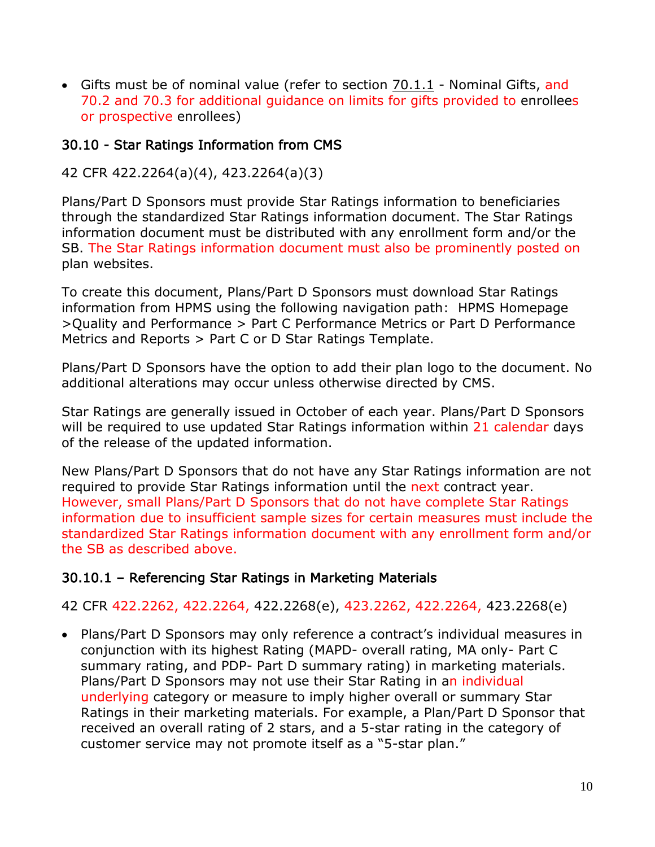• Gifts must be of nominal value (refer to section 70.1.1 - Nominal Gifts, and 70.2 and 70.3 for additional guidance on limits for gifts provided to enrollees or prospective enrollees)

#### <span id="page-15-0"></span>30.10 - Star Ratings Information from CMS

#### 42 CFR 422.2264(a)(4), 423.2264(a)(3)

Plans/Part D Sponsors must provide Star Ratings information to beneficiaries through the standardized Star Ratings information document. The Star Ratings information document must be distributed with any enrollment form and/or the SB. The Star Ratings information document must also be prominently posted on plan websites.

To create this document, Plans/Part D Sponsors must download Star Ratings information from HPMS using the following navigation path: HPMS Homepage >Quality and Performance > Part C Performance Metrics or Part D Performance Metrics and Reports > Part C or D Star Ratings Template.

Plans/Part D Sponsors have the option to add their plan logo to the document. No additional alterations may occur unless otherwise directed by CMS.

Star Ratings are generally issued in October of each year. Plans/Part D Sponsors will be required to use updated Star Ratings information within 21 calendar days of the release of the updated information.

New Plans/Part D Sponsors that do not have any Star Ratings information are not required to provide Star Ratings information until the next contract year. However, small Plans/Part D Sponsors that do not have complete Star Ratings information due to insufficient sample sizes for certain measures must include the standardized Star Ratings information document with any enrollment form and/or the SB as described above.

#### <span id="page-15-1"></span>30.10.1 – Referencing Star Ratings in Marketing Materials

42 CFR 422.2262, 422.2264, 422.2268(e), 423.2262, 422.2264, 423.2268(e)

• Plans/Part D Sponsors may only reference a contract's individual measures in conjunction with its highest Rating (MAPD- overall rating, MA only- Part C summary rating, and PDP- Part D summary rating) in marketing materials. Plans/Part D Sponsors may not use their Star Rating in an individual underlying category or measure to imply higher overall or summary Star Ratings in their marketing materials. For example, a Plan/Part D Sponsor that received an overall rating of 2 stars, and a 5-star rating in the category of customer service may not promote itself as a "5-star plan."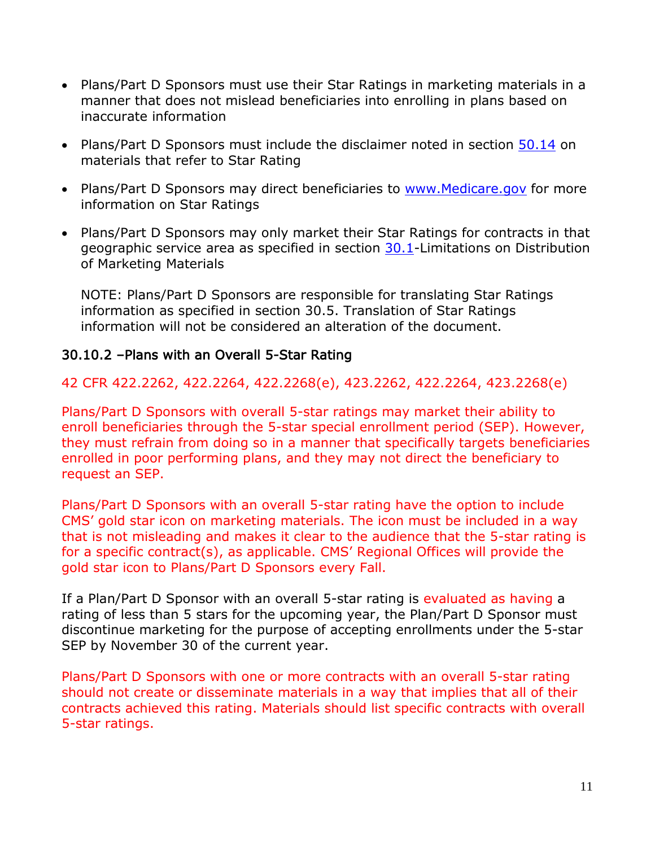- Plans/Part D Sponsors must use their Star Ratings in marketing materials in a manner that does not mislead beneficiaries into enrolling in plans based on inaccurate information
- Plans/Part D Sponsors must include the disclaimer noted in section 50.14 on materials that refer to Star Rating
- Plans/Part D Sponsors may direct beneficiaries to [www.Medicare.gov](http://www.medicare.gov/) for more information on Star Ratings
- Plans/Part D Sponsors may only market their Star Ratings for contracts in that geographic service area as specified in section 30.1-Limitations on Distribution of Marketing Materials

NOTE: Plans/Part D Sponsors are responsible for translating Star Ratings information as specified in section 30.5. Translation of Star Ratings information will not be considered an alteration of the document.

#### <span id="page-16-0"></span>30.10.2 –Plans with an Overall 5-Star Rating

#### 42 CFR 422.2262, 422.2264, 422.2268(e), 423.2262, 422.2264, 423.2268(e)

Plans/Part D Sponsors with overall 5-star ratings may market their ability to enroll beneficiaries through the 5-star special enrollment period (SEP). However, they must refrain from doing so in a manner that specifically targets beneficiaries enrolled in poor performing plans, and they may not direct the beneficiary to request an SEP.

Plans/Part D Sponsors with an overall 5-star rating have the option to include CMS' gold star icon on marketing materials. The icon must be included in a way that is not misleading and makes it clear to the audience that the 5-star rating is for a specific contract(s), as applicable. CMS' Regional Offices will provide the gold star icon to Plans/Part D Sponsors every Fall.

If a Plan/Part D Sponsor with an overall 5-star rating is evaluated as having a rating of less than 5 stars for the upcoming year, the Plan/Part D Sponsor must discontinue marketing for the purpose of accepting enrollments under the 5-star SEP by November 30 of the current year.

Plans/Part D Sponsors with one or more contracts with an overall 5-star rating should not create or disseminate materials in a way that implies that all of their contracts achieved this rating. Materials should list specific contracts with overall 5-star ratings.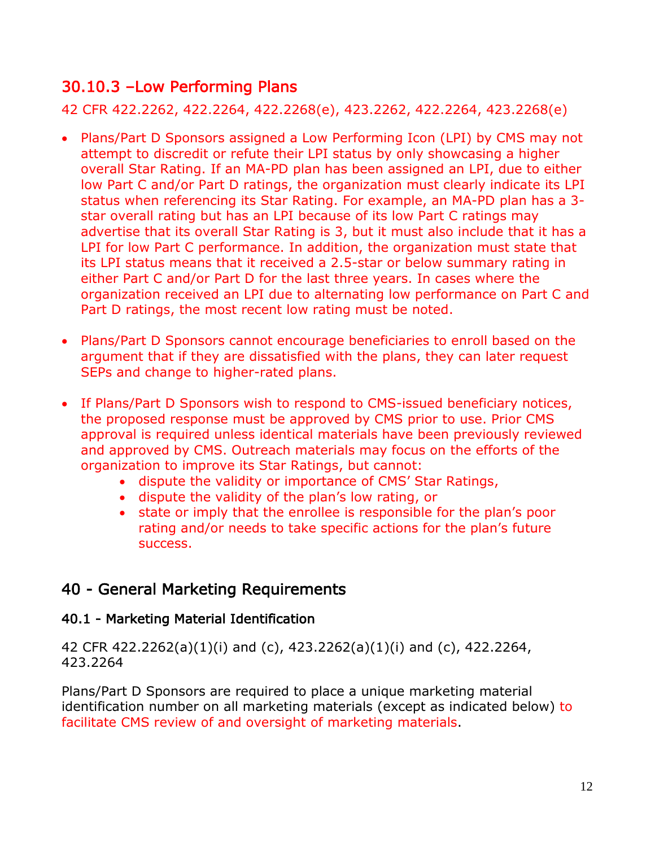# 30.10.3 –Low Performing Plans

42 CFR 422.2262, 422.2264, 422.2268(e), 423.2262, 422.2264, 423.2268(e)

- Plans/Part D Sponsors assigned a Low Performing Icon (LPI) by CMS may not attempt to discredit or refute their LPI status by only showcasing a higher overall Star Rating. If an MA-PD plan has been assigned an LPI, due to either low Part C and/or Part D ratings, the organization must clearly indicate its LPI status when referencing its Star Rating. For example, an MA-PD plan has a 3 star overall rating but has an LPI because of its low Part C ratings may advertise that its overall Star Rating is 3, but it must also include that it has a LPI for low Part C performance. In addition, the organization must state that its LPI status means that it received a 2.5-star or below summary rating in either Part C and/or Part D for the last three years. In cases where the organization received an LPI due to alternating low performance on Part C and Part D ratings, the most recent low rating must be noted.
- Plans/Part D Sponsors cannot encourage beneficiaries to enroll based on the argument that if they are dissatisfied with the plans, they can later request SEPs and change to higher-rated plans.
- If Plans/Part D Sponsors wish to respond to CMS-issued beneficiary notices, the proposed response must be approved by CMS prior to use. Prior CMS approval is required unless identical materials have been previously reviewed and approved by CMS. Outreach materials may focus on the efforts of the organization to improve its Star Ratings, but cannot:
	- dispute the validity or importance of CMS' Star Ratings,
	- dispute the validity of the plan's low rating, or
	- state or imply that the enrollee is responsible for the plan's poor rating and/or needs to take specific actions for the plan's future success.

# <span id="page-17-0"></span>40 - General Marketing Requirements

# <span id="page-17-1"></span>40.1 - Marketing Material Identification

42 CFR 422.2262(a)(1)(i) and (c), 423.2262(a)(1)(i) and (c), 422.2264, 423.2264

Plans/Part D Sponsors are required to place a unique marketing material identification number on all marketing materials (except as indicated below) to facilitate CMS review of and oversight of marketing materials.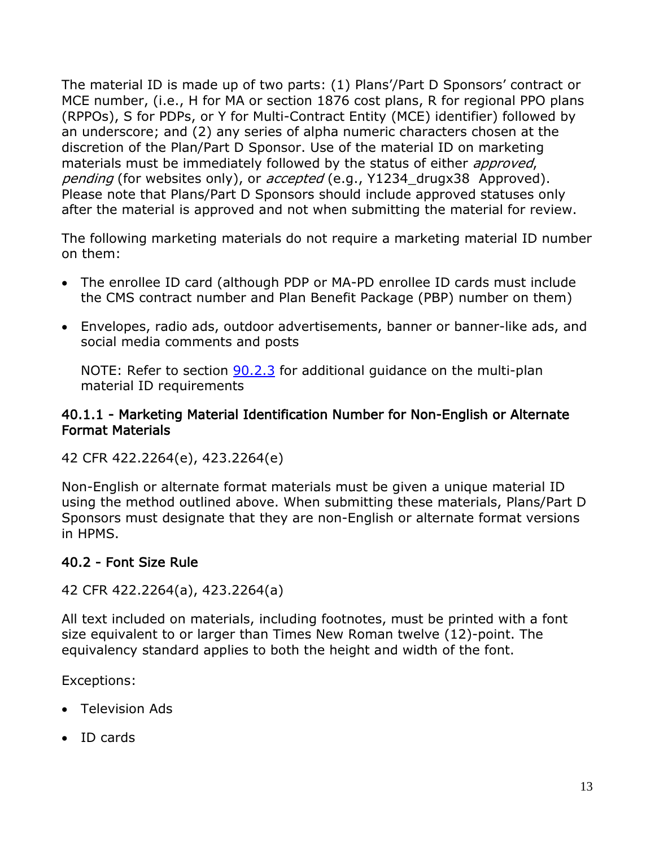The material ID is made up of two parts: (1) Plans'/Part D Sponsors' contract or MCE number, (i.e., H for MA or section 1876 cost plans, R for regional PPO plans (RPPOs), S for PDPs, or Y for Multi-Contract Entity (MCE) identifier) followed by an underscore; and (2) any series of alpha numeric characters chosen at the discretion of the Plan/Part D Sponsor. Use of the material ID on marketing materials must be immediately followed by the status of either *approved*, pending (for websites only), or accepted (e.g., Y1234 drugx38 Approved). Please note that Plans/Part D Sponsors should include approved statuses only after the material is approved and not when submitting the material for review.

The following marketing materials do not require a marketing material ID number on them:

- The enrollee ID card (although PDP or MA-PD enrollee ID cards must include the CMS contract number and Plan Benefit Package (PBP) number on them)
- Envelopes, radio ads, outdoor advertisements, banner or banner-like ads, and social media comments and posts

NOTE: Refer to section 90.2.3 for additional guidance on the multi-plan material ID requirements

#### <span id="page-18-0"></span>40.1.1 - Marketing Material Identification Number for Non-English or Alternate Format Materials

42 CFR 422.2264(e), 423.2264(e)

Non-English or alternate format materials must be given a unique material ID using the method outlined above. When submitting these materials, Plans/Part D Sponsors must designate that they are non-English or alternate format versions in HPMS.

# <span id="page-18-1"></span>40.2 - Font Size Rule

42 CFR 422.2264(a), 423.2264(a)

All text included on materials, including footnotes, must be printed with a font size equivalent to or larger than Times New Roman twelve (12)-point. The equivalency standard applies to both the height and width of the font.

Exceptions:

- Television Ads
- ID cards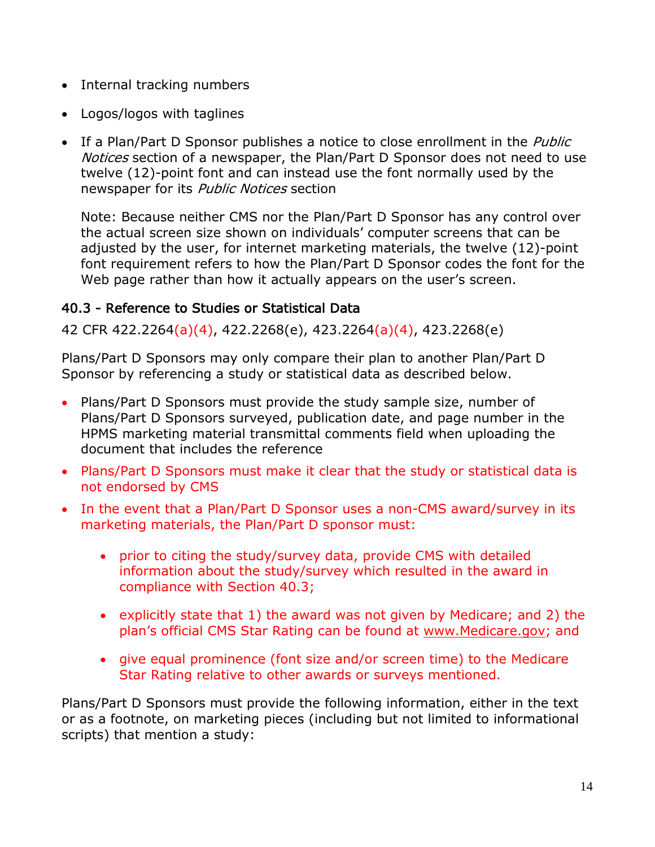- Internal tracking numbers
- Logos/logos with taglines
- If a Plan/Part D Sponsor publishes a notice to close enrollment in the *Public* Notices section of a newspaper, the Plan/Part D Sponsor does not need to use twelve (12)-point font and can instead use the font normally used by the newspaper for its Public Notices section

Note: Because neither CMS nor the Plan/Part D Sponsor has any control over the actual screen size shown on individuals' computer screens that can be adjusted by the user, for internet marketing materials, the twelve (12)-point font requirement refers to how the Plan/Part D Sponsor codes the font for the Web page rather than how it actually appears on the user's screen.

# <span id="page-19-0"></span>40.3 - Reference to Studies or Statistical Data

42 CFR 422.2264(a)(4), 422.2268(e), 423.2264(a)(4), 423.2268(e)

Plans/Part D Sponsors may only compare their plan to another Plan/Part D Sponsor by referencing a study or statistical data as described below.

- Plans/Part D Sponsors must provide the study sample size, number of Plans/Part D Sponsors surveyed, publication date, and page number in the HPMS marketing material transmittal comments field when uploading the document that includes the reference
- Plans/Part D Sponsors must make it clear that the study or statistical data is not endorsed by CMS
- In the event that a Plan/Part D Sponsor uses a non-CMS award/survey in its marketing materials, the Plan/Part D sponsor must:
	- prior to citing the study/survey data, provide CMS with detailed information about the study/survey which resulted in the award in compliance with Section 40.3;
	- explicitly state that 1) the award was not given by Medicare; and 2) the plan's official CMS Star Rating can be found at [www.Medicare.gov;](http://www.medicare.gov/) and
	- give equal prominence (font size and/or screen time) to the Medicare Star Rating relative to other awards or surveys mentioned.

Plans/Part D Sponsors must provide the following information, either in the text or as a footnote, on marketing pieces (including but not limited to informational scripts) that mention a study: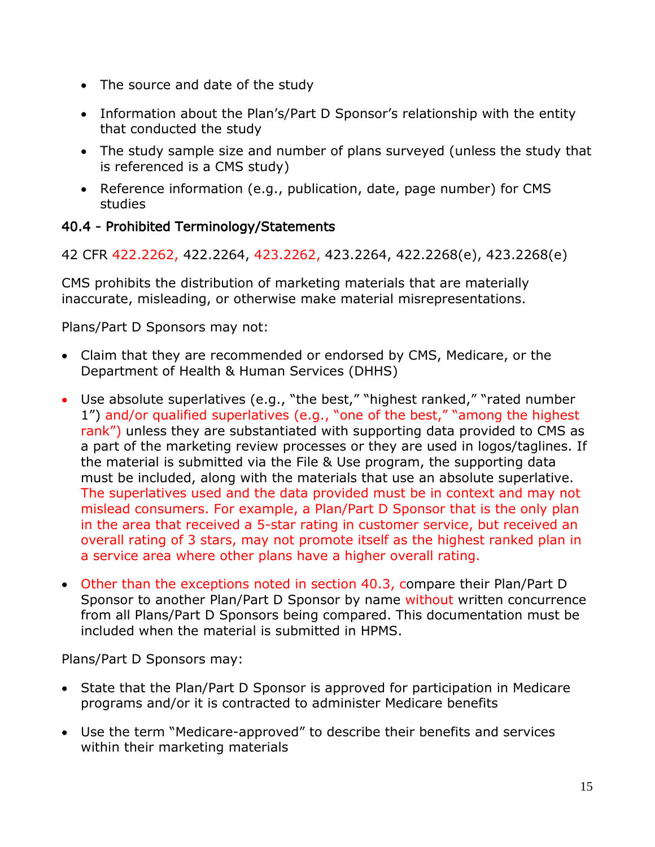- The source and date of the study
- Information about the Plan's/Part D Sponsor's relationship with the entity that conducted the study
- The study sample size and number of plans surveyed (unless the study that is referenced is a CMS study)
- Reference information (e.g., publication, date, page number) for CMS studies

# <span id="page-20-0"></span>40.4 - Prohibited Terminology/Statements

42 CFR 422.2262, 422.2264, 423.2262, 423.2264, 422.2268(e), 423.2268(e)

CMS prohibits the distribution of marketing materials that are materially inaccurate, misleading, or otherwise make material misrepresentations.

Plans/Part D Sponsors may not:

- Claim that they are recommended or endorsed by CMS, Medicare, or the Department of Health & Human Services (DHHS)
- Use absolute superlatives (e.g., "the best," "highest ranked," "rated number 1") and/or qualified superlatives (e.g., "one of the best," "among the highest rank") unless they are substantiated with supporting data provided to CMS as a part of the marketing review processes or they are used in logos/taglines. If the material is submitted via the File & Use program, the supporting data must be included, along with the materials that use an absolute superlative. The superlatives used and the data provided must be in context and may not mislead consumers. For example, a Plan/Part D Sponsor that is the only plan in the area that received a 5-star rating in customer service, but received an overall rating of 3 stars, may not promote itself as the highest ranked plan in a service area where other plans have a higher overall rating.
- Other than the exceptions noted in section 40.3, compare their Plan/Part D Sponsor to another Plan/Part D Sponsor by name without written concurrence from all Plans/Part D Sponsors being compared. This documentation must be included when the material is submitted in HPMS.

Plans/Part D Sponsors may:

- State that the Plan/Part D Sponsor is approved for participation in Medicare programs and/or it is contracted to administer Medicare benefits
- Use the term "Medicare-approved" to describe their benefits and services within their marketing materials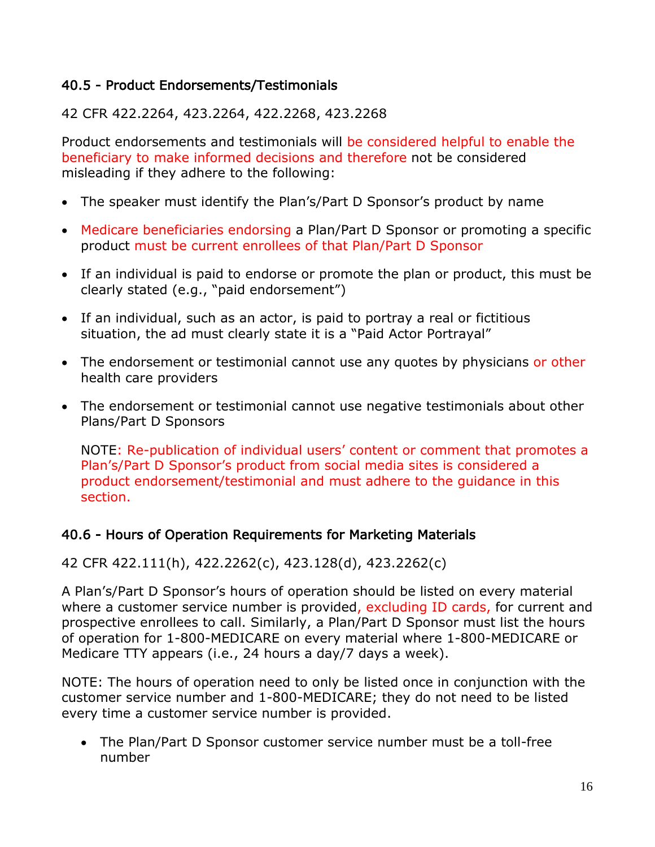## <span id="page-21-0"></span>40.5 - Product Endorsements/Testimonials

42 CFR 422.2264, 423.2264, 422.2268, 423.2268

Product endorsements and testimonials will be considered helpful to enable the beneficiary to make informed decisions and therefore not be considered misleading if they adhere to the following:

- The speaker must identify the Plan's/Part D Sponsor's product by name
- Medicare beneficiaries endorsing a Plan/Part D Sponsor or promoting a specific product must be current enrollees of that Plan/Part D Sponsor
- If an individual is paid to endorse or promote the plan or product, this must be clearly stated (e.g., "paid endorsement")
- If an individual, such as an actor, is paid to portray a real or fictitious situation, the ad must clearly state it is a "Paid Actor Portrayal"
- The endorsement or testimonial cannot use any quotes by physicians or other health care providers
- The endorsement or testimonial cannot use negative testimonials about other Plans/Part D Sponsors

NOTE: Re-publication of individual users' content or comment that promotes a Plan's/Part D Sponsor's product from social media sites is considered a product endorsement/testimonial and must adhere to the guidance in this section.

# <span id="page-21-1"></span>40.6 - Hours of Operation Requirements for Marketing Materials

# 42 CFR 422.111(h), 422.2262(c), 423.128(d), 423.2262(c)

A Plan's/Part D Sponsor's hours of operation should be listed on every material where a customer service number is provided, excluding ID cards, for current and prospective enrollees to call. Similarly, a Plan/Part D Sponsor must list the hours of operation for 1-800-MEDICARE on every material where 1-800-MEDICARE or Medicare TTY appears (i.e., 24 hours a day/7 days a week).

NOTE: The hours of operation need to only be listed once in conjunction with the customer service number and 1-800-MEDICARE; they do not need to be listed every time a customer service number is provided.

• The Plan/Part D Sponsor customer service number must be a toll-free number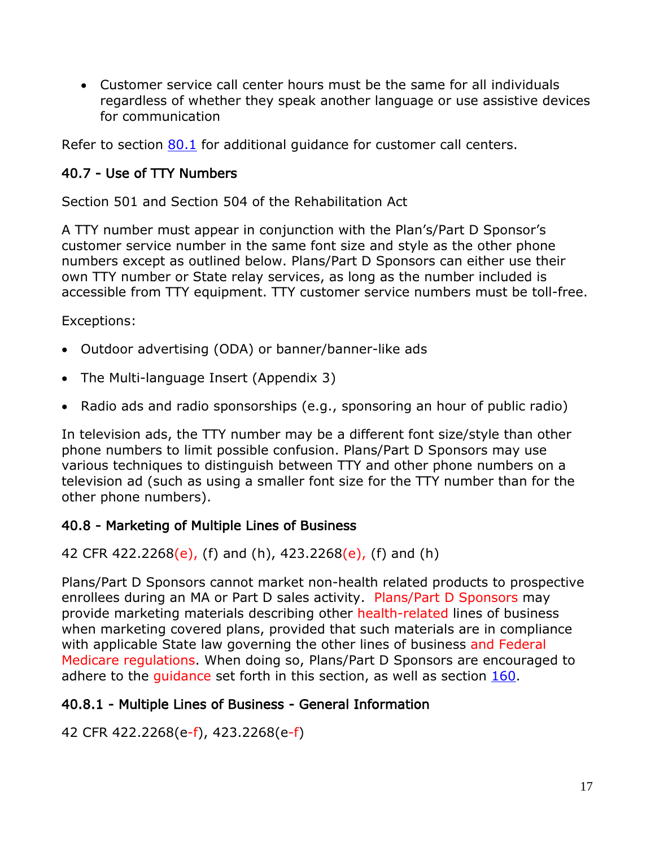• Customer service call center hours must be the same for all individuals regardless of whether they speak another language or use assistive devices for communication

Refer to section 80.1 for additional quidance for customer call centers.

## <span id="page-22-0"></span>40.7 - Use of TTY Numbers

Section 501 and Section 504 of the Rehabilitation Act

A TTY number must appear in conjunction with the Plan's/Part D Sponsor's customer service number in the same font size and style as the other phone numbers except as outlined below. Plans/Part D Sponsors can either use their own TTY number or State relay services, as long as the number included is accessible from TTY equipment. TTY customer service numbers must be toll-free.

Exceptions:

- Outdoor advertising (ODA) or banner/banner-like ads
- The Multi-language Insert (Appendix 3)
- Radio ads and radio sponsorships (e.g., sponsoring an hour of public radio)

In television ads, the TTY number may be a different font size/style than other phone numbers to limit possible confusion. Plans/Part D Sponsors may use various techniques to distinguish between TTY and other phone numbers on a television ad (such as using a smaller font size for the TTY number than for the other phone numbers).

#### <span id="page-22-1"></span>40.8 - Marketing of Multiple Lines of Business

42 CFR 422.2268(e), (f) and (h),  $423.2268(e)$ , (f) and (h)

Plans/Part D Sponsors cannot market non-health related products to prospective enrollees during an MA or Part D sales activity. Plans/Part D Sponsors may provide marketing materials describing other health-related lines of business when marketing covered plans, provided that such materials are in compliance with applicable State law governing the other lines of business and Federal Medicare regulations. When doing so, Plans/Part D Sponsors are encouraged to adhere to the quidance set forth in this section, as well as section  $160$ .

#### <span id="page-22-2"></span>40.8.1 - Multiple Lines of Business - General Information

42 CFR 422.2268(e-f), 423.2268(e-f)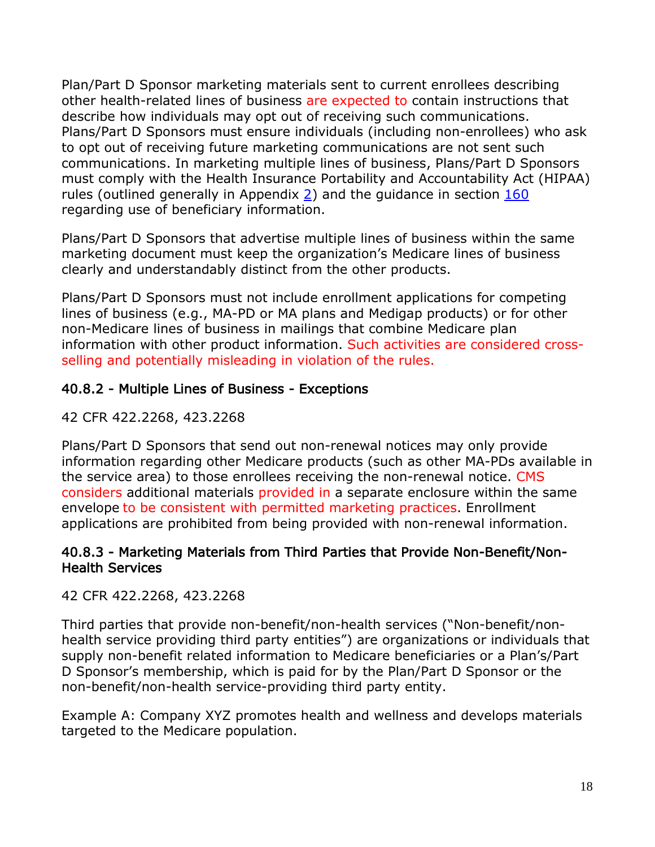Plan/Part D Sponsor marketing materials sent to current enrollees describing other health-related lines of business are expected to contain instructions that describe how individuals may opt out of receiving such communications. Plans/Part D Sponsors must ensure individuals (including non-enrollees) who ask to opt out of receiving future marketing communications are not sent such communications. In marketing multiple lines of business, Plans/Part D Sponsors must comply with the Health Insurance Portability and Accountability Act (HIPAA) rules (outlined generally in Appendix 2) and the guidance in section 160 regarding use of beneficiary information.

Plans/Part D Sponsors that advertise multiple lines of business within the same marketing document must keep the organization's Medicare lines of business clearly and understandably distinct from the other products.

Plans/Part D Sponsors must not include enrollment applications for competing lines of business (e.g., MA-PD or MA plans and Medigap products) or for other non-Medicare lines of business in mailings that combine Medicare plan information with other product information. Such activities are considered crossselling and potentially misleading in violation of the rules.

### <span id="page-23-0"></span>40.8.2 - Multiple Lines of Business - Exceptions

42 CFR 422.2268, 423.2268

Plans/Part D Sponsors that send out non-renewal notices may only provide information regarding other Medicare products (such as other MA-PDs available in the service area) to those enrollees receiving the non-renewal notice. CMS considers additional materials provided in a separate enclosure within the same envelope to be consistent with permitted marketing practices. Enrollment applications are prohibited from being provided with non-renewal information.

#### <span id="page-23-1"></span>40.8.3 - Marketing Materials from Third Parties that Provide Non-Benefit/Non-Health Services

42 CFR 422.2268, 423.2268

Third parties that provide non-benefit/non-health services ("Non-benefit/nonhealth service providing third party entities") are organizations or individuals that supply non-benefit related information to Medicare beneficiaries or a Plan's/Part D Sponsor's membership, which is paid for by the Plan/Part D Sponsor or the non-benefit/non-health service-providing third party entity.

Example A: Company XYZ promotes health and wellness and develops materials targeted to the Medicare population.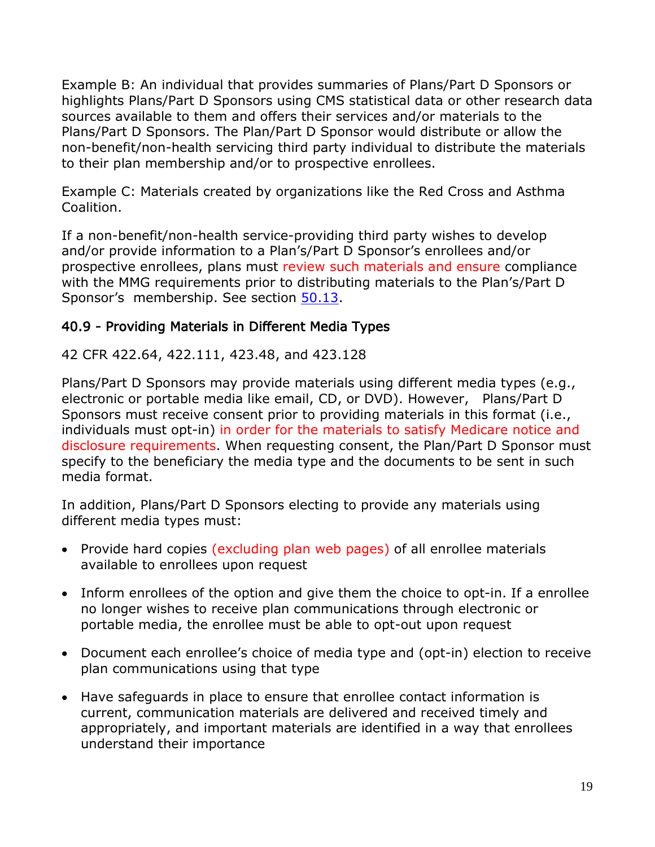Example B: An individual that provides summaries of Plans/Part D Sponsors or highlights Plans/Part D Sponsors using CMS statistical data or other research data sources available to them and offers their services and/or materials to the Plans/Part D Sponsors. The Plan/Part D Sponsor would distribute or allow the non-benefit/non-health servicing third party individual to distribute the materials to their plan membership and/or to prospective enrollees.

Example C: Materials created by organizations like the Red Cross and Asthma Coalition.

If a non-benefit/non-health service-providing third party wishes to develop and/or provide information to a Plan's/Part D Sponsor's enrollees and/or prospective enrollees, plans must review such materials and ensure compliance with the MMG requirements prior to distributing materials to the Plan's/Part D Sponsor's membership. See section 50.13.

# <span id="page-24-0"></span>40.9 - Providing Materials in Different Media Types

42 CFR 422.64, 422.111, 423.48, and 423.128

Plans/Part D Sponsors may provide materials using different media types (e.g., electronic or portable media like email, CD, or DVD). However, Plans/Part D Sponsors must receive consent prior to providing materials in this format (i.e., individuals must opt-in) in order for the materials to satisfy Medicare notice and disclosure requirements. When requesting consent, the Plan/Part D Sponsor must specify to the beneficiary the media type and the documents to be sent in such media format.

In addition, Plans/Part D Sponsors electing to provide any materials using different media types must:

- Provide hard copies (excluding plan web pages) of all enrollee materials available to enrollees upon request
- Inform enrollees of the option and give them the choice to opt-in. If a enrollee no longer wishes to receive plan communications through electronic or portable media, the enrollee must be able to opt-out upon request
- Document each enrollee's choice of media type and (opt-in) election to receive plan communications using that type
- Have safeguards in place to ensure that enrollee contact information is current, communication materials are delivered and received timely and appropriately, and important materials are identified in a way that enrollees understand their importance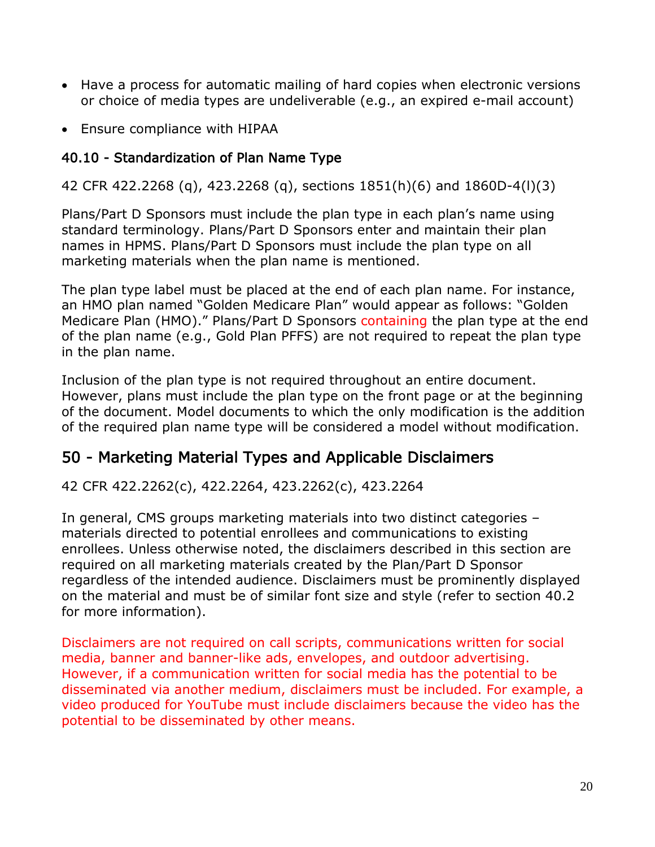- Have a process for automatic mailing of hard copies when electronic versions or choice of media types are undeliverable (e.g., an expired e-mail account)
- Ensure compliance with HIPAA

# <span id="page-25-0"></span>40.10 - Standardization of Plan Name Type

42 CFR 422.2268 (q), 423.2268 (q), sections 1851(h)(6) and 1860D-4(l)(3)

Plans/Part D Sponsors must include the plan type in each plan's name using standard terminology. Plans/Part D Sponsors enter and maintain their plan names in HPMS. Plans/Part D Sponsors must include the plan type on all marketing materials when the plan name is mentioned.

The plan type label must be placed at the end of each plan name. For instance, an HMO plan named "Golden Medicare Plan" would appear as follows: "Golden Medicare Plan (HMO)." Plans/Part D Sponsors containing the plan type at the end of the plan name (e.g., Gold Plan PFFS) are not required to repeat the plan type in the plan name.

Inclusion of the plan type is not required throughout an entire document. However, plans must include the plan type on the front page or at the beginning of the document. Model documents to which the only modification is the addition of the required plan name type will be considered a model without modification.

# <span id="page-25-1"></span>50 - Marketing Material Types and Applicable Disclaimers

42 CFR 422.2262(c), 422.2264, 423.2262(c), 423.2264

In general, CMS groups marketing materials into two distinct categories – materials directed to potential enrollees and communications to existing enrollees. Unless otherwise noted, the disclaimers described in this section are required on all marketing materials created by the Plan/Part D Sponsor regardless of the intended audience. Disclaimers must be prominently displayed on the material and must be of similar font size and style (refer to section 40.2 for more information).

Disclaimers are not required on call scripts, communications written for social media, banner and banner-like ads, envelopes, and outdoor advertising. However, if a communication written for social media has the potential to be disseminated via another medium, disclaimers must be included. For example, a video produced for YouTube must include disclaimers because the video has the potential to be disseminated by other means.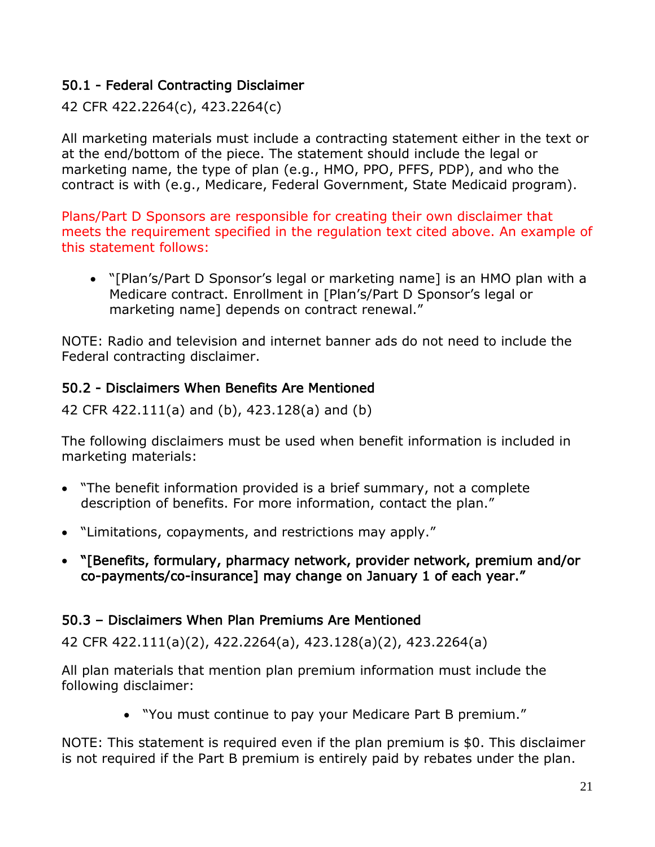# <span id="page-26-0"></span>50.1 - Federal Contracting Disclaimer

42 CFR 422.2264(c), 423.2264(c)

All marketing materials must include a contracting statement either in the text or at the end/bottom of the piece. The statement should include the legal or marketing name, the type of plan (e.g., HMO, PPO, PFFS, PDP), and who the contract is with (e.g., Medicare, Federal Government, State Medicaid program).

Plans/Part D Sponsors are responsible for creating their own disclaimer that meets the requirement specified in the regulation text cited above. An example of this statement follows:

• "[Plan's/Part D Sponsor's legal or marketing name] is an HMO plan with a Medicare contract. Enrollment in [Plan's/Part D Sponsor's legal or marketing name] depends on contract renewal."

NOTE: Radio and television and internet banner ads do not need to include the Federal contracting disclaimer.

# <span id="page-26-1"></span>50.2 - Disclaimers When Benefits Are Mentioned

42 CFR 422.111(a) and (b), 423.128(a) and (b)

The following disclaimers must be used when benefit information is included in marketing materials:

- "The benefit information provided is a brief summary, not a complete description of benefits. For more information, contact the plan."
- "Limitations, copayments, and restrictions may apply."
- "[Benefits, formulary, pharmacy network, provider network, premium and/or co-payments/co-insurance] may change on January 1 of each year."

#### <span id="page-26-2"></span>50.3 – Disclaimers When Plan Premiums Are Mentioned

42 CFR 422.111(a)(2), 422.2264(a), 423.128(a)(2), 423.2264(a)

All plan materials that mention plan premium information must include the following disclaimer:

• "You must continue to pay your Medicare Part B premium."

NOTE: This statement is required even if the plan premium is \$0. This disclaimer is not required if the Part B premium is entirely paid by rebates under the plan.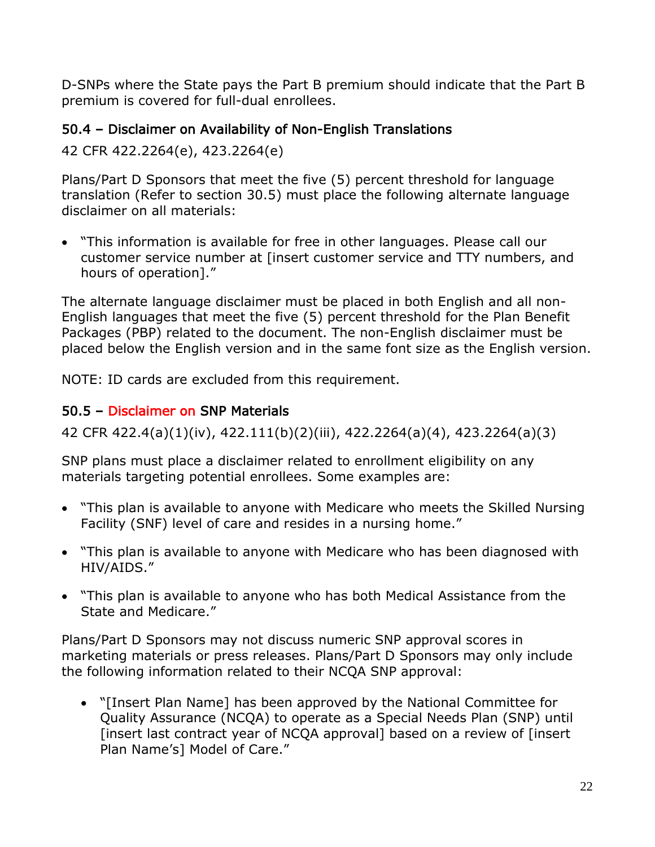D-SNPs where the State pays the Part B premium should indicate that the Part B premium is covered for full-dual enrollees.

# <span id="page-27-0"></span>50.4 – Disclaimer on Availability of Non-English Translations

42 CFR 422.2264(e), 423.2264(e)

Plans/Part D Sponsors that meet the five (5) percent threshold for language translation (Refer to section 30.5) must place the following alternate language disclaimer on all materials:

• "This information is available for free in other languages. Please call our customer service number at [insert customer service and TTY numbers, and hours of operation]."

The alternate language disclaimer must be placed in both English and all non-English languages that meet the five (5) percent threshold for the Plan Benefit Packages (PBP) related to the document. The non-English disclaimer must be placed below the English version and in the same font size as the English version.

NOTE: ID cards are excluded from this requirement.

# <span id="page-27-1"></span>50.5 – Disclaimer on SNP Materials

42 CFR 422.4(a)(1)(iv), 422.111(b)(2)(iii), 422.2264(a)(4), 423.2264(a)(3)

SNP plans must place a disclaimer related to enrollment eligibility on any materials targeting potential enrollees. Some examples are:

- "This plan is available to anyone with Medicare who meets the Skilled Nursing Facility (SNF) level of care and resides in a nursing home."
- "This plan is available to anyone with Medicare who has been diagnosed with HIV/AIDS."
- "This plan is available to anyone who has both Medical Assistance from the State and Medicare."

Plans/Part D Sponsors may not discuss numeric SNP approval scores in marketing materials or press releases. Plans/Part D Sponsors may only include the following information related to their NCQA SNP approval:

• "[Insert Plan Name] has been approved by the National Committee for Quality Assurance (NCQA) to operate as a Special Needs Plan (SNP) until [insert last contract year of NCQA approval] based on a review of [insert Plan Name's] Model of Care."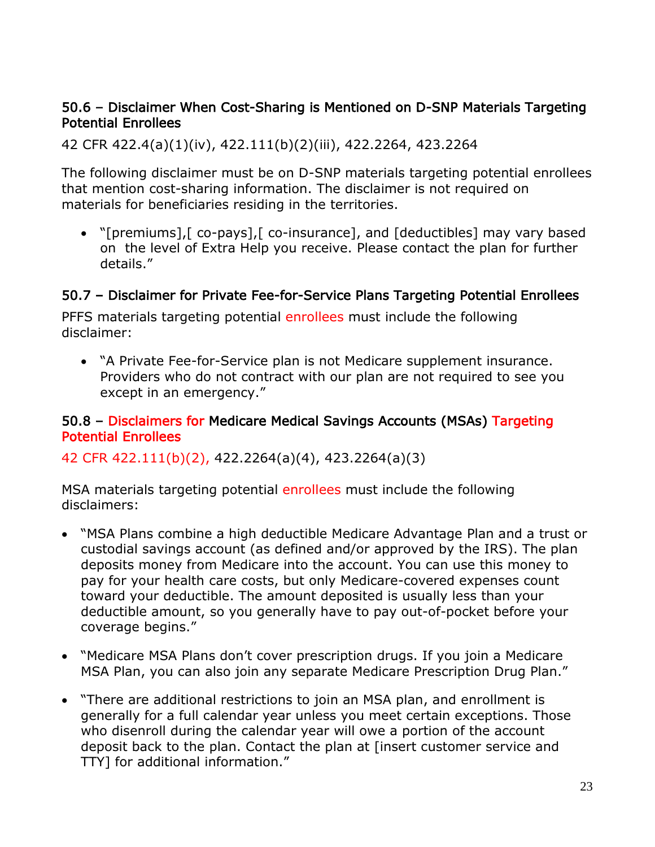#### <span id="page-28-0"></span>50.6 – Disclaimer When Cost-Sharing is Mentioned on D-SNP Materials Targeting Potential Enrollees

42 CFR 422.4(a)(1)(iv), 422.111(b)(2)(iii), 422.2264, 423.2264

The following disclaimer must be on D-SNP materials targeting potential enrollees that mention cost-sharing information. The disclaimer is not required on materials for beneficiaries residing in the territories.

• "[premiums],[ co-pays],[ co-insurance], and [deductibles] may vary based on the level of Extra Help you receive. Please contact the plan for further details."

#### <span id="page-28-1"></span>50.7 – Disclaimer for Private Fee-for-Service Plans Targeting Potential Enrollees

PFFS materials targeting potential enrollees must include the following disclaimer:

• "A Private Fee-for-Service plan is not Medicare supplement insurance. Providers who do not contract with our plan are not required to see you except in an emergency."

#### <span id="page-28-2"></span>50.8 – Disclaimers for Medicare Medical Savings Accounts (MSAs) Targeting Potential Enrollees

#### 42 CFR 422.111(b)(2), 422.2264(a)(4), 423.2264(a)(3)

MSA materials targeting potential enrollees must include the following disclaimers:

- "MSA Plans combine a high deductible Medicare Advantage Plan and a trust or custodial savings account (as defined and/or approved by the IRS). The plan deposits money from Medicare into the account. You can use this money to pay for your health care costs, but only Medicare-covered expenses count toward your deductible. The amount deposited is usually less than your deductible amount, so you generally have to pay out-of-pocket before your coverage begins."
- "Medicare MSA Plans don't cover prescription drugs. If you join a Medicare MSA Plan, you can also join any separate Medicare Prescription Drug Plan."
- "There are additional restrictions to join an MSA plan, and enrollment is generally for a full calendar year unless you meet certain exceptions. Those who disenroll during the calendar year will owe a portion of the account deposit back to the plan. Contact the plan at [insert customer service and TTY] for additional information."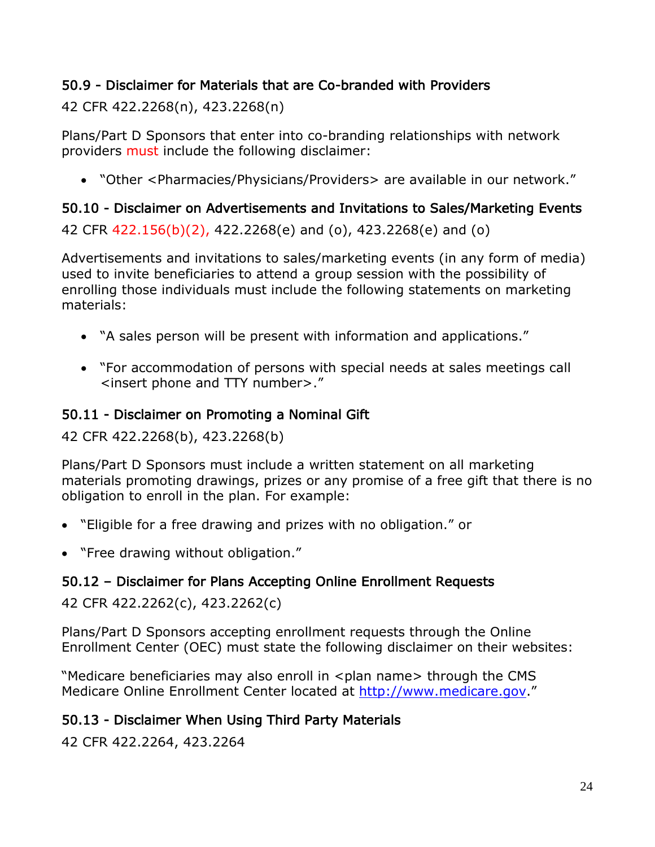# <span id="page-29-0"></span>50.9 - Disclaimer for Materials that are Co-branded with Providers

42 CFR 422.2268(n), 423.2268(n)

Plans/Part D Sponsors that enter into co-branding relationships with network providers must include the following disclaimer:

• "Other <Pharmacies/Physicians/Providers> are available in our network."

# <span id="page-29-1"></span>50.10 - Disclaimer on Advertisements and Invitations to Sales/Marketing Events

42 CFR 422.156(b)(2), 422.2268(e) and (o), 423.2268(e) and (o)

Advertisements and invitations to sales/marketing events (in any form of media) used to invite beneficiaries to attend a group session with the possibility of enrolling those individuals must include the following statements on marketing materials:

- "A sales person will be present with information and applications."
- "For accommodation of persons with special needs at sales meetings call <insert phone and TTY number>."

# <span id="page-29-2"></span>50.11 - Disclaimer on Promoting a Nominal Gift

42 CFR 422.2268(b), 423.2268(b)

Plans/Part D Sponsors must include a written statement on all marketing materials promoting drawings, prizes or any promise of a free gift that there is no obligation to enroll in the plan. For example:

- "Eligible for a free drawing and prizes with no obligation." or
- "Free drawing without obligation."

# <span id="page-29-3"></span>50.12 – Disclaimer for Plans Accepting Online Enrollment Requests

42 CFR 422.2262(c), 423.2262(c)

Plans/Part D Sponsors accepting enrollment requests through the Online Enrollment Center (OEC) must state the following disclaimer on their websites:

"Medicare beneficiaries may also enroll in <plan name> through the CMS Medicare Online Enrollment Center located at [http://www.medicare.gov.](http://www.medicare.gov/)"

# <span id="page-29-4"></span>50.13 - Disclaimer When Using Third Party Materials

42 CFR 422.2264, 423.2264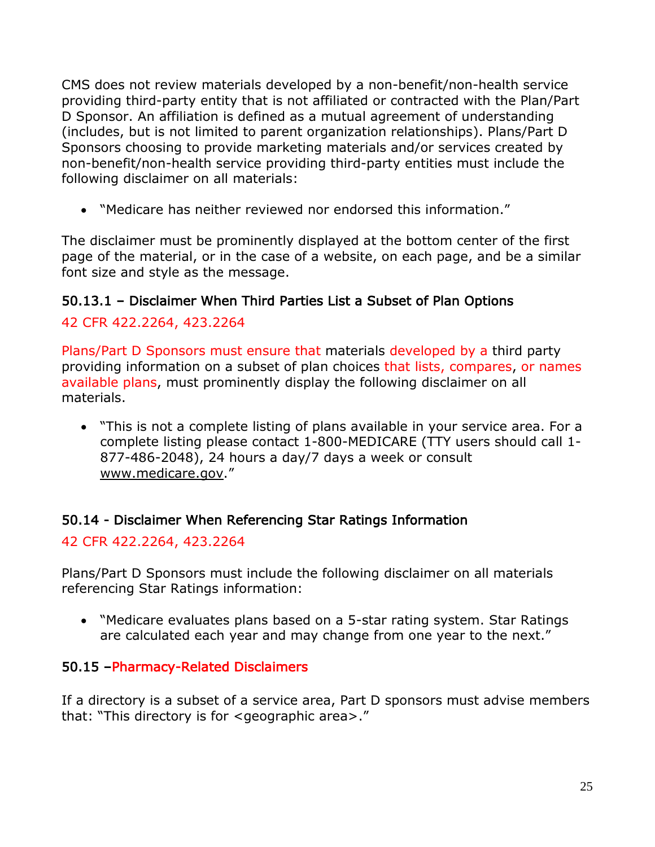CMS does not review materials developed by a non-benefit/non-health service providing third-party entity that is not affiliated or contracted with the Plan/Part D Sponsor. An affiliation is defined as a mutual agreement of understanding (includes, but is not limited to parent organization relationships). Plans/Part D Sponsors choosing to provide marketing materials and/or services created by non-benefit/non-health service providing third-party entities must include the following disclaimer on all materials:

• "Medicare has neither reviewed nor endorsed this information."

The disclaimer must be prominently displayed at the bottom center of the first page of the material, or in the case of a website, on each page, and be a similar font size and style as the message.

# <span id="page-30-0"></span>50.13.1 – Disclaimer When Third Parties List a Subset of Plan Options

# 42 CFR 422.2264, 423.2264

Plans/Part D Sponsors must ensure that materials developed by a third party providing information on a subset of plan choices that lists, compares, or names available plans, must prominently display the following disclaimer on all materials.

• "This is not a complete listing of plans available in your service area. For a complete listing please contact 1-800-MEDICARE (TTY users should call 1- 877-486-2048), 24 hours a day/7 days a week or consult [www.medicare.gov.](http://www.medicare.gov/)"

# <span id="page-30-1"></span>50.14 - Disclaimer When Referencing Star Ratings Information

42 CFR 422.2264, 423.2264

Plans/Part D Sponsors must include the following disclaimer on all materials referencing Star Ratings information:

• "Medicare evaluates plans based on a 5-star rating system. Star Ratings are calculated each year and may change from one year to the next."

# 50.15 –Pharmacy-Related Disclaimers

If a directory is a subset of a service area, Part D sponsors must advise members that: "This directory is for <geographic area>."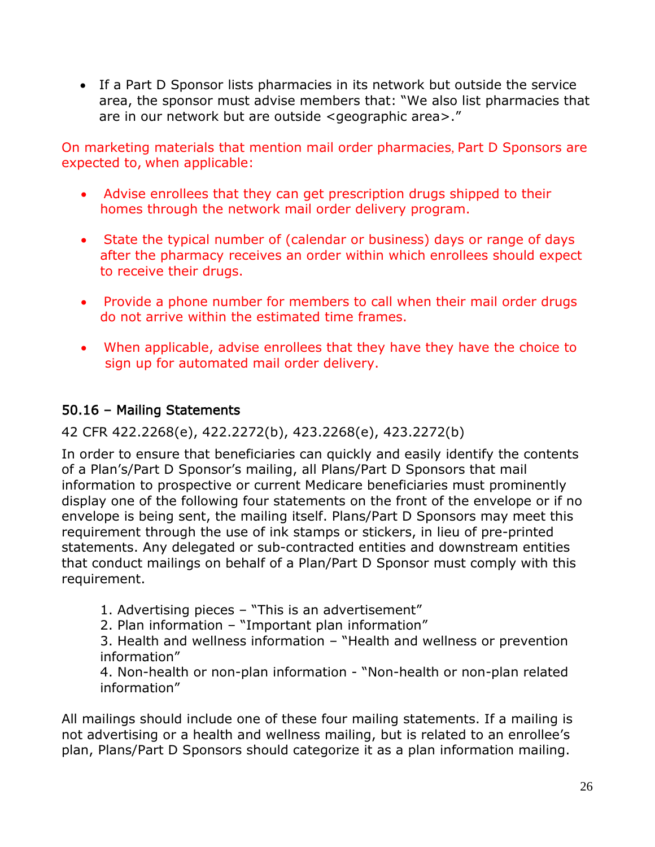• If a Part D Sponsor lists pharmacies in its network but outside the service area, the sponsor must advise members that: "We also list pharmacies that are in our network but are outside <geographic area>."

On marketing materials that mention mail order pharmacies, Part D Sponsors are expected to, when applicable:

- Advise enrollees that they can get prescription drugs shipped to their homes through the network mail order delivery program.
- State the typical number of (calendar or business) days or range of days after the pharmacy receives an order within which enrollees should expect to receive their drugs.
- Provide a phone number for members to call when their mail order drugs do not arrive within the estimated time frames.
- When applicable, advise enrollees that they have they have the choice to sign up for automated mail order delivery.

# <span id="page-31-0"></span>50.16 – Mailing Statements

## 42 CFR 422.2268(e), 422.2272(b), 423.2268(e), 423.2272(b)

In order to ensure that beneficiaries can quickly and easily identify the contents of a Plan's/Part D Sponsor's mailing, all Plans/Part D Sponsors that mail information to prospective or current Medicare beneficiaries must prominently display one of the following four statements on the front of the envelope or if no envelope is being sent, the mailing itself. Plans/Part D Sponsors may meet this requirement through the use of ink stamps or stickers, in lieu of pre-printed statements. Any delegated or sub-contracted entities and downstream entities that conduct mailings on behalf of a Plan/Part D Sponsor must comply with this requirement.

- 1. Advertising pieces "This is an advertisement"
- 2. Plan information "Important plan information"

3. Health and wellness information – "Health and wellness or prevention information"

4. Non-health or non-plan information - "Non-health or non-plan related information"

All mailings should include one of these four mailing statements. If a mailing is not advertising or a health and wellness mailing, but is related to an enrollee's plan, Plans/Part D Sponsors should categorize it as a plan information mailing.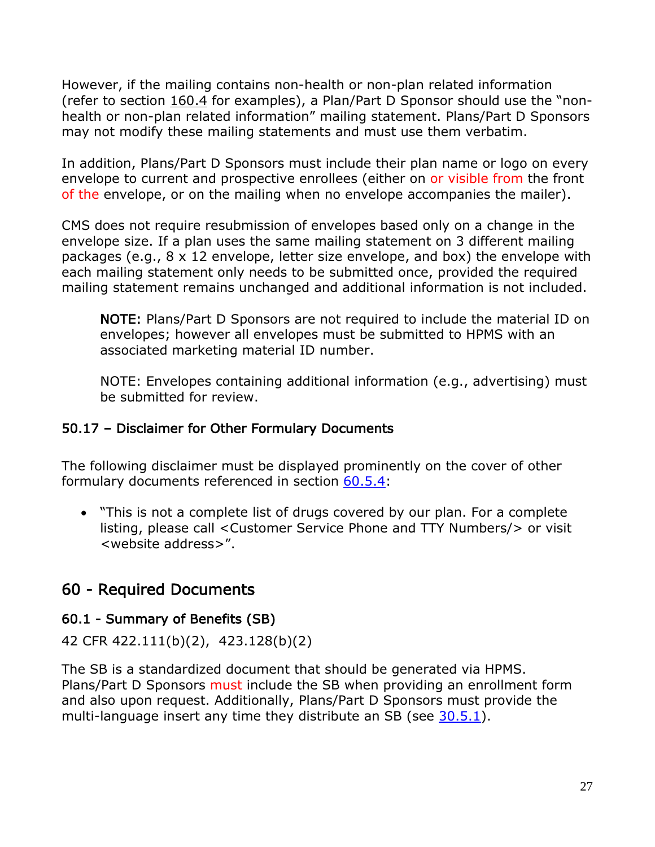However, if the mailing contains non-health or non-plan related information (refer to section 160.4 for examples), a Plan/Part D Sponsor should use the "nonhealth or non-plan related information" mailing statement. Plans/Part D Sponsors may not modify these mailing statements and must use them verbatim.

In addition, Plans/Part D Sponsors must include their plan name or logo on every envelope to current and prospective enrollees (either on or visible from the front of the envelope, or on the mailing when no envelope accompanies the mailer).

CMS does not require resubmission of envelopes based only on a change in the envelope size. If a plan uses the same mailing statement on 3 different mailing packages (e.g., 8 x 12 envelope, letter size envelope, and box) the envelope with each mailing statement only needs to be submitted once, provided the required mailing statement remains unchanged and additional information is not included.

NOTE: Plans/Part D Sponsors are not required to include the material ID on envelopes; however all envelopes must be submitted to HPMS with an associated marketing material ID number.

NOTE: Envelopes containing additional information (e.g., advertising) must be submitted for review.

# <span id="page-32-0"></span>50.17 – Disclaimer for Other Formulary Documents

The following disclaimer must be displayed prominently on the cover of other formulary documents referenced in section 60.5.4:

• "This is not a complete list of drugs covered by our plan. For a complete listing, please call <Customer Service Phone and TTY Numbers/> or visit <website address>".

# <span id="page-32-1"></span>60 - Required Documents

# <span id="page-32-2"></span>60.1 - Summary of Benefits (SB)

42 CFR 422.111(b)(2), 423.128(b)(2)

The SB is a standardized document that should be generated via HPMS. Plans/Part D Sponsors must include the SB when providing an enrollment form and also upon request. Additionally, Plans/Part D Sponsors must provide the multi-language insert any time they distribute an SB (see 30.5.1).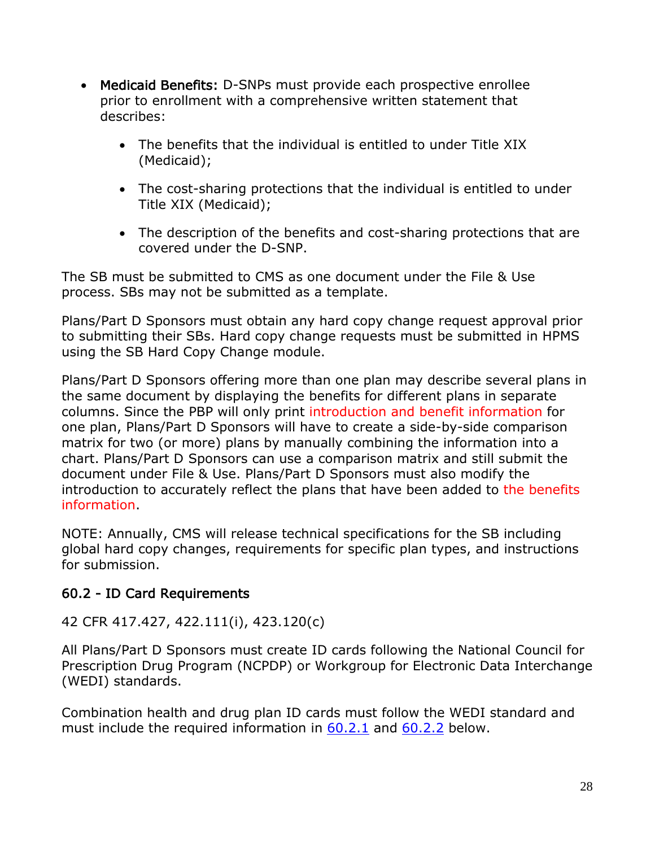- Medicaid Benefits: D-SNPs must provide each prospective enrollee prior to enrollment with a comprehensive written statement that describes:
	- The benefits that the individual is entitled to under Title XIX (Medicaid);
	- The cost-sharing protections that the individual is entitled to under Title XIX (Medicaid);
	- The description of the benefits and cost-sharing protections that are covered under the D-SNP.

The SB must be submitted to CMS as one document under the File & Use process. SBs may not be submitted as a template.

Plans/Part D Sponsors must obtain any hard copy change request approval prior to submitting their SBs. Hard copy change requests must be submitted in HPMS using the SB Hard Copy Change module.

Plans/Part D Sponsors offering more than one plan may describe several plans in the same document by displaying the benefits for different plans in separate columns. Since the PBP will only print introduction and benefit information for one plan, Plans/Part D Sponsors will have to create a side-by-side comparison matrix for two (or more) plans by manually combining the information into a chart. Plans/Part D Sponsors can use a comparison matrix and still submit the document under File & Use. Plans/Part D Sponsors must also modify the introduction to accurately reflect the plans that have been added to the benefits information.

NOTE: Annually, CMS will release technical specifications for the SB including global hard copy changes, requirements for specific plan types, and instructions for submission.

# <span id="page-33-0"></span>60.2 - ID Card Requirements

#### 42 CFR 417.427, 422.111(i), 423.120(c)

All Plans/Part D Sponsors must create ID cards following the National Council for Prescription Drug Program (NCPDP) or Workgroup for Electronic Data Interchange (WEDI) standards.

Combination health and drug plan ID cards must follow the WEDI standard and must include the required information in  $60.2.1$  and  $60.2.2$  below.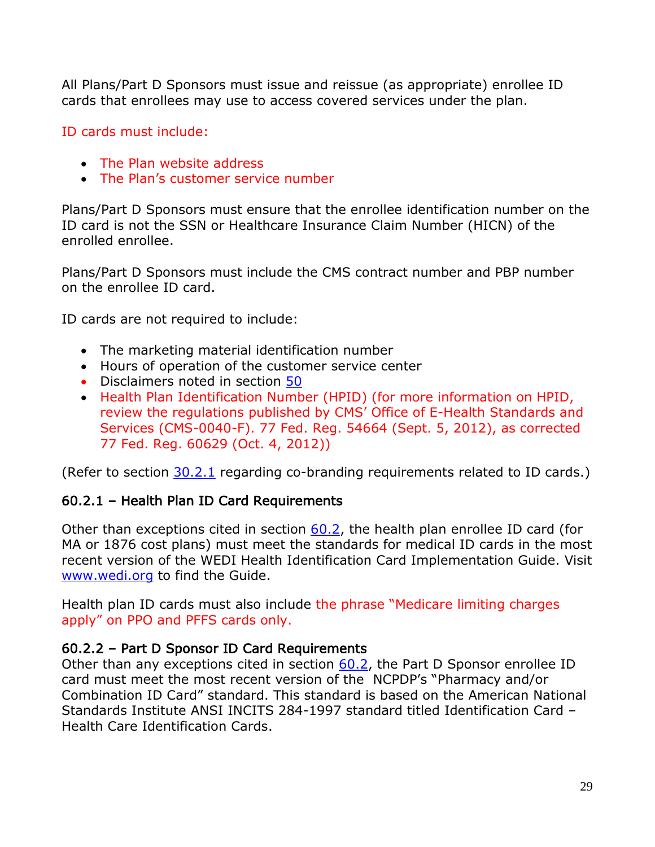All Plans/Part D Sponsors must issue and reissue (as appropriate) enrollee ID cards that enrollees may use to access covered services under the plan.

ID cards must include:

- The Plan website address
- The Plan's customer service number

Plans/Part D Sponsors must ensure that the enrollee identification number on the ID card is not the SSN or Healthcare Insurance Claim Number (HICN) of the enrolled enrollee.

Plans/Part D Sponsors must include the CMS contract number and PBP number on the enrollee ID card.

ID cards are not required to include:

- The marketing material identification number
- Hours of operation of the customer service center
- Disclaimers noted in section 50
- Health Plan Identification Number (HPID) (for more information on HPID, review the regulations published by CMS' Office of E-Health Standards and Services (CMS-0040-F). 77 Fed. Reg. 54664 (Sept. 5, 2012), as corrected 77 Fed. Reg. 60629 (Oct. 4, 2012))

(Refer to section 30.2.1 regarding co-branding requirements related to ID cards.)

#### <span id="page-34-0"></span>60.2.1 – Health Plan ID Card Requirements

Other than exceptions cited in section 60.2, the health plan enrollee ID card (for MA or 1876 cost plans) must meet the standards for medical ID cards in the most recent version of the WEDI Health Identification Card Implementation Guide. Visit [www.wedi.org](http://www.wedi.org/) to find the Guide.

Health plan ID cards must also include the phrase "Medicare limiting charges apply" on PPO and PFFS cards only.

#### <span id="page-34-1"></span>60.2.2 – Part D Sponsor ID Card Requirements

Other than any exceptions cited in section 60.2, the Part D Sponsor enrollee ID card must meet the most recent version of the NCPDP's "Pharmacy and/or Combination ID Card" standard. This standard is based on the American National Standards Institute ANSI INCITS 284-1997 standard titled Identification Card – Health Care Identification Cards.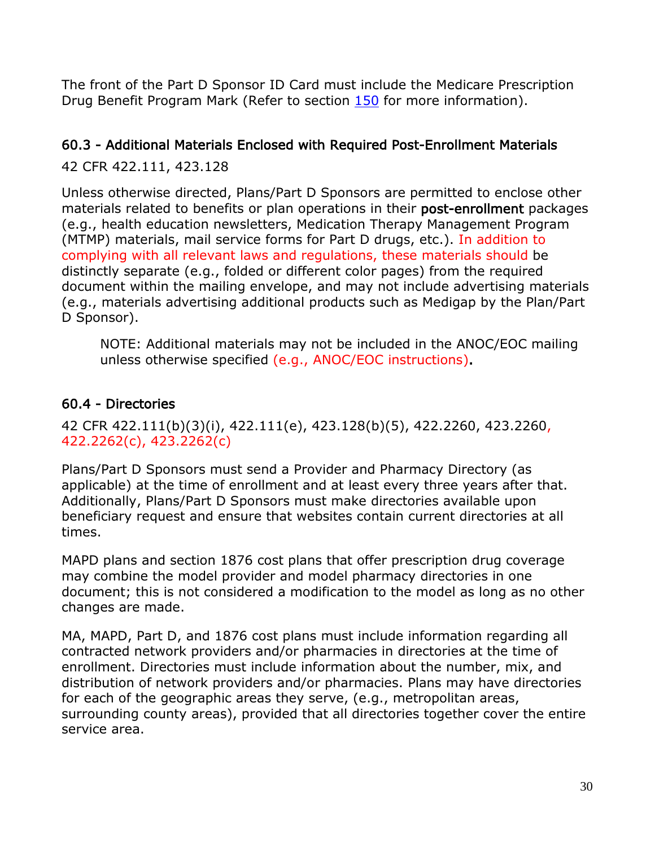The front of the Part D Sponsor ID Card must include the Medicare Prescription Drug Benefit Program Mark (Refer to section 150 for more information).

# <span id="page-35-0"></span>60.3 - Additional Materials Enclosed with Required Post-Enrollment Materials

42 CFR 422.111, 423.128

Unless otherwise directed, Plans/Part D Sponsors are permitted to enclose other materials related to benefits or plan operations in their post-enrollment packages (e.g., health education newsletters, Medication Therapy Management Program (MTMP) materials, mail service forms for Part D drugs, etc.). In addition to complying with all relevant laws and regulations, these materials should be distinctly separate (e.g., folded or different color pages) from the required document within the mailing envelope, and may not include advertising materials (e.g., materials advertising additional products such as Medigap by the Plan/Part D Sponsor).

NOTE: Additional materials may not be included in the ANOC/EOC mailing unless otherwise specified (e.g., ANOC/EOC instructions).

# <span id="page-35-1"></span>60.4 - Directories

42 CFR 422.111(b)(3)(i), 422.111(e), 423.128(b)(5), 422.2260, 423.2260, 422.2262(c), 423.2262(c)

Plans/Part D Sponsors must send a Provider and Pharmacy Directory (as applicable) at the time of enrollment and at least every three years after that. Additionally, Plans/Part D Sponsors must make directories available upon beneficiary request and ensure that websites contain current directories at all times.

MAPD plans and section 1876 cost plans that offer prescription drug coverage may combine the model provider and model pharmacy directories in one document; this is not considered a modification to the model as long as no other changes are made.

MA, MAPD, Part D, and 1876 cost plans must include information regarding all contracted network providers and/or pharmacies in directories at the time of enrollment. Directories must include information about the number, mix, and distribution of network providers and/or pharmacies. Plans may have directories for each of the geographic areas they serve, (e.g., metropolitan areas, surrounding county areas), provided that all directories together cover the entire service area.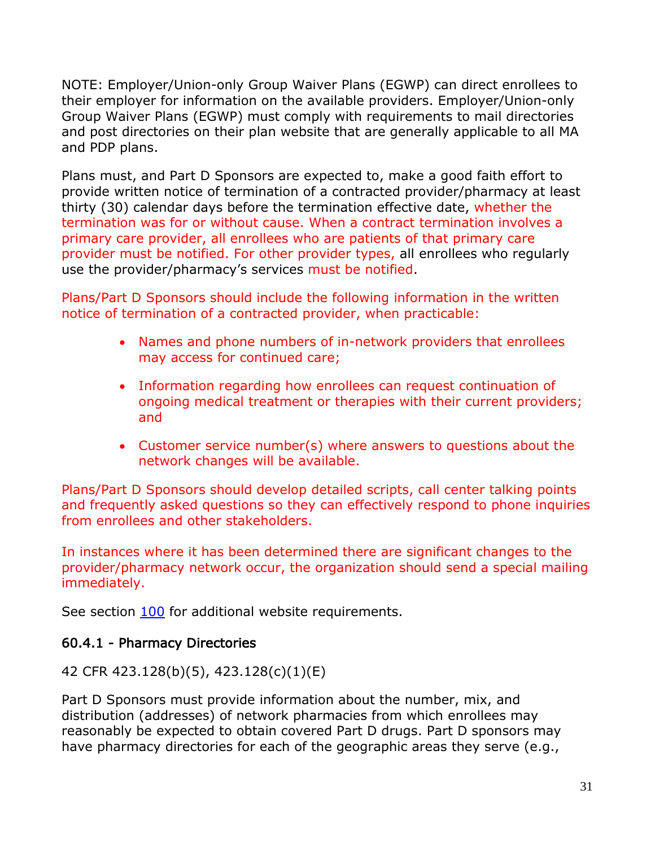NOTE: Employer/Union-only Group Waiver Plans (EGWP) can direct enrollees to their employer for information on the available providers. Employer/Union-only Group Waiver Plans (EGWP) must comply with requirements to mail directories and post directories on their plan website that are generally applicable to all MA and PDP plans.

Plans must, and Part D Sponsors are expected to, make a good faith effort to provide written notice of termination of a contracted provider/pharmacy at least thirty (30) calendar days before the termination effective date, whether the termination was for or without cause. When a contract termination involves a primary care provider, all enrollees who are patients of that primary care provider must be notified. For other provider types, all enrollees who regularly use the provider/pharmacy's services must be notified.

Plans/Part D Sponsors should include the following information in the written notice of termination of a contracted provider, when practicable:

- Names and phone numbers of in-network providers that enrollees may access for continued care;
- Information regarding how enrollees can request continuation of ongoing medical treatment or therapies with their current providers; and
- Customer service number(s) where answers to questions about the network changes will be available.

Plans/Part D Sponsors should develop detailed scripts, call center talking points and frequently asked questions so they can effectively respond to phone inquiries from enrollees and other stakeholders.

In instances where it has been determined there are significant changes to the provider/pharmacy network occur, the organization should send a special mailing immediately.

See section 100 for additional website requirements.

## 60.4.1 - Pharmacy Directories

42 CFR 423.128(b)(5), 423.128(c)(1)(E)

Part D Sponsors must provide information about the number, mix, and distribution (addresses) of network pharmacies from which enrollees may reasonably be expected to obtain covered Part D drugs. Part D sponsors may have pharmacy directories for each of the geographic areas they serve (e.g.,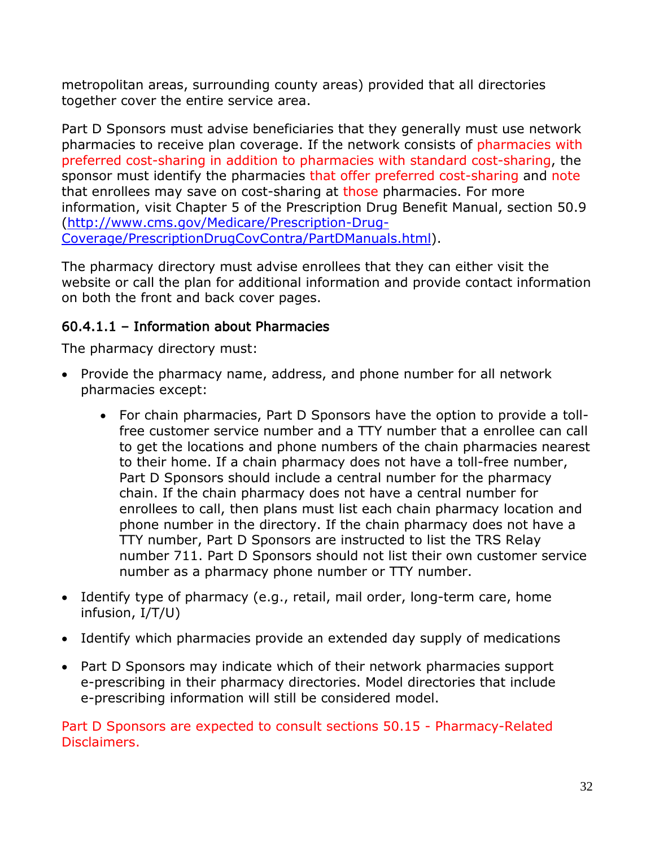metropolitan areas, surrounding county areas) provided that all directories together cover the entire service area.

Part D Sponsors must advise beneficiaries that they generally must use network pharmacies to receive plan coverage. If the network consists of pharmacies with preferred cost-sharing in addition to pharmacies with standard cost-sharing, the sponsor must identify the pharmacies that offer preferred cost-sharing and note that enrollees may save on cost-sharing at those pharmacies. For more information, visit Chapter 5 of the Prescription Drug Benefit Manual, section 50.9 [\(http://www.cms.gov/Medicare/Prescription-Drug-](http://www.cms.gov/Medicare/Prescription-Drug-Coverage/PrescriptionDrugCovContra/PartDManuals.html)[Coverage/PrescriptionDrugCovContra/PartDManuals.html\)](http://www.cms.gov/Medicare/Prescription-Drug-Coverage/PrescriptionDrugCovContra/PartDManuals.html).

The pharmacy directory must advise enrollees that they can either visit the website or call the plan for additional information and provide contact information on both the front and back cover pages.

### 60.4.1.1 – Information about Pharmacies

The pharmacy directory must:

- Provide the pharmacy name, address, and phone number for all network pharmacies except:
	- For chain pharmacies, Part D Sponsors have the option to provide a tollfree customer service number and a TTY number that a enrollee can call to get the locations and phone numbers of the chain pharmacies nearest to their home. If a chain pharmacy does not have a toll-free number, Part D Sponsors should include a central number for the pharmacy chain. If the chain pharmacy does not have a central number for enrollees to call, then plans must list each chain pharmacy location and phone number in the directory. If the chain pharmacy does not have a TTY number, Part D Sponsors are instructed to list the TRS Relay number 711. Part D Sponsors should not list their own customer service number as a pharmacy phone number or TTY number.
- Identify type of pharmacy (e.g., retail, mail order, long-term care, home infusion, I/T/U)
- Identify which pharmacies provide an extended day supply of medications
- Part D Sponsors may indicate which of their network pharmacies support e-prescribing in their pharmacy directories. Model directories that include e-prescribing information will still be considered model.

Part D Sponsors are expected to consult sections 50.15 - Pharmacy-Related Disclaimers.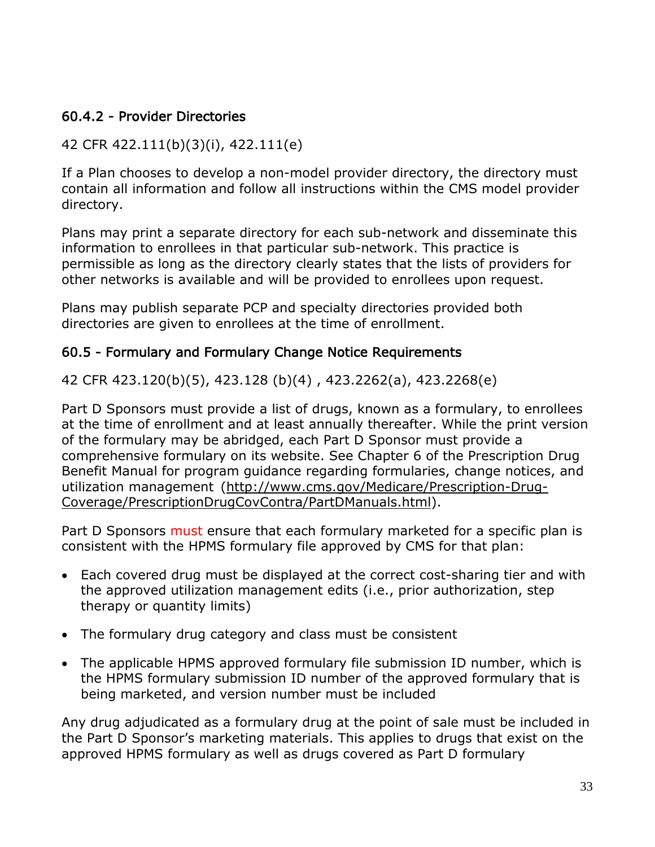#### 60.4.2 - Provider Directories

### 42 CFR 422.111(b)(3)(i), 422.111(e)

If a Plan chooses to develop a non-model provider directory, the directory must contain all information and follow all instructions within the CMS model provider directory.

Plans may print a separate directory for each sub-network and disseminate this information to enrollees in that particular sub-network. This practice is permissible as long as the directory clearly states that the lists of providers for other networks is available and will be provided to enrollees upon request.

Plans may publish separate PCP and specialty directories provided both directories are given to enrollees at the time of enrollment.

#### 60.5 - Formulary and Formulary Change Notice Requirements

42 CFR 423.120(b)(5), 423.128 (b)(4) , 423.2262(a), 423.2268(e)

Part D Sponsors must provide a list of drugs, known as a formulary, to enrollees at the time of enrollment and at least annually thereafter. While the print version of the formulary may be abridged, each Part D Sponsor must provide a comprehensive formulary on its website. See Chapter 6 of the Prescription Drug Benefit Manual for program guidance regarding formularies, change notices, and utilization management [\(http://www.cms.gov/Medicare/Prescription-Drug-](http://www.cms.gov/Medicare/Prescription-Drug-Coverage/PrescriptionDrugCovContra/PartDManuals.html)[Coverage/PrescriptionDrugCovContra/PartDManuals.html\)](http://www.cms.gov/Medicare/Prescription-Drug-Coverage/PrescriptionDrugCovContra/PartDManuals.html).

Part D Sponsors must ensure that each formulary marketed for a specific plan is consistent with the HPMS formulary file approved by CMS for that plan:

- Each covered drug must be displayed at the correct cost-sharing tier and with the approved utilization management edits (i.e., prior authorization, step therapy or quantity limits)
- The formulary drug category and class must be consistent
- The applicable HPMS approved formulary file submission ID number, which is the HPMS formulary submission ID number of the approved formulary that is being marketed, and version number must be included

Any drug adjudicated as a formulary drug at the point of sale must be included in the Part D Sponsor's marketing materials. This applies to drugs that exist on the approved HPMS formulary as well as drugs covered as Part D formulary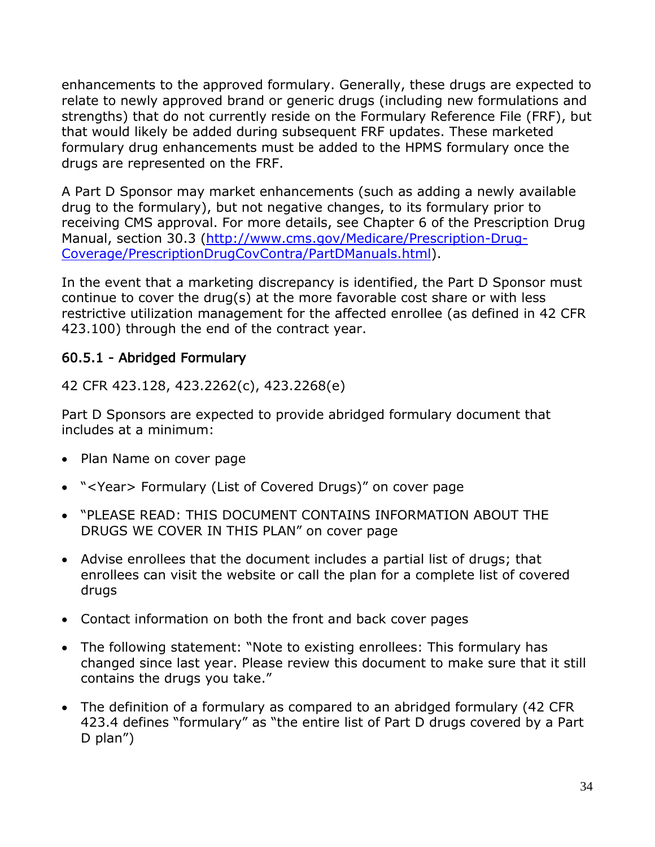enhancements to the approved formulary. Generally, these drugs are expected to relate to newly approved brand or generic drugs (including new formulations and strengths) that do not currently reside on the Formulary Reference File (FRF), but that would likely be added during subsequent FRF updates. These marketed formulary drug enhancements must be added to the HPMS formulary once the drugs are represented on the FRF.

A Part D Sponsor may market enhancements (such as adding a newly available drug to the formulary), but not negative changes, to its formulary prior to receiving CMS approval. For more details, see Chapter 6 of the Prescription Drug Manual, section 30.3 [\(http://www.cms.gov/Medicare/Prescription-Drug-](http://www.cms.gov/Medicare/Prescription-Drug-Coverage/PrescriptionDrugCovContra/PartDManuals.html)[Coverage/PrescriptionDrugCovContra/PartDManuals.html\)](http://www.cms.gov/Medicare/Prescription-Drug-Coverage/PrescriptionDrugCovContra/PartDManuals.html).

In the event that a marketing discrepancy is identified, the Part D Sponsor must continue to cover the drug(s) at the more favorable cost share or with less restrictive utilization management for the affected enrollee (as defined in 42 CFR 423.100) through the end of the contract year.

## 60.5.1 - Abridged Formulary

42 CFR 423.128, 423.2262(c), 423.2268(e)

Part D Sponsors are expected to provide abridged formulary document that includes at a minimum:

- Plan Name on cover page
- "<Year> Formulary (List of Covered Drugs)" on cover page
- "PLEASE READ: THIS DOCUMENT CONTAINS INFORMATION ABOUT THE DRUGS WE COVER IN THIS PLAN" on cover page
- Advise enrollees that the document includes a partial list of drugs; that enrollees can visit the website or call the plan for a complete list of covered drugs
- Contact information on both the front and back cover pages
- The following statement: "Note to existing enrollees: This formulary has changed since last year. Please review this document to make sure that it still contains the drugs you take."
- The definition of a formulary as compared to an abridged formulary (42 CFR 423.4 defines "formulary" as "the entire list of Part D drugs covered by a Part D plan")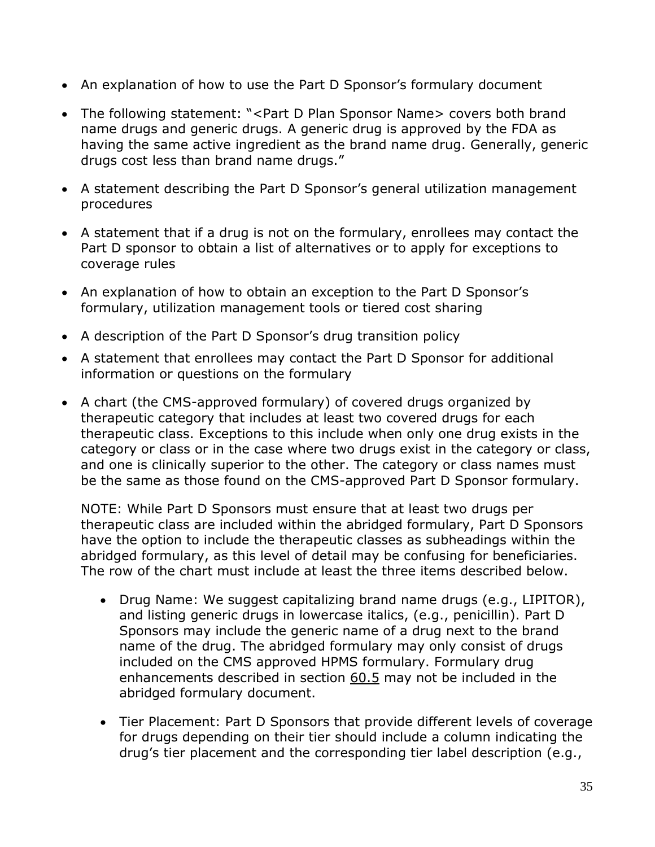- An explanation of how to use the Part D Sponsor's formulary document
- The following statement: "<Part D Plan Sponsor Name> covers both brand name drugs and generic drugs. A generic drug is approved by the FDA as having the same active ingredient as the brand name drug. Generally, generic drugs cost less than brand name drugs."
- A statement describing the Part D Sponsor's general utilization management procedures
- A statement that if a drug is not on the formulary, enrollees may contact the Part D sponsor to obtain a list of alternatives or to apply for exceptions to coverage rules
- An explanation of how to obtain an exception to the Part D Sponsor's formulary, utilization management tools or tiered cost sharing
- A description of the Part D Sponsor's drug transition policy
- A statement that enrollees may contact the Part D Sponsor for additional information or questions on the formulary
- A chart (the CMS-approved formulary) of covered drugs organized by therapeutic category that includes at least two covered drugs for each therapeutic class. Exceptions to this include when only one drug exists in the category or class or in the case where two drugs exist in the category or class, and one is clinically superior to the other. The category or class names must be the same as those found on the CMS-approved Part D Sponsor formulary.

NOTE: While Part D Sponsors must ensure that at least two drugs per therapeutic class are included within the abridged formulary, Part D Sponsors have the option to include the therapeutic classes as subheadings within the abridged formulary, as this level of detail may be confusing for beneficiaries. The row of the chart must include at least the three items described below.

- Drug Name: We suggest capitalizing brand name drugs (e.g., LIPITOR), and listing generic drugs in lowercase italics, (e.g., penicillin). Part D Sponsors may include the generic name of a drug next to the brand name of the drug. The abridged formulary may only consist of drugs included on the CMS approved HPMS formulary. Formulary drug enhancements described in section 60.5 may not be included in the abridged formulary document.
- Tier Placement: Part D Sponsors that provide different levels of coverage for drugs depending on their tier should include a column indicating the drug's tier placement and the corresponding tier label description (e.g.,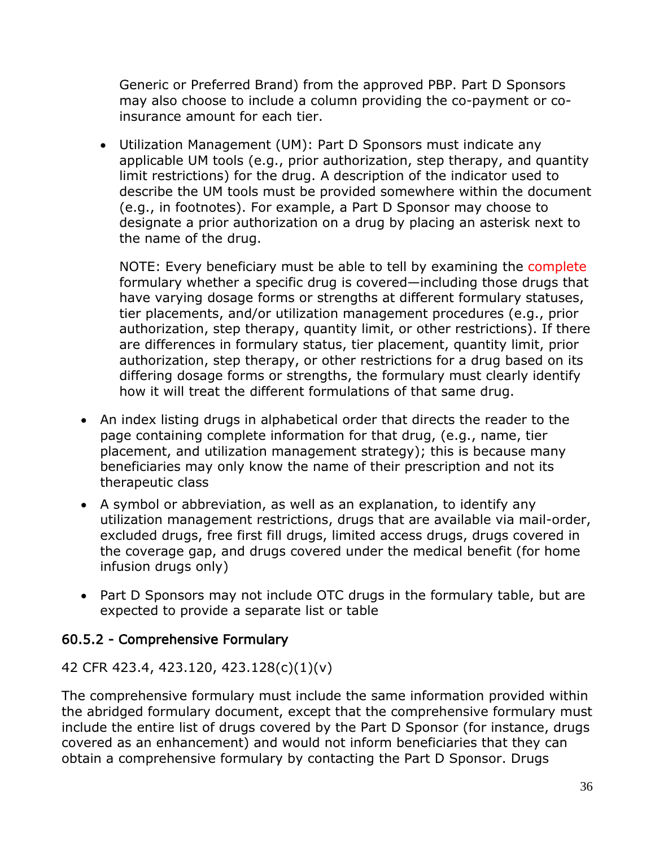Generic or Preferred Brand) from the approved PBP. Part D Sponsors may also choose to include a column providing the co-payment or coinsurance amount for each tier.

• Utilization Management (UM): Part D Sponsors must indicate any applicable UM tools (e.g., prior authorization, step therapy, and quantity limit restrictions) for the drug. A description of the indicator used to describe the UM tools must be provided somewhere within the document (e.g., in footnotes). For example, a Part D Sponsor may choose to designate a prior authorization on a drug by placing an asterisk next to the name of the drug.

NOTE: Every beneficiary must be able to tell by examining the complete formulary whether a specific drug is covered—including those drugs that have varying dosage forms or strengths at different formulary statuses, tier placements, and/or utilization management procedures (e.g., prior authorization, step therapy, quantity limit, or other restrictions). If there are differences in formulary status, tier placement, quantity limit, prior authorization, step therapy, or other restrictions for a drug based on its differing dosage forms or strengths, the formulary must clearly identify how it will treat the different formulations of that same drug.

- An index listing drugs in alphabetical order that directs the reader to the page containing complete information for that drug, (e.g., name, tier placement, and utilization management strategy); this is because many beneficiaries may only know the name of their prescription and not its therapeutic class
- A symbol or abbreviation, as well as an explanation, to identify any utilization management restrictions, drugs that are available via mail-order, excluded drugs, free first fill drugs, limited access drugs, drugs covered in the coverage gap, and drugs covered under the medical benefit (for home infusion drugs only)
- Part D Sponsors may not include OTC drugs in the formulary table, but are expected to provide a separate list or table

## 60.5.2 - Comprehensive Formulary

#### 42 CFR 423.4, 423.120, 423.128(c)(1)(v)

The comprehensive formulary must include the same information provided within the abridged formulary document, except that the comprehensive formulary must include the entire list of drugs covered by the Part D Sponsor (for instance, drugs covered as an enhancement) and would not inform beneficiaries that they can obtain a comprehensive formulary by contacting the Part D Sponsor. Drugs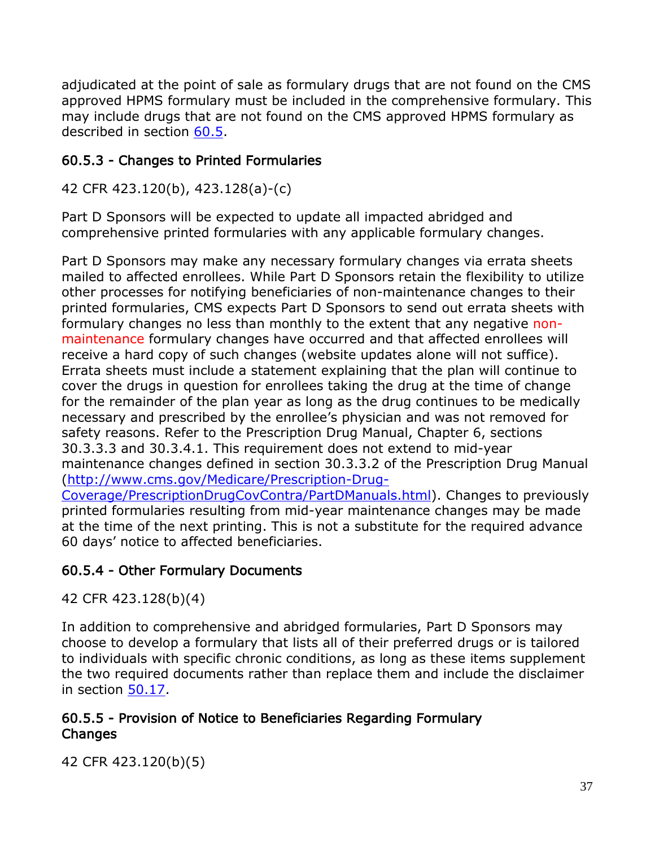adjudicated at the point of sale as formulary drugs that are not found on the CMS approved HPMS formulary must be included in the comprehensive formulary. This may include drugs that are not found on the CMS approved HPMS formulary as described in section 60.5.

## 60.5.3 - Changes to Printed Formularies

42 CFR 423.120(b), 423.128(a)-(c)

Part D Sponsors will be expected to update all impacted abridged and comprehensive printed formularies with any applicable formulary changes.

Part D Sponsors may make any necessary formulary changes via errata sheets mailed to affected enrollees. While Part D Sponsors retain the flexibility to utilize other processes for notifying beneficiaries of non-maintenance changes to their printed formularies, CMS expects Part D Sponsors to send out errata sheets with formulary changes no less than monthly to the extent that any negative nonmaintenance formulary changes have occurred and that affected enrollees will receive a hard copy of such changes (website updates alone will not suffice). Errata sheets must include a statement explaining that the plan will continue to cover the drugs in question for enrollees taking the drug at the time of change for the remainder of the plan year as long as the drug continues to be medically necessary and prescribed by the enrollee's physician and was not removed for safety reasons. Refer to the Prescription Drug Manual, Chapter 6, sections 30.3.3.3 and 30.3.4.1. This requirement does not extend to mid-year maintenance changes defined in section 30.3.3.2 of the Prescription Drug Manual [\(http://www.cms.gov/Medicare/Prescription-Drug-](http://www.cms.gov/Medicare/Prescription-Drug-Coverage/PrescriptionDrugCovContra/PartDManuals.html)[Coverage/PrescriptionDrugCovContra/PartDManuals.html\)](http://www.cms.gov/Medicare/Prescription-Drug-Coverage/PrescriptionDrugCovContra/PartDManuals.html). Changes to previously printed formularies resulting from mid-year maintenance changes may be made at the time of the next printing. This is not a substitute for the required advance 60 days' notice to affected beneficiaries.

## 60.5.4 - Other Formulary Documents

42 CFR 423.128(b)(4)

In addition to comprehensive and abridged formularies, Part D Sponsors may choose to develop a formulary that lists all of their preferred drugs or is tailored to individuals with specific chronic conditions, as long as these items supplement the two required documents rather than replace them and include the disclaimer in section 50.17.

### 60.5.5 - Provision of Notice to Beneficiaries Regarding Formulary Changes

42 CFR 423.120(b)(5)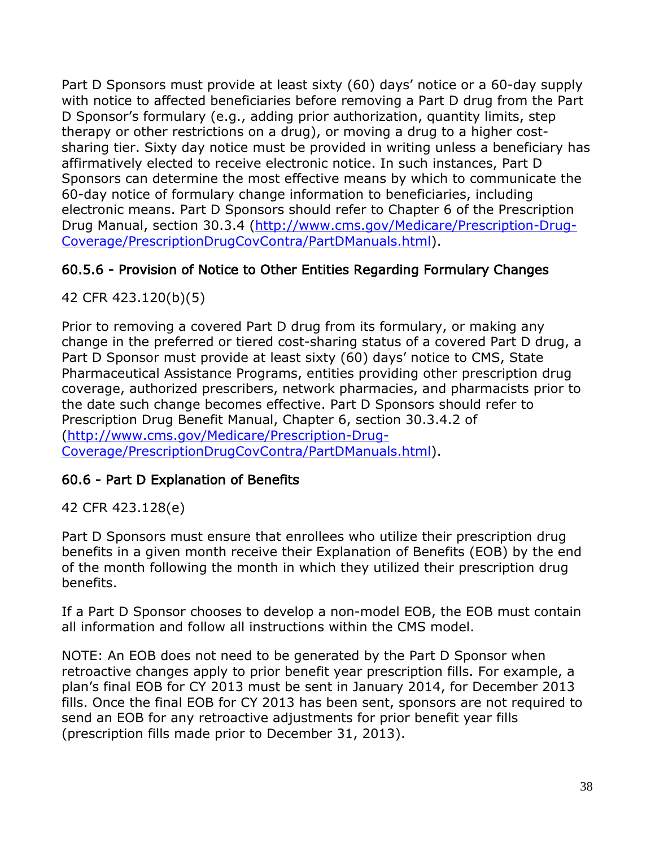Part D Sponsors must provide at least sixty (60) days' notice or a 60-day supply with notice to affected beneficiaries before removing a Part D drug from the Part D Sponsor's formulary (e.g., adding prior authorization, quantity limits, step therapy or other restrictions on a drug), or moving a drug to a higher costsharing tier. Sixty day notice must be provided in writing unless a beneficiary has affirmatively elected to receive electronic notice. In such instances, Part D Sponsors can determine the most effective means by which to communicate the 60-day notice of formulary change information to beneficiaries, including electronic means. Part D Sponsors should refer to Chapter 6 of the Prescription Drug Manual, section 30.3.4 [\(http://www.cms.gov/Medicare/Prescription-Drug-](http://www.cms.gov/Medicare/Prescription-Drug-Coverage/PrescriptionDrugCovContra/PartDManuals.html)[Coverage/PrescriptionDrugCovContra/PartDManuals.html\)](http://www.cms.gov/Medicare/Prescription-Drug-Coverage/PrescriptionDrugCovContra/PartDManuals.html).

## 60.5.6 - Provision of Notice to Other Entities Regarding Formulary Changes

42 CFR 423.120(b)(5)

Prior to removing a covered Part D drug from its formulary, or making any change in the preferred or tiered cost-sharing status of a covered Part D drug, a Part D Sponsor must provide at least sixty (60) days' notice to CMS, State Pharmaceutical Assistance Programs, entities providing other prescription drug coverage, authorized prescribers, network pharmacies, and pharmacists prior to the date such change becomes effective. Part D Sponsors should refer to Prescription Drug Benefit Manual, Chapter 6, section 30.3.4.2 of [\(http://www.cms.gov/Medicare/Prescription-Drug-](http://www.cms.gov/Medicare/Prescription-Drug-Coverage/PrescriptionDrugCovContra/PartDManuals.html)[Coverage/PrescriptionDrugCovContra/PartDManuals.html\)](http://www.cms.gov/Medicare/Prescription-Drug-Coverage/PrescriptionDrugCovContra/PartDManuals.html).

## 60.6 - Part D Explanation of Benefits

42 CFR 423.128(e)

Part D Sponsors must ensure that enrollees who utilize their prescription drug benefits in a given month receive their Explanation of Benefits (EOB) by the end of the month following the month in which they utilized their prescription drug benefits.

If a Part D Sponsor chooses to develop a non-model EOB, the EOB must contain all information and follow all instructions within the CMS model.

NOTE: An EOB does not need to be generated by the Part D Sponsor when retroactive changes apply to prior benefit year prescription fills. For example, a plan's final EOB for CY 2013 must be sent in January 2014, for December 2013 fills. Once the final EOB for CY 2013 has been sent, sponsors are not required to send an EOB for any retroactive adjustments for prior benefit year fills (prescription fills made prior to December 31, 2013).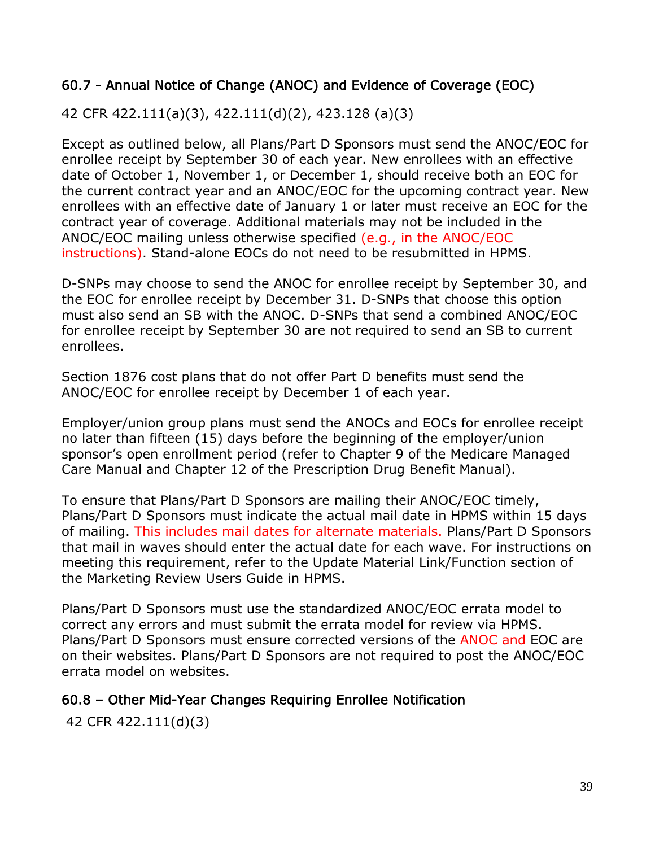### 60.7 - Annual Notice of Change (ANOC) and Evidence of Coverage (EOC)

42 CFR 422.111(a)(3), 422.111(d)(2), 423.128 (a)(3)

Except as outlined below, all Plans/Part D Sponsors must send the ANOC/EOC for enrollee receipt by September 30 of each year. New enrollees with an effective date of October 1, November 1, or December 1, should receive both an EOC for the current contract year and an ANOC/EOC for the upcoming contract year. New enrollees with an effective date of January 1 or later must receive an EOC for the contract year of coverage. Additional materials may not be included in the ANOC/EOC mailing unless otherwise specified (e.g., in the ANOC/EOC instructions). Stand-alone EOCs do not need to be resubmitted in HPMS.

D-SNPs may choose to send the ANOC for enrollee receipt by September 30, and the EOC for enrollee receipt by December 31. D-SNPs that choose this option must also send an SB with the ANOC. D-SNPs that send a combined ANOC/EOC for enrollee receipt by September 30 are not required to send an SB to current enrollees.

Section 1876 cost plans that do not offer Part D benefits must send the ANOC/EOC for enrollee receipt by December 1 of each year.

Employer/union group plans must send the ANOCs and EOCs for enrollee receipt no later than fifteen (15) days before the beginning of the employer/union sponsor's open enrollment period (refer to Chapter 9 of the Medicare Managed Care Manual and Chapter 12 of the Prescription Drug Benefit Manual).

To ensure that Plans/Part D Sponsors are mailing their ANOC/EOC timely, Plans/Part D Sponsors must indicate the actual mail date in HPMS within 15 days of mailing. This includes mail dates for alternate materials. Plans/Part D Sponsors that mail in waves should enter the actual date for each wave. For instructions on meeting this requirement, refer to the Update Material Link/Function section of the Marketing Review Users Guide in HPMS.

Plans/Part D Sponsors must use the standardized ANOC/EOC errata model to correct any errors and must submit the errata model for review via HPMS. Plans/Part D Sponsors must ensure corrected versions of the ANOC and EOC are on their websites. Plans/Part D Sponsors are not required to post the ANOC/EOC errata model on websites.

#### 60.8 – Other Mid-Year Changes Requiring Enrollee Notification

42 CFR 422.111(d)(3)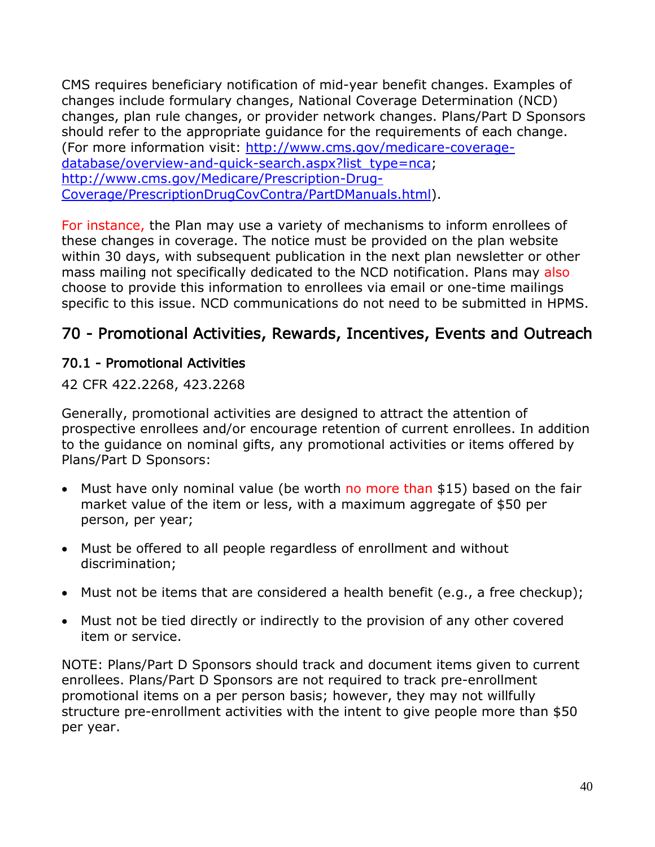CMS requires beneficiary notification of mid-year benefit changes. Examples of changes include formulary changes, National Coverage Determination (NCD) changes, plan rule changes, or provider network changes. Plans/Part D Sponsors should refer to the appropriate guidance for the requirements of each change. (For more information visit: [http://www.cms.gov/medicare-coverage](http://www.cms.gov/medicare-coverage-database/overview-and-quick-search.aspx?list_type=nca)[database/overview-and-quick-search.aspx?list\\_type=nca;](http://www.cms.gov/medicare-coverage-database/overview-and-quick-search.aspx?list_type=nca) [http://www.cms.gov/Medicare/Prescription-Drug-](http://www.cms.gov/Medicare/Prescription-Drug-Coverage/PrescriptionDrugCovContra/PartDManuals.html)[Coverage/PrescriptionDrugCovContra/PartDManuals.html\)](http://www.cms.gov/Medicare/Prescription-Drug-Coverage/PrescriptionDrugCovContra/PartDManuals.html).

For instance, the Plan may use a variety of mechanisms to inform enrollees of these changes in coverage. The notice must be provided on the plan website within 30 days, with subsequent publication in the next plan newsletter or other mass mailing not specifically dedicated to the NCD notification. Plans may also choose to provide this information to enrollees via email or one-time mailings specific to this issue. NCD communications do not need to be submitted in HPMS.

# 70 - Promotional Activities, Rewards, Incentives, Events and Outreach

### 70.1 - Promotional Activities

42 CFR 422.2268, 423.2268

Generally, promotional activities are designed to attract the attention of prospective enrollees and/or encourage retention of current enrollees. In addition to the guidance on nominal gifts, any promotional activities or items offered by Plans/Part D Sponsors:

- Must have only nominal value (be worth no more than \$15) based on the fair market value of the item or less, with a maximum aggregate of \$50 per person, per year;
- Must be offered to all people regardless of enrollment and without discrimination;
- Must not be items that are considered a health benefit (e.g., a free checkup);
- Must not be tied directly or indirectly to the provision of any other covered item or service.

NOTE: Plans/Part D Sponsors should track and document items given to current enrollees. Plans/Part D Sponsors are not required to track pre-enrollment promotional items on a per person basis; however, they may not willfully structure pre-enrollment activities with the intent to give people more than \$50 per year.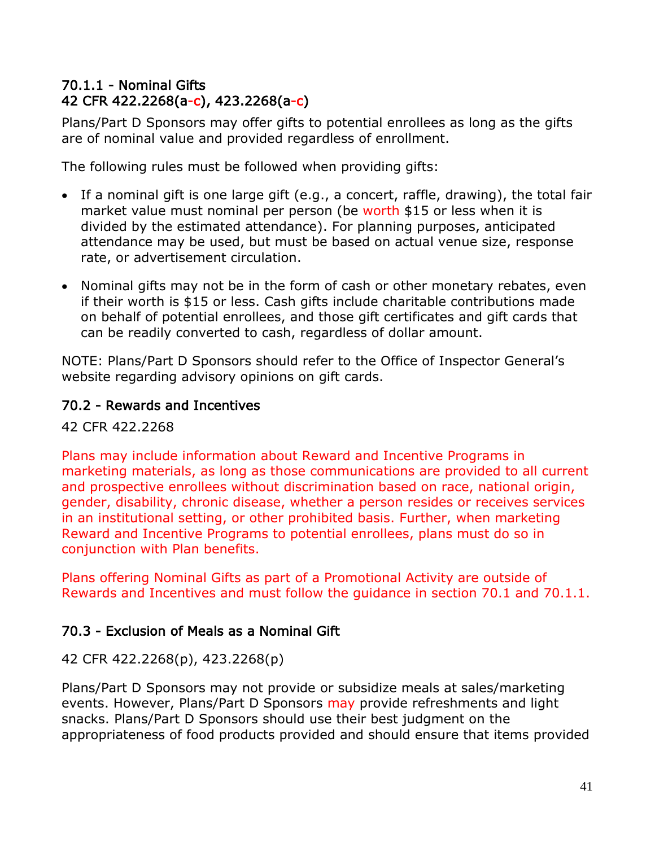### 70.1.1 - Nominal Gifts 42 CFR 422.2268(a-c), 423.2268(a-c)

Plans/Part D Sponsors may offer gifts to potential enrollees as long as the gifts are of nominal value and provided regardless of enrollment.

The following rules must be followed when providing gifts:

- If a nominal gift is one large gift (e.g., a concert, raffle, drawing), the total fair market value must nominal per person (be worth \$15 or less when it is divided by the estimated attendance). For planning purposes, anticipated attendance may be used, but must be based on actual venue size, response rate, or advertisement circulation.
- Nominal gifts may not be in the form of cash or other monetary rebates, even if their worth is \$15 or less. Cash gifts include charitable contributions made on behalf of potential enrollees, and those gift certificates and gift cards that can be readily converted to cash, regardless of dollar amount.

NOTE: Plans/Part D Sponsors should refer to the Office of Inspector General's website regarding advisory opinions on gift cards.

## 70.2 - Rewards and Incentives

42 CFR 422.2268

Plans may include information about Reward and Incentive Programs in marketing materials, as long as those communications are provided to all current and prospective enrollees without discrimination based on race, national origin, gender, disability, chronic disease, whether a person resides or receives services in an institutional setting, or other prohibited basis. Further, when marketing Reward and Incentive Programs to potential enrollees, plans must do so in conjunction with Plan benefits.

Plans offering Nominal Gifts as part of a Promotional Activity are outside of Rewards and Incentives and must follow the guidance in section 70.1 and 70.1.1.

## 70.3 - Exclusion of Meals as a Nominal Gift

42 CFR 422.2268(p), 423.2268(p)

Plans/Part D Sponsors may not provide or subsidize meals at sales/marketing events. However, Plans/Part D Sponsors may provide refreshments and light snacks. Plans/Part D Sponsors should use their best judgment on the appropriateness of food products provided and should ensure that items provided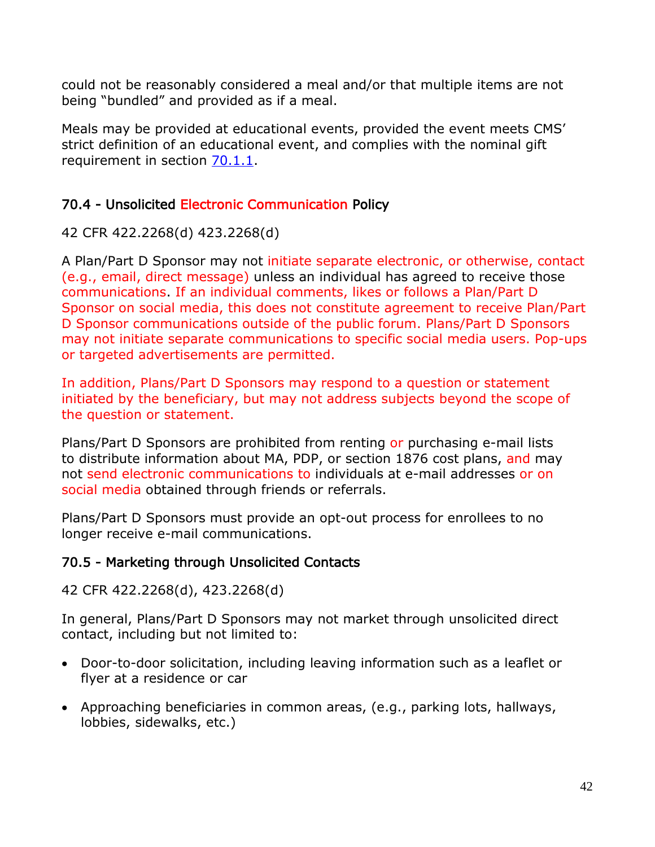could not be reasonably considered a meal and/or that multiple items are not being "bundled" and provided as if a meal.

Meals may be provided at educational events, provided the event meets CMS' strict definition of an educational event, and complies with the nominal gift requirement in section 70.1.1.

## 70.4 - Unsolicited Electronic Communication Policy

42 CFR 422.2268(d) 423.2268(d)

A Plan/Part D Sponsor may not initiate separate electronic, or otherwise, contact (e.g., email, direct message) unless an individual has agreed to receive those communications. If an individual comments, likes or follows a Plan/Part D Sponsor on social media, this does not constitute agreement to receive Plan/Part D Sponsor communications outside of the public forum. Plans/Part D Sponsors may not initiate separate communications to specific social media users. Pop-ups or targeted advertisements are permitted.

In addition, Plans/Part D Sponsors may respond to a question or statement initiated by the beneficiary, but may not address subjects beyond the scope of the question or statement.

Plans/Part D Sponsors are prohibited from renting or purchasing e-mail lists to distribute information about MA, PDP, or section 1876 cost plans, and may not send electronic communications to individuals at e-mail addresses or on social media obtained through friends or referrals.

Plans/Part D Sponsors must provide an opt-out process for enrollees to no longer receive e-mail communications.

## 70.5 - Marketing through Unsolicited Contacts

42 CFR 422.2268(d), 423.2268(d)

In general, Plans/Part D Sponsors may not market through unsolicited direct contact, including but not limited to:

- Door-to-door solicitation, including leaving information such as a leaflet or flyer at a residence or car
- Approaching beneficiaries in common areas, (e.g., parking lots, hallways, lobbies, sidewalks, etc.)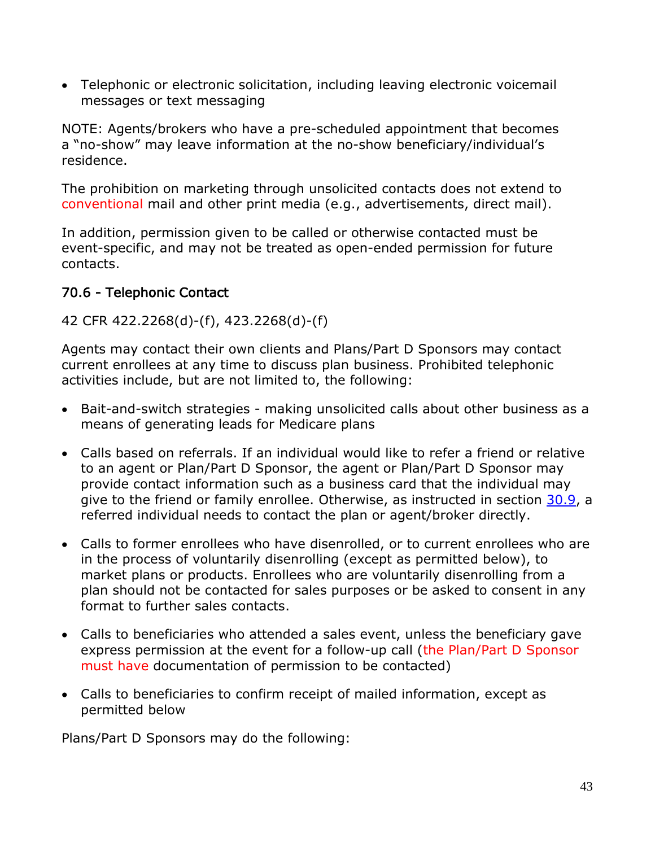• Telephonic or electronic solicitation, including leaving electronic voicemail messages or text messaging

NOTE: Agents/brokers who have a pre-scheduled appointment that becomes a "no-show" may leave information at the no-show beneficiary/individual's residence.

The prohibition on marketing through unsolicited contacts does not extend to conventional mail and other print media (e.g., advertisements, direct mail).

In addition, permission given to be called or otherwise contacted must be event-specific, and may not be treated as open-ended permission for future contacts.

## 70.6 - Telephonic Contact

## 42 CFR 422.2268(d)-(f), 423.2268(d)-(f)

Agents may contact their own clients and Plans/Part D Sponsors may contact current enrollees at any time to discuss plan business. Prohibited telephonic activities include, but are not limited to, the following:

- Bait-and-switch strategies making unsolicited calls about other business as a means of generating leads for Medicare plans
- Calls based on referrals. If an individual would like to refer a friend or relative to an agent or Plan/Part D Sponsor, the agent or Plan/Part D Sponsor may provide contact information such as a business card that the individual may give to the friend or family enrollee. Otherwise, as instructed in section 30.9, a referred individual needs to contact the plan or agent/broker directly.
- Calls to former enrollees who have disenrolled, or to current enrollees who are in the process of voluntarily disenrolling (except as permitted below), to market plans or products. Enrollees who are voluntarily disenrolling from a plan should not be contacted for sales purposes or be asked to consent in any format to further sales contacts.
- Calls to beneficiaries who attended a sales event, unless the beneficiary gave express permission at the event for a follow-up call (the Plan/Part D Sponsor must have documentation of permission to be contacted)
- Calls to beneficiaries to confirm receipt of mailed information, except as permitted below

Plans/Part D Sponsors may do the following: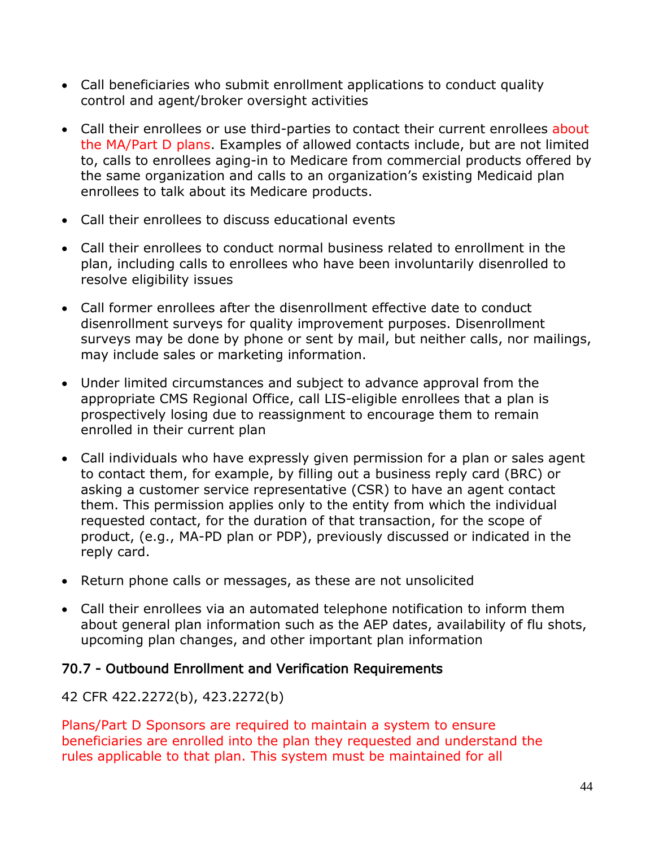- Call beneficiaries who submit enrollment applications to conduct quality control and agent/broker oversight activities
- Call their enrollees or use third-parties to contact their current enrollees about the MA/Part D plans. Examples of allowed contacts include, but are not limited to, calls to enrollees aging-in to Medicare from commercial products offered by the same organization and calls to an organization's existing Medicaid plan enrollees to talk about its Medicare products.
- Call their enrollees to discuss educational events
- Call their enrollees to conduct normal business related to enrollment in the plan, including calls to enrollees who have been involuntarily disenrolled to resolve eligibility issues
- Call former enrollees after the disenrollment effective date to conduct disenrollment surveys for quality improvement purposes. Disenrollment surveys may be done by phone or sent by mail, but neither calls, nor mailings, may include sales or marketing information.
- Under limited circumstances and subject to advance approval from the appropriate CMS Regional Office, call LIS-eligible enrollees that a plan is prospectively losing due to reassignment to encourage them to remain enrolled in their current plan
- Call individuals who have expressly given permission for a plan or sales agent to contact them, for example, by filling out a business reply card (BRC) or asking a customer service representative (CSR) to have an agent contact them. This permission applies only to the entity from which the individual requested contact, for the duration of that transaction, for the scope of product, (e.g., MA-PD plan or PDP), previously discussed or indicated in the reply card.
- Return phone calls or messages, as these are not unsolicited
- Call their enrollees via an automated telephone notification to inform them about general plan information such as the AEP dates, availability of flu shots, upcoming plan changes, and other important plan information

## 70.7 - Outbound Enrollment and Verification Requirements

42 CFR 422.2272(b), 423.2272(b)

Plans/Part D Sponsors are required to maintain a system to ensure beneficiaries are enrolled into the plan they requested and understand the rules applicable to that plan. This system must be maintained for all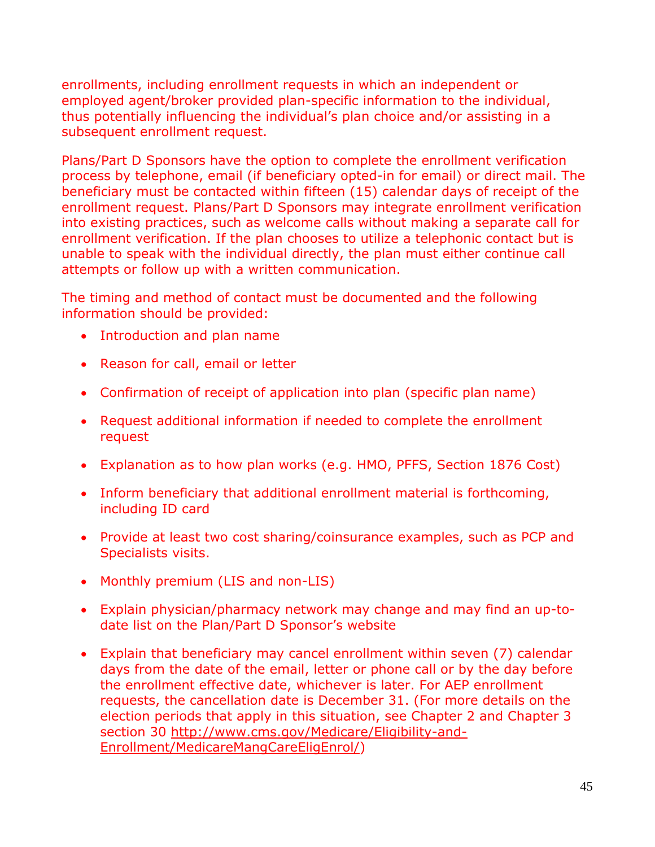enrollments, including enrollment requests in which an independent or employed agent/broker provided plan-specific information to the individual, thus potentially influencing the individual's plan choice and/or assisting in a subsequent enrollment request.

Plans/Part D Sponsors have the option to complete the enrollment verification process by telephone, email (if beneficiary opted-in for email) or direct mail. The beneficiary must be contacted within fifteen (15) calendar days of receipt of the enrollment request. Plans/Part D Sponsors may integrate enrollment verification into existing practices, such as welcome calls without making a separate call for enrollment verification. If the plan chooses to utilize a telephonic contact but is unable to speak with the individual directly, the plan must either continue call attempts or follow up with a written communication.

The timing and method of contact must be documented and the following information should be provided:

- Introduction and plan name
- Reason for call, email or letter
- Confirmation of receipt of application into plan (specific plan name)
- Request additional information if needed to complete the enrollment request
- Explanation as to how plan works (e.g. HMO, PFFS, Section 1876 Cost)
- Inform beneficiary that additional enrollment material is forthcoming, including ID card
- Provide at least two cost sharing/coinsurance examples, such as PCP and Specialists visits.
- Monthly premium (LIS and non-LIS)
- Explain physician/pharmacy network may change and may find an up-todate list on the Plan/Part D Sponsor's website
- Explain that beneficiary may cancel enrollment within seven (7) calendar days from the date of the email, letter or phone call or by the day before the enrollment effective date, whichever is later. For AEP enrollment requests, the cancellation date is December 31. (For more details on the election periods that apply in this situation, see Chapter 2 and Chapter 3 section 30 [http://www.cms.gov/Medicare/Eligibility-and-](http://www.cms.gov/Medicare/Eligibility-and-Enrollment/MedicareMangCareEligEnrol/)[Enrollment/MedicareMangCareEligEnrol/\)](http://www.cms.gov/Medicare/Eligibility-and-Enrollment/MedicareMangCareEligEnrol/)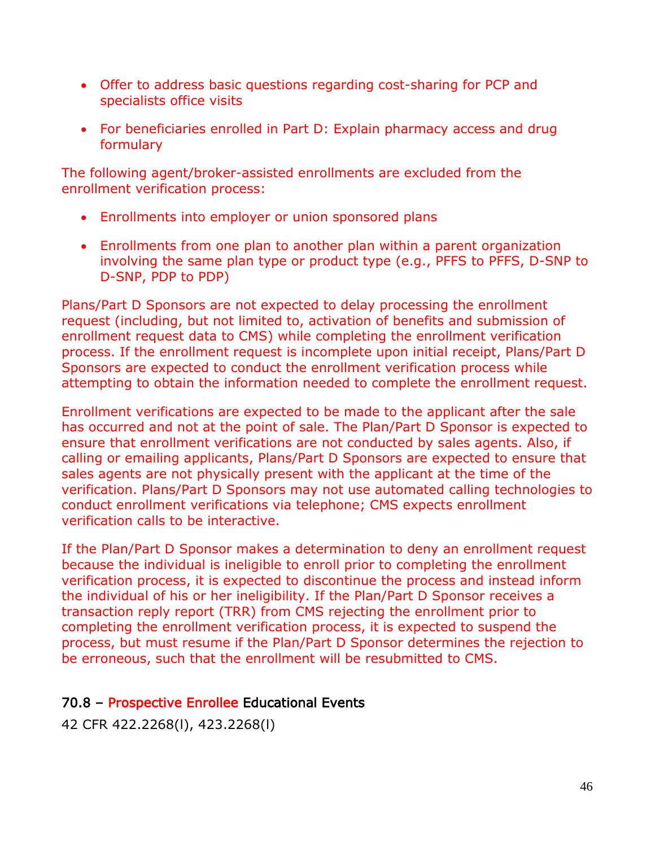- Offer to address basic questions regarding cost-sharing for PCP and specialists office visits
- For beneficiaries enrolled in Part D: Explain pharmacy access and drug formulary

The following agent/broker-assisted enrollments are excluded from the enrollment verification process:

- Enrollments into employer or union sponsored plans
- Enrollments from one plan to another plan within a parent organization involving the same plan type or product type (e.g., PFFS to PFFS, D-SNP to D-SNP, PDP to PDP)

Plans/Part D Sponsors are not expected to delay processing the enrollment request (including, but not limited to, activation of benefits and submission of enrollment request data to CMS) while completing the enrollment verification process. If the enrollment request is incomplete upon initial receipt, Plans/Part D Sponsors are expected to conduct the enrollment verification process while attempting to obtain the information needed to complete the enrollment request.

Enrollment verifications are expected to be made to the applicant after the sale has occurred and not at the point of sale. The Plan/Part D Sponsor is expected to ensure that enrollment verifications are not conducted by sales agents. Also, if calling or emailing applicants, Plans/Part D Sponsors are expected to ensure that sales agents are not physically present with the applicant at the time of the verification. Plans/Part D Sponsors may not use automated calling technologies to conduct enrollment verifications via telephone; CMS expects enrollment verification calls to be interactive.

If the Plan/Part D Sponsor makes a determination to deny an enrollment request because the individual is ineligible to enroll prior to completing the enrollment verification process, it is expected to discontinue the process and instead inform the individual of his or her ineligibility. If the Plan/Part D Sponsor receives a transaction reply report (TRR) from CMS rejecting the enrollment prior to completing the enrollment verification process, it is expected to suspend the process, but must resume if the Plan/Part D Sponsor determines the rejection to be erroneous, such that the enrollment will be resubmitted to CMS.

#### 70.8 – Prospective Enrollee Educational Events

42 CFR 422.2268(l), 423.2268(l)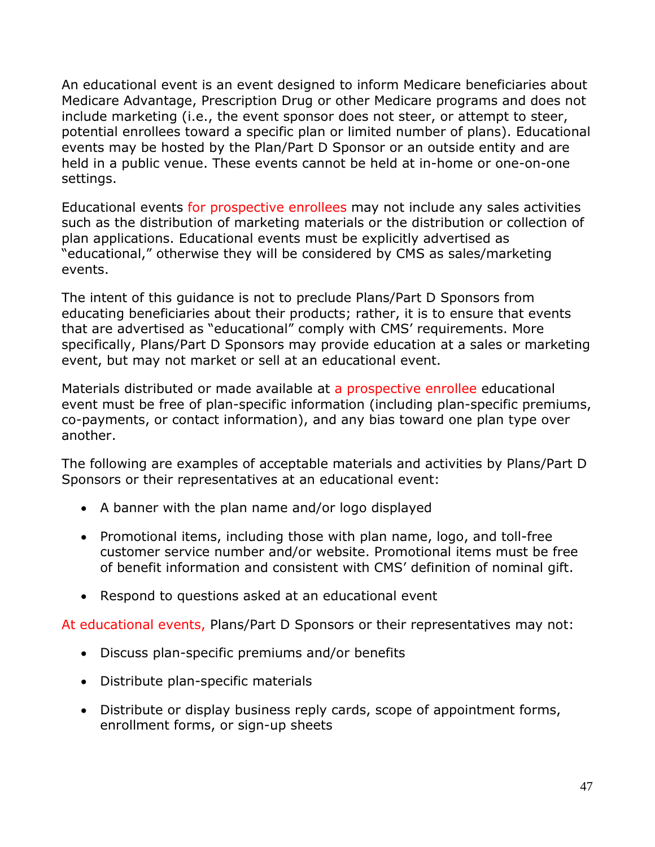An educational event is an event designed to inform Medicare beneficiaries about Medicare Advantage, Prescription Drug or other Medicare programs and does not include marketing (i.e., the event sponsor does not steer, or attempt to steer, potential enrollees toward a specific plan or limited number of plans). Educational events may be hosted by the Plan/Part D Sponsor or an outside entity and are held in a public venue. These events cannot be held at in-home or one-on-one settings.

Educational events for prospective enrollees may not include any sales activities such as the distribution of marketing materials or the distribution or collection of plan applications. Educational events must be explicitly advertised as "educational," otherwise they will be considered by CMS as sales/marketing events.

The intent of this guidance is not to preclude Plans/Part D Sponsors from educating beneficiaries about their products; rather, it is to ensure that events that are advertised as "educational" comply with CMS' requirements. More specifically, Plans/Part D Sponsors may provide education at a sales or marketing event, but may not market or sell at an educational event.

Materials distributed or made available at a prospective enrollee educational event must be free of plan-specific information (including plan-specific premiums, co-payments, or contact information), and any bias toward one plan type over another.

The following are examples of acceptable materials and activities by Plans/Part D Sponsors or their representatives at an educational event:

- A banner with the plan name and/or logo displayed
- Promotional items, including those with plan name, logo, and toll-free customer service number and/or website. Promotional items must be free of benefit information and consistent with CMS' definition of nominal gift.
- Respond to questions asked at an educational event

At educational events, Plans/Part D Sponsors or their representatives may not:

- Discuss plan-specific premiums and/or benefits
- Distribute plan-specific materials
- Distribute or display business reply cards, scope of appointment forms, enrollment forms, or sign-up sheets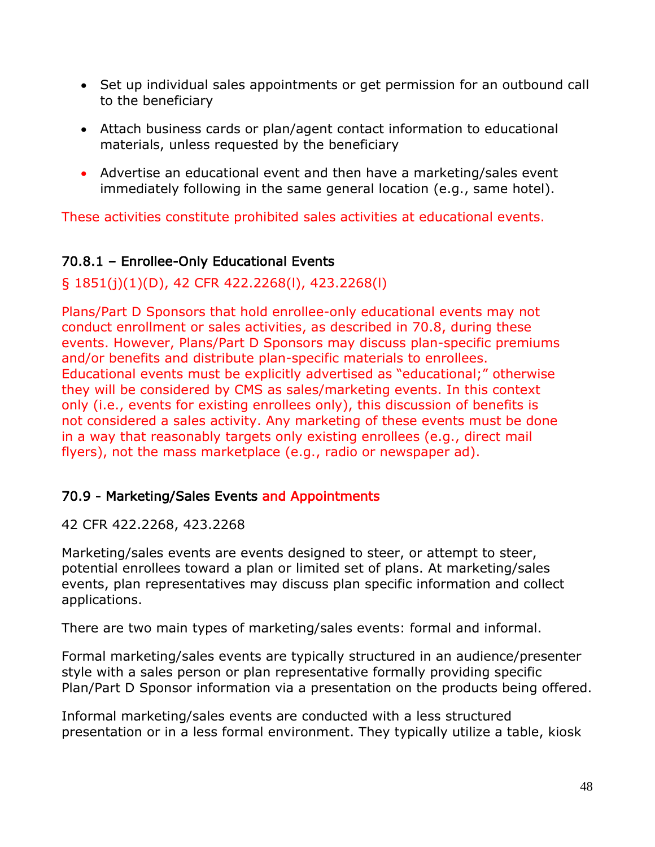- Set up individual sales appointments or get permission for an outbound call to the beneficiary
- Attach business cards or plan/agent contact information to educational materials, unless requested by the beneficiary
- Advertise an educational event and then have a marketing/sales event immediately following in the same general location (e.g., same hotel).

These activities constitute prohibited sales activities at educational events.

## 70.8.1 – Enrollee-Only Educational Events

## § 1851(j)(1)(D), 42 CFR 422.2268(l), 423.2268(l)

Plans/Part D Sponsors that hold enrollee-only educational events may not conduct enrollment or sales activities, as described in 70.8, during these events. However, Plans/Part D Sponsors may discuss plan-specific premiums and/or benefits and distribute plan-specific materials to enrollees. Educational events must be explicitly advertised as "educational;" otherwise they will be considered by CMS as sales/marketing events. In this context only (i.e., events for existing enrollees only), this discussion of benefits is not considered a sales activity. Any marketing of these events must be done in a way that reasonably targets only existing enrollees (e.g., direct mail flyers), not the mass marketplace (e.g., radio or newspaper ad).

#### 70.9 - Marketing/Sales Events and Appointments

#### 42 CFR 422.2268, 423.2268

Marketing/sales events are events designed to steer, or attempt to steer, potential enrollees toward a plan or limited set of plans. At marketing/sales events, plan representatives may discuss plan specific information and collect applications.

There are two main types of marketing/sales events: formal and informal.

Formal marketing/sales events are typically structured in an audience/presenter style with a sales person or plan representative formally providing specific Plan/Part D Sponsor information via a presentation on the products being offered.

Informal marketing/sales events are conducted with a less structured presentation or in a less formal environment. They typically utilize a table, kiosk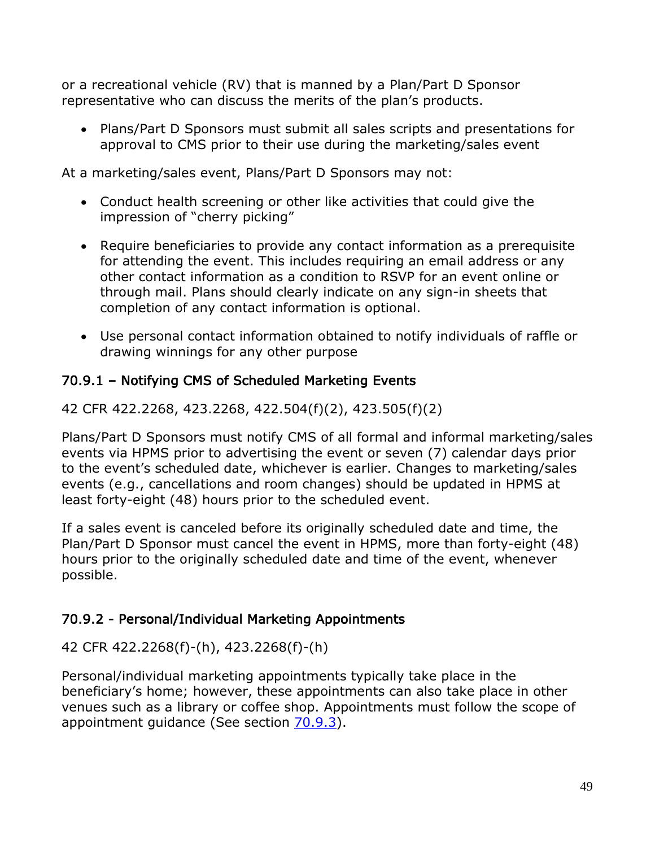or a recreational vehicle (RV) that is manned by a Plan/Part D Sponsor representative who can discuss the merits of the plan's products.

• Plans/Part D Sponsors must submit all sales scripts and presentations for approval to CMS prior to their use during the marketing/sales event

At a marketing/sales event, Plans/Part D Sponsors may not:

- Conduct health screening or other like activities that could give the impression of "cherry picking"
- Require beneficiaries to provide any contact information as a prerequisite for attending the event. This includes requiring an email address or any other contact information as a condition to RSVP for an event online or through mail. Plans should clearly indicate on any sign-in sheets that completion of any contact information is optional.
- Use personal contact information obtained to notify individuals of raffle or drawing winnings for any other purpose

## 70.9.1 – Notifying CMS of Scheduled Marketing Events

42 CFR 422.2268, 423.2268, 422.504(f)(2), 423.505(f)(2)

Plans/Part D Sponsors must notify CMS of all formal and informal marketing/sales events via HPMS prior to advertising the event or seven (7) calendar days prior to the event's scheduled date, whichever is earlier. Changes to marketing/sales events (e.g., cancellations and room changes) should be updated in HPMS at least forty-eight (48) hours prior to the scheduled event.

If a sales event is canceled before its originally scheduled date and time, the Plan/Part D Sponsor must cancel the event in HPMS, more than forty-eight (48) hours prior to the originally scheduled date and time of the event, whenever possible.

## 70.9.2 - Personal/Individual Marketing Appointments

## 42 CFR 422.2268(f)-(h), 423.2268(f)-(h)

Personal/individual marketing appointments typically take place in the beneficiary's home; however, these appointments can also take place in other venues such as a library or coffee shop. Appointments must follow the scope of appointment guidance (See section 70.9.3).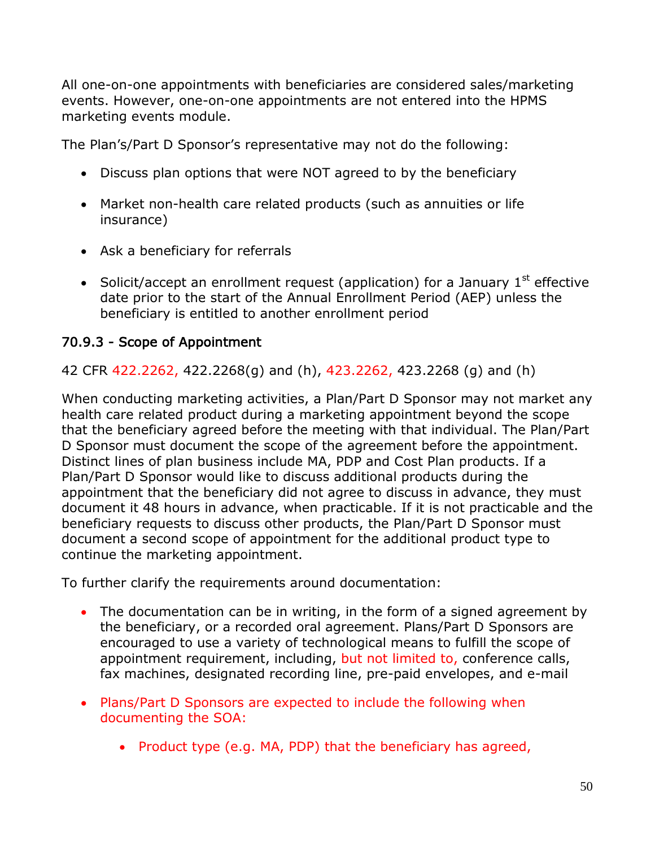All one-on-one appointments with beneficiaries are considered sales/marketing events. However, one-on-one appointments are not entered into the HPMS marketing events module.

The Plan's/Part D Sponsor's representative may not do the following:

- Discuss plan options that were NOT agreed to by the beneficiary
- Market non-health care related products (such as annuities or life insurance)
- Ask a beneficiary for referrals
- Solicit/accept an enrollment request (application) for a January  $1<sup>st</sup>$  effective date prior to the start of the Annual Enrollment Period (AEP) unless the beneficiary is entitled to another enrollment period

## 70.9.3 - Scope of Appointment

42 CFR 422.2262, 422.2268(g) and (h), 423.2262, 423.2268 (g) and (h)

When conducting marketing activities, a Plan/Part D Sponsor may not market any health care related product during a marketing appointment beyond the scope that the beneficiary agreed before the meeting with that individual. The Plan/Part D Sponsor must document the scope of the agreement before the appointment. Distinct lines of plan business include MA, PDP and Cost Plan products. If a Plan/Part D Sponsor would like to discuss additional products during the appointment that the beneficiary did not agree to discuss in advance, they must document it 48 hours in advance, when practicable. If it is not practicable and the beneficiary requests to discuss other products, the Plan/Part D Sponsor must document a second scope of appointment for the additional product type to continue the marketing appointment.

To further clarify the requirements around documentation:

- The documentation can be in writing, in the form of a signed agreement by the beneficiary, or a recorded oral agreement. Plans/Part D Sponsors are encouraged to use a variety of technological means to fulfill the scope of appointment requirement, including, but not limited to, conference calls, fax machines, designated recording line, pre-paid envelopes, and e-mail
- Plans/Part D Sponsors are expected to include the following when documenting the SOA:
	- Product type (e.g. MA, PDP) that the beneficiary has agreed,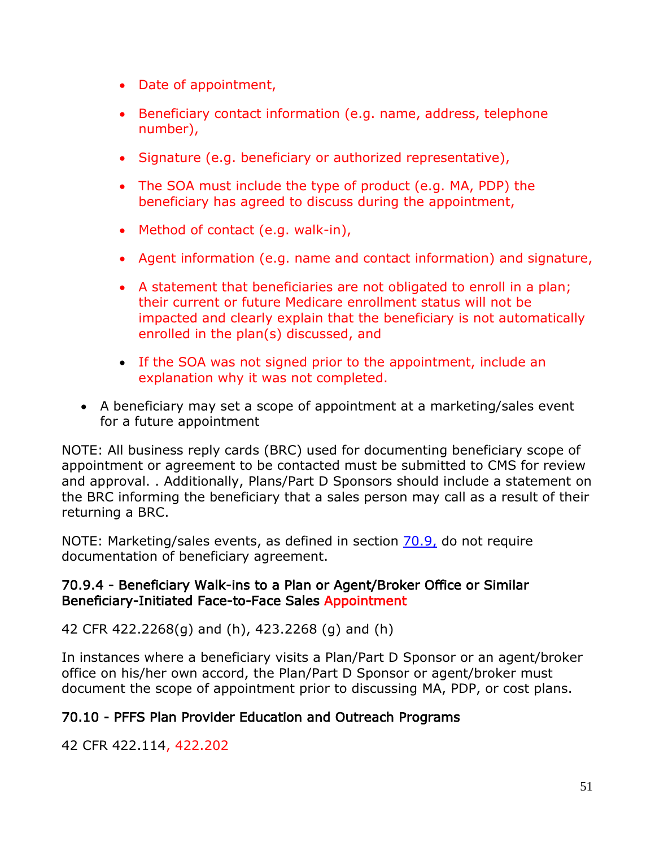- Date of appointment,
- Beneficiary contact information (e.g. name, address, telephone number),
- Signature (e.g. beneficiary or authorized representative),
- The SOA must include the type of product (e.g. MA, PDP) the beneficiary has agreed to discuss during the appointment,
- Method of contact (e.g. walk-in),
- Agent information (e.g. name and contact information) and signature,
- A statement that beneficiaries are not obligated to enroll in a plan; their current or future Medicare enrollment status will not be impacted and clearly explain that the beneficiary is not automatically enrolled in the plan(s) discussed, and
- If the SOA was not signed prior to the appointment, include an explanation why it was not completed.
- A beneficiary may set a scope of appointment at a marketing/sales event for a future appointment

NOTE: All business reply cards (BRC) used for documenting beneficiary scope of appointment or agreement to be contacted must be submitted to CMS for review and approval. . Additionally, Plans/Part D Sponsors should include a statement on the BRC informing the beneficiary that a sales person may call as a result of their returning a BRC.

NOTE: Marketing/sales events, as defined in section 70.9, do not require documentation of beneficiary agreement.

#### 70.9.4 - Beneficiary Walk-ins to a Plan or Agent/Broker Office or Similar Beneficiary-Initiated Face-to-Face Sales Appointment

42 CFR 422.2268(g) and (h), 423.2268 (g) and (h)

In instances where a beneficiary visits a Plan/Part D Sponsor or an agent/broker office on his/her own accord, the Plan/Part D Sponsor or agent/broker must document the scope of appointment prior to discussing MA, PDP, or cost plans.

## 70.10 - PFFS Plan Provider Education and Outreach Programs

42 CFR 422.114, 422.202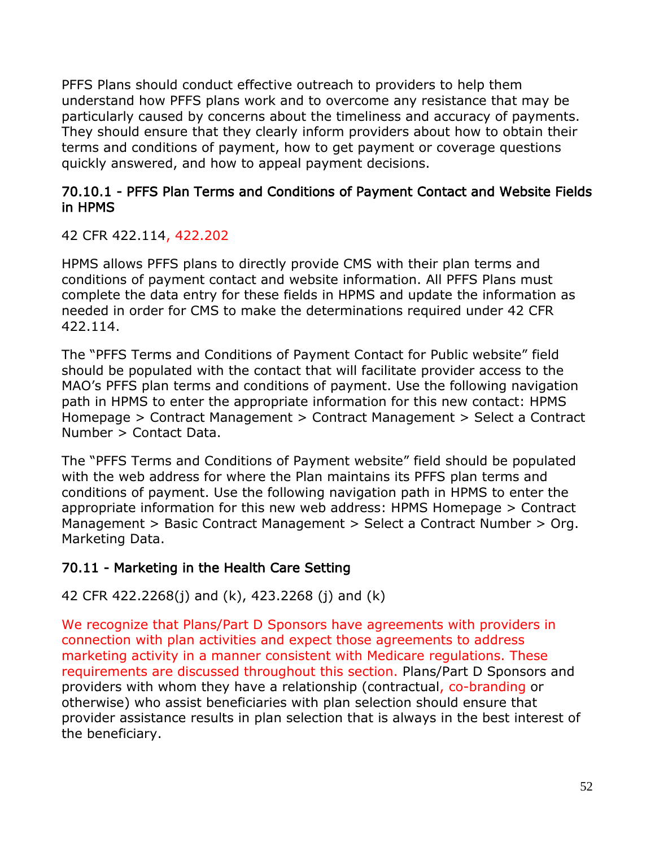PFFS Plans should conduct effective outreach to providers to help them understand how PFFS plans work and to overcome any resistance that may be particularly caused by concerns about the timeliness and accuracy of payments. They should ensure that they clearly inform providers about how to obtain their terms and conditions of payment, how to get payment or coverage questions quickly answered, and how to appeal payment decisions.

#### 70.10.1 - PFFS Plan Terms and Conditions of Payment Contact and Website Fields in HPMS

#### 42 CFR 422.114, 422.202

HPMS allows PFFS plans to directly provide CMS with their plan terms and conditions of payment contact and website information. All PFFS Plans must complete the data entry for these fields in HPMS and update the information as needed in order for CMS to make the determinations required under 42 CFR 422.114.

The "PFFS Terms and Conditions of Payment Contact for Public website" field should be populated with the contact that will facilitate provider access to the MAO's PFFS plan terms and conditions of payment. Use the following navigation path in HPMS to enter the appropriate information for this new contact: HPMS Homepage > Contract Management > Contract Management > Select a Contract Number > Contact Data.

The "PFFS Terms and Conditions of Payment website" field should be populated with the web address for where the Plan maintains its PFFS plan terms and conditions of payment. Use the following navigation path in HPMS to enter the appropriate information for this new web address: HPMS Homepage > Contract Management > Basic Contract Management > Select a Contract Number > Org. Marketing Data.

## 70.11 - Marketing in the Health Care Setting

## 42 CFR 422.2268(j) and (k), 423.2268 (j) and (k)

We recognize that Plans/Part D Sponsors have agreements with providers in connection with plan activities and expect those agreements to address marketing activity in a manner consistent with Medicare regulations. These requirements are discussed throughout this section. Plans/Part D Sponsors and providers with whom they have a relationship (contractual, co-branding or otherwise) who assist beneficiaries with plan selection should ensure that provider assistance results in plan selection that is always in the best interest of the beneficiary.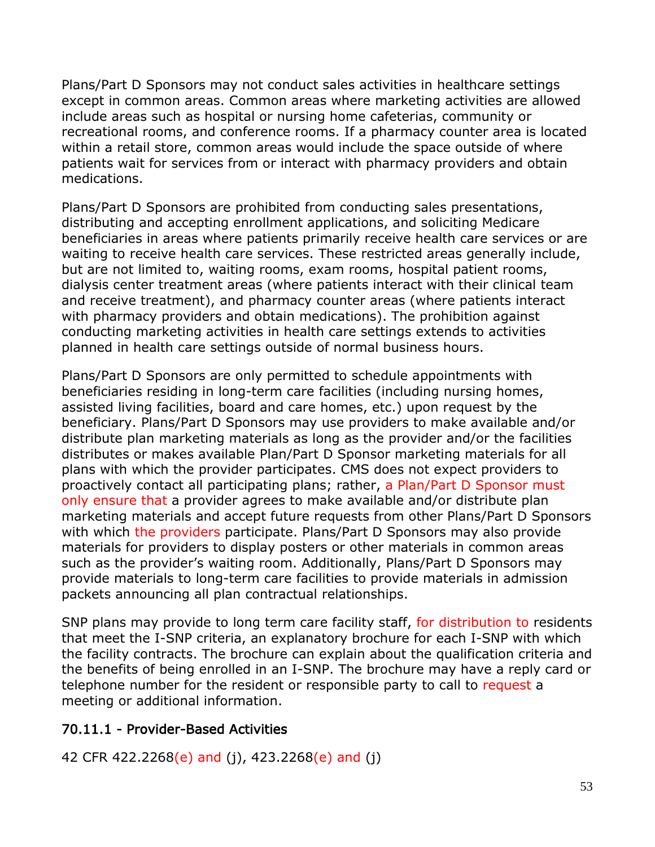Plans/Part D Sponsors may not conduct sales activities in healthcare settings except in common areas. Common areas where marketing activities are allowed include areas such as hospital or nursing home cafeterias, community or recreational rooms, and conference rooms. If a pharmacy counter area is located within a retail store, common areas would include the space outside of where patients wait for services from or interact with pharmacy providers and obtain medications.

Plans/Part D Sponsors are prohibited from conducting sales presentations, distributing and accepting enrollment applications, and soliciting Medicare beneficiaries in areas where patients primarily receive health care services or are waiting to receive health care services. These restricted areas generally include, but are not limited to, waiting rooms, exam rooms, hospital patient rooms, dialysis center treatment areas (where patients interact with their clinical team and receive treatment), and pharmacy counter areas (where patients interact with pharmacy providers and obtain medications). The prohibition against conducting marketing activities in health care settings extends to activities planned in health care settings outside of normal business hours.

Plans/Part D Sponsors are only permitted to schedule appointments with beneficiaries residing in long-term care facilities (including nursing homes, assisted living facilities, board and care homes, etc.) upon request by the beneficiary. Plans/Part D Sponsors may use providers to make available and/or distribute plan marketing materials as long as the provider and/or the facilities distributes or makes available Plan/Part D Sponsor marketing materials for all plans with which the provider participates. CMS does not expect providers to proactively contact all participating plans; rather, a Plan/Part D Sponsor must only ensure that a provider agrees to make available and/or distribute plan marketing materials and accept future requests from other Plans/Part D Sponsors with which the providers participate. Plans/Part D Sponsors may also provide materials for providers to display posters or other materials in common areas such as the provider's waiting room. Additionally, Plans/Part D Sponsors may provide materials to long-term care facilities to provide materials in admission packets announcing all plan contractual relationships.

SNP plans may provide to long term care facility staff, for distribution to residents that meet the I-SNP criteria, an explanatory brochure for each I-SNP with which the facility contracts. The brochure can explain about the qualification criteria and the benefits of being enrolled in an I-SNP. The brochure may have a reply card or telephone number for the resident or responsible party to call to request a meeting or additional information.

#### 70.11.1 - Provider-Based Activities

42 CFR 422.2268(e) and (j), 423.2268(e) and (j)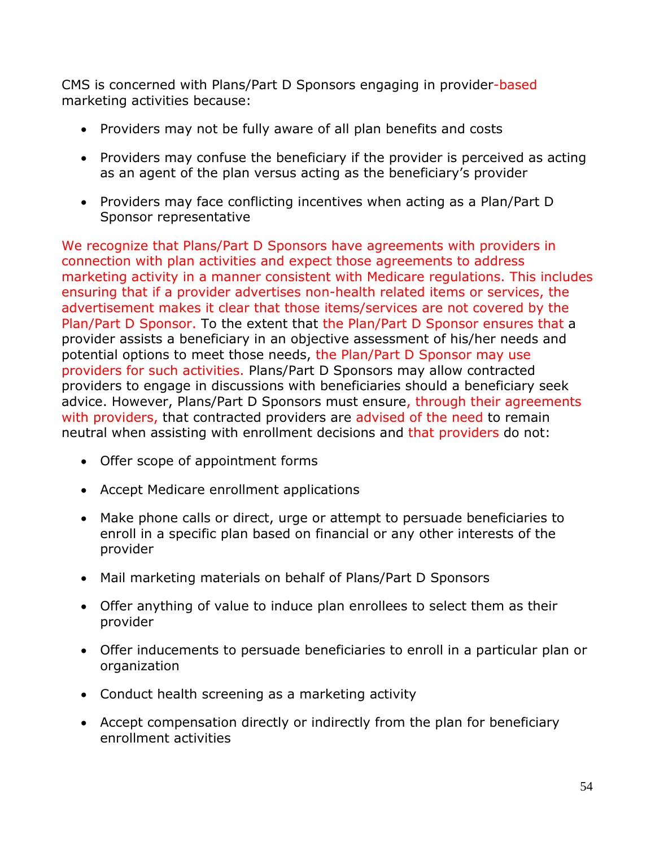CMS is concerned with Plans/Part D Sponsors engaging in provider-based marketing activities because:

- Providers may not be fully aware of all plan benefits and costs
- Providers may confuse the beneficiary if the provider is perceived as acting as an agent of the plan versus acting as the beneficiary's provider
- Providers may face conflicting incentives when acting as a Plan/Part D Sponsor representative

We recognize that Plans/Part D Sponsors have agreements with providers in connection with plan activities and expect those agreements to address marketing activity in a manner consistent with Medicare regulations. This includes ensuring that if a provider advertises non-health related items or services, the advertisement makes it clear that those items/services are not covered by the Plan/Part D Sponsor. To the extent that the Plan/Part D Sponsor ensures that a provider assists a beneficiary in an objective assessment of his/her needs and potential options to meet those needs, the Plan/Part D Sponsor may use providers for such activities. Plans/Part D Sponsors may allow contracted providers to engage in discussions with beneficiaries should a beneficiary seek advice. However, Plans/Part D Sponsors must ensure, through their agreements with providers, that contracted providers are advised of the need to remain neutral when assisting with enrollment decisions and that providers do not:

- Offer scope of appointment forms
- Accept Medicare enrollment applications
- Make phone calls or direct, urge or attempt to persuade beneficiaries to enroll in a specific plan based on financial or any other interests of the provider
- Mail marketing materials on behalf of Plans/Part D Sponsors
- Offer anything of value to induce plan enrollees to select them as their provider
- Offer inducements to persuade beneficiaries to enroll in a particular plan or organization
- Conduct health screening as a marketing activity
- Accept compensation directly or indirectly from the plan for beneficiary enrollment activities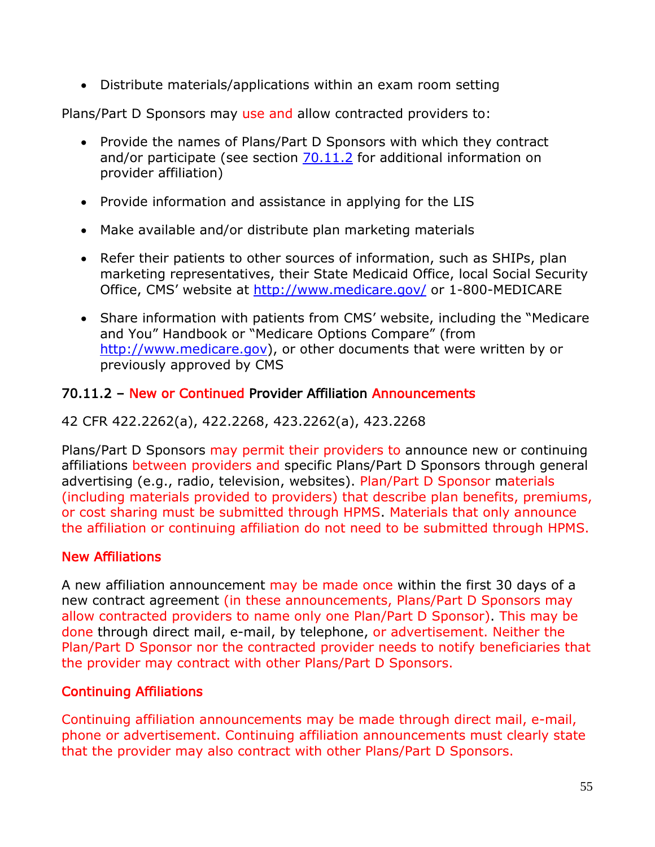• Distribute materials/applications within an exam room setting

Plans/Part D Sponsors may use and allow contracted providers to:

- Provide the names of Plans/Part D Sponsors with which they contract and/or participate (see section  $70.11.2$  for additional information on provider affiliation)
- Provide information and assistance in applying for the LIS
- Make available and/or distribute plan marketing materials
- Refer their patients to other sources of information, such as SHIPs, plan marketing representatives, their State Medicaid Office, local Social Security Office, CMS' website at<http://www.medicare.gov/> or 1-800-MEDICARE
- Share information with patients from CMS' website, including the "Medicare and You" Handbook or "Medicare Options Compare" (from [http://www.medicare.gov\)](http://www.medicare.gov/), or other documents that were written by or previously approved by CMS

#### 70.11.2 – New or Continued Provider Affiliation Announcements

### 42 CFR 422.2262(a), 422.2268, 423.2262(a), 423.2268

Plans/Part D Sponsors may permit their providers to announce new or continuing affiliations between providers and specific Plans/Part D Sponsors through general advertising (e.g., radio, television, websites). Plan/Part D Sponsor materials (including materials provided to providers) that describe plan benefits, premiums, or cost sharing must be submitted through HPMS. Materials that only announce the affiliation or continuing affiliation do not need to be submitted through HPMS.

#### New Affiliations

A new affiliation announcement may be made once within the first 30 days of a new contract agreement (in these announcements, Plans/Part D Sponsors may allow contracted providers to name only one Plan/Part D Sponsor). This may be done through direct mail, e-mail, by telephone, or advertisement. Neither the Plan/Part D Sponsor nor the contracted provider needs to notify beneficiaries that the provider may contract with other Plans/Part D Sponsors.

#### Continuing Affiliations

Continuing affiliation announcements may be made through direct mail, e-mail, phone or advertisement. Continuing affiliation announcements must clearly state that the provider may also contract with other Plans/Part D Sponsors.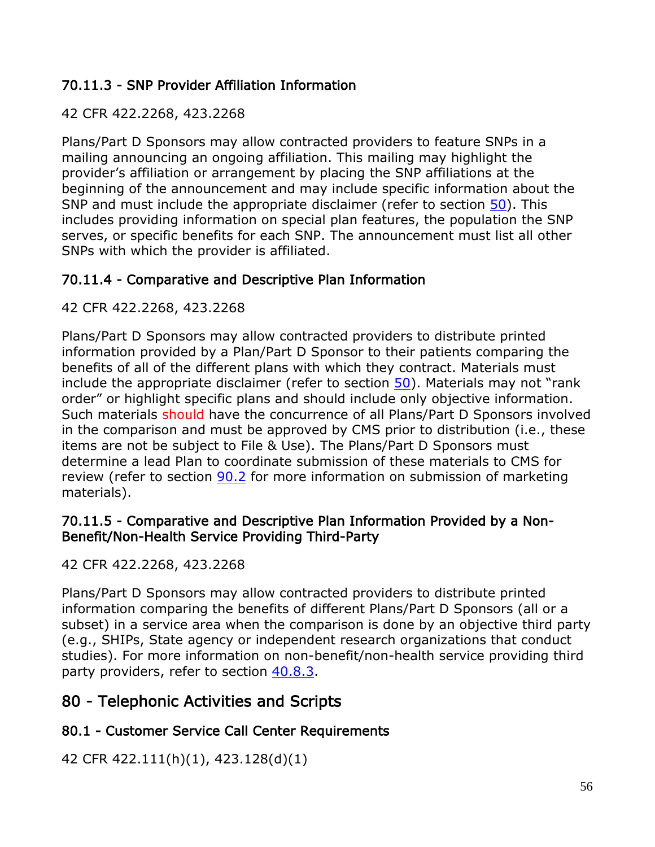## 70.11.3 - SNP Provider Affiliation Information

#### 42 CFR 422.2268, 423.2268

Plans/Part D Sponsors may allow contracted providers to feature SNPs in a mailing announcing an ongoing affiliation. This mailing may highlight the provider's affiliation or arrangement by placing the SNP affiliations at the beginning of the announcement and may include specific information about the SNP and must include the appropriate disclaimer (refer to section 50). This includes providing information on special plan features, the population the SNP serves, or specific benefits for each SNP. The announcement must list all other SNPs with which the provider is affiliated.

## 70.11.4 - Comparative and Descriptive Plan Information

### 42 CFR 422.2268, 423.2268

Plans/Part D Sponsors may allow contracted providers to distribute printed information provided by a Plan/Part D Sponsor to their patients comparing the benefits of all of the different plans with which they contract. Materials must include the appropriate disclaimer (refer to section 50). Materials may not "rank order" or highlight specific plans and should include only objective information. Such materials should have the concurrence of all Plans/Part D Sponsors involved in the comparison and must be approved by CMS prior to distribution (i.e., these items are not be subject to File & Use). The Plans/Part D Sponsors must determine a lead Plan to coordinate submission of these materials to CMS for review (refer to section 90.2 for more information on submission of marketing materials).

#### 70.11.5 - Comparative and Descriptive Plan Information Provided by a Non-Benefit/Non-Health Service Providing Third-Party

42 CFR 422.2268, 423.2268

Plans/Part D Sponsors may allow contracted providers to distribute printed information comparing the benefits of different Plans/Part D Sponsors (all or a subset) in a service area when the comparison is done by an objective third party (e.g., SHIPs, State agency or independent research organizations that conduct studies). For more information on non-benefit/non-health service providing third party providers, refer to section 40.8.3.

# 80 - Telephonic Activities and Scripts

## 80.1 - Customer Service Call Center Requirements

42 CFR 422.111(h)(1), 423.128(d)(1)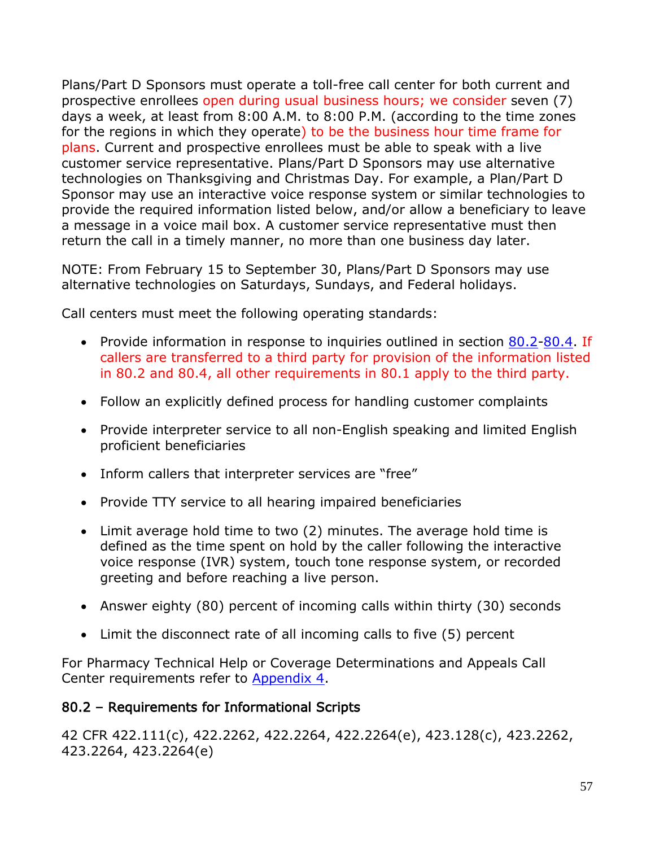Plans/Part D Sponsors must operate a toll-free call center for both current and prospective enrollees open during usual business hours; we consider seven (7) days a week, at least from 8:00 A.M. to 8:00 P.M. (according to the time zones for the regions in which they operate) to be the business hour time frame for plans. Current and prospective enrollees must be able to speak with a live customer service representative. Plans/Part D Sponsors may use alternative technologies on Thanksgiving and Christmas Day. For example, a Plan/Part D Sponsor may use an interactive voice response system or similar technologies to provide the required information listed below, and/or allow a beneficiary to leave a message in a voice mail box. A customer service representative must then return the call in a timely manner, no more than one business day later.

NOTE: From February 15 to September 30, Plans/Part D Sponsors may use alternative technologies on Saturdays, Sundays, and Federal holidays.

Call centers must meet the following operating standards:

- Provide information in response to inquiries outlined in section 80.2-80.4. If callers are transferred to a third party for provision of the information listed in 80.2 and 80.4, all other requirements in 80.1 apply to the third party.
- Follow an explicitly defined process for handling customer complaints
- Provide interpreter service to all non-English speaking and limited English proficient beneficiaries
- Inform callers that interpreter services are "free"
- Provide TTY service to all hearing impaired beneficiaries
- Limit average hold time to two (2) minutes. The average hold time is defined as the time spent on hold by the caller following the interactive voice response (IVR) system, touch tone response system, or recorded greeting and before reaching a live person.
- Answer eighty (80) percent of incoming calls within thirty (30) seconds
- Limit the disconnect rate of all incoming calls to five (5) percent

For Pharmacy Technical Help or Coverage Determinations and Appeals Call Center requirements refer to Appendix 4.

# 80.2 – Requirements for Informational Scripts

42 CFR 422.111(c), 422.2262, 422.2264, 422.2264(e), 423.128(c), 423.2262, 423.2264, 423.2264(e)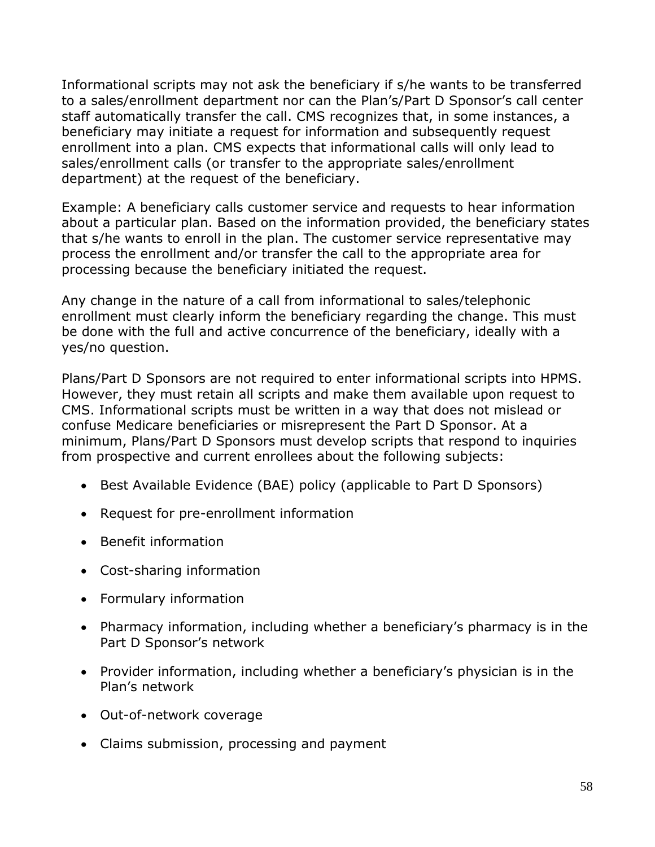Informational scripts may not ask the beneficiary if s/he wants to be transferred to a sales/enrollment department nor can the Plan's/Part D Sponsor's call center staff automatically transfer the call. CMS recognizes that, in some instances, a beneficiary may initiate a request for information and subsequently request enrollment into a plan. CMS expects that informational calls will only lead to sales/enrollment calls (or transfer to the appropriate sales/enrollment department) at the request of the beneficiary.

Example: A beneficiary calls customer service and requests to hear information about a particular plan. Based on the information provided, the beneficiary states that s/he wants to enroll in the plan. The customer service representative may process the enrollment and/or transfer the call to the appropriate area for processing because the beneficiary initiated the request.

Any change in the nature of a call from informational to sales/telephonic enrollment must clearly inform the beneficiary regarding the change. This must be done with the full and active concurrence of the beneficiary, ideally with a yes/no question.

Plans/Part D Sponsors are not required to enter informational scripts into HPMS. However, they must retain all scripts and make them available upon request to CMS. Informational scripts must be written in a way that does not mislead or confuse Medicare beneficiaries or misrepresent the Part D Sponsor. At a minimum, Plans/Part D Sponsors must develop scripts that respond to inquiries from prospective and current enrollees about the following subjects:

- Best Available Evidence (BAE) policy (applicable to Part D Sponsors)
- Request for pre-enrollment information
- Benefit information
- Cost-sharing information
- Formulary information
- Pharmacy information, including whether a beneficiary's pharmacy is in the Part D Sponsor's network
- Provider information, including whether a beneficiary's physician is in the Plan's network
- Out-of-network coverage
- Claims submission, processing and payment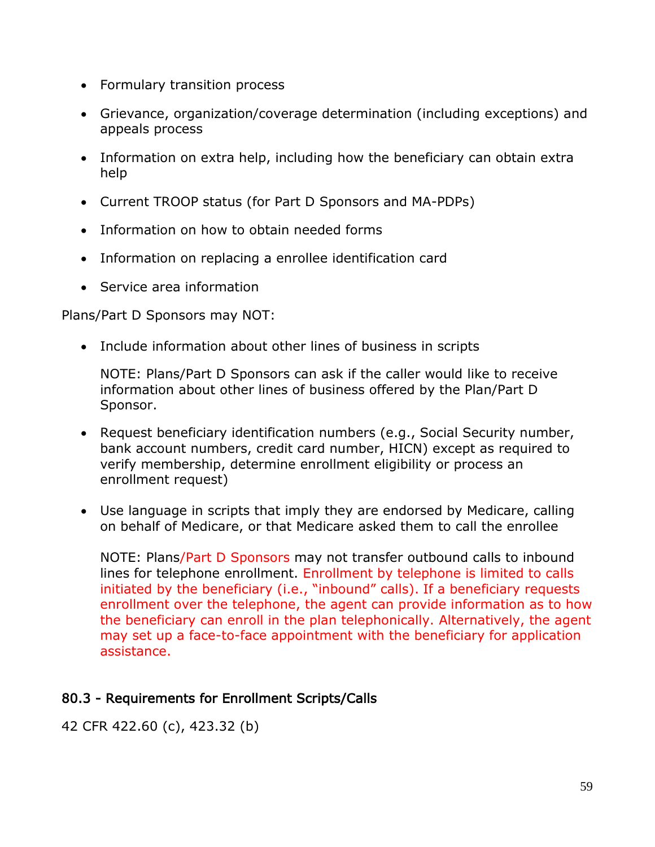- Formulary transition process
- Grievance, organization/coverage determination (including exceptions) and appeals process
- Information on extra help, including how the beneficiary can obtain extra help
- Current TROOP status (for Part D Sponsors and MA-PDPs)
- Information on how to obtain needed forms
- Information on replacing a enrollee identification card
- Service area information

Plans/Part D Sponsors may NOT:

• Include information about other lines of business in scripts

NOTE: Plans/Part D Sponsors can ask if the caller would like to receive information about other lines of business offered by the Plan/Part D Sponsor.

- Request beneficiary identification numbers (e.g., Social Security number, bank account numbers, credit card number, HICN) except as required to verify membership, determine enrollment eligibility or process an enrollment request)
- Use language in scripts that imply they are endorsed by Medicare, calling on behalf of Medicare, or that Medicare asked them to call the enrollee

NOTE: Plans/Part D Sponsors may not transfer outbound calls to inbound lines for telephone enrollment. Enrollment by telephone is limited to calls initiated by the beneficiary (i.e., "inbound" calls). If a beneficiary requests enrollment over the telephone, the agent can provide information as to how the beneficiary can enroll in the plan telephonically. Alternatively, the agent may set up a face-to-face appointment with the beneficiary for application assistance.

## 80.3 - Requirements for Enrollment Scripts/Calls

42 CFR 422.60 (c), 423.32 (b)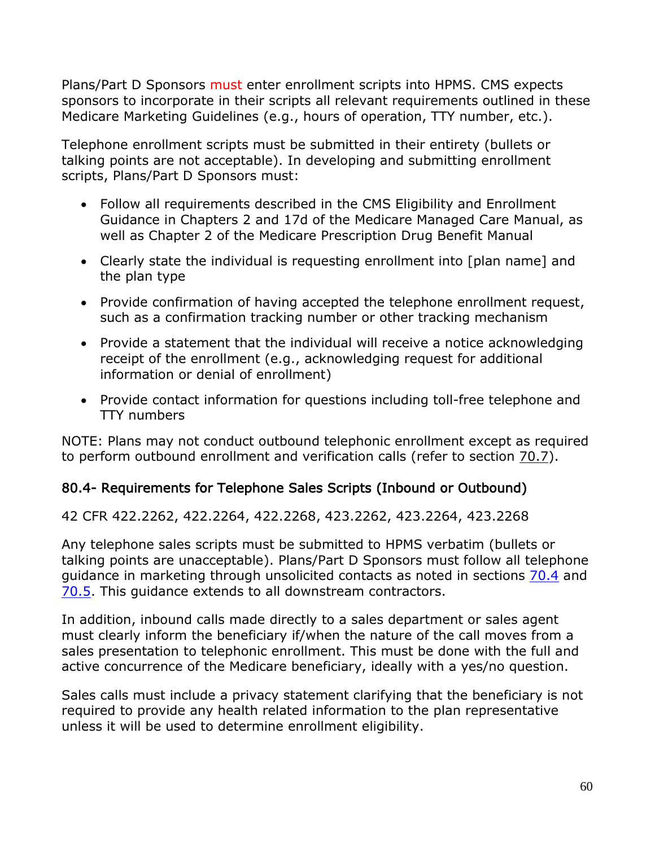Plans/Part D Sponsors must enter enrollment scripts into HPMS. CMS expects sponsors to incorporate in their scripts all relevant requirements outlined in these Medicare Marketing Guidelines (e.g., hours of operation, TTY number, etc.).

Telephone enrollment scripts must be submitted in their entirety (bullets or talking points are not acceptable). In developing and submitting enrollment scripts, Plans/Part D Sponsors must:

- Follow all requirements described in the CMS Eligibility and Enrollment Guidance in Chapters 2 and 17d of the Medicare Managed Care Manual, as well as Chapter 2 of the Medicare Prescription Drug Benefit Manual
- Clearly state the individual is requesting enrollment into [plan name] and the plan type
- Provide confirmation of having accepted the telephone enrollment request, such as a confirmation tracking number or other tracking mechanism
- Provide a statement that the individual will receive a notice acknowledging receipt of the enrollment (e.g., acknowledging request for additional information or denial of enrollment)
- Provide contact information for questions including toll-free telephone and TTY numbers

NOTE: Plans may not conduct outbound telephonic enrollment except as required to perform outbound enrollment and verification calls (refer to section 70.7).

## 80.4- Requirements for Telephone Sales Scripts (Inbound or Outbound)

42 CFR 422.2262, 422.2264, 422.2268, 423.2262, 423.2264, 423.2268

Any telephone sales scripts must be submitted to HPMS verbatim (bullets or talking points are unacceptable). Plans/Part D Sponsors must follow all telephone guidance in marketing through unsolicited contacts as noted in sections 70.4 and 70.5. This guidance extends to all downstream contractors.

In addition, inbound calls made directly to a sales department or sales agent must clearly inform the beneficiary if/when the nature of the call moves from a sales presentation to telephonic enrollment. This must be done with the full and active concurrence of the Medicare beneficiary, ideally with a yes/no question.

Sales calls must include a privacy statement clarifying that the beneficiary is not required to provide any health related information to the plan representative unless it will be used to determine enrollment eligibility.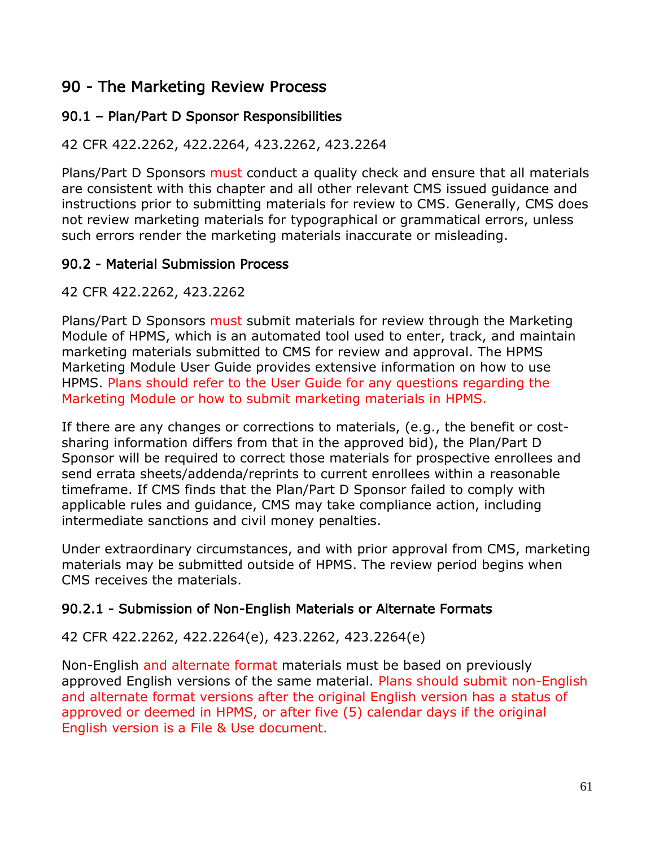# 90 - The Marketing Review Process

## 90.1 – Plan/Part D Sponsor Responsibilities

### 42 CFR 422.2262, 422.2264, 423.2262, 423.2264

Plans/Part D Sponsors must conduct a quality check and ensure that all materials are consistent with this chapter and all other relevant CMS issued guidance and instructions prior to submitting materials for review to CMS. Generally, CMS does not review marketing materials for typographical or grammatical errors, unless such errors render the marketing materials inaccurate or misleading.

## 90.2 - Material Submission Process

42 CFR 422.2262, 423.2262

Plans/Part D Sponsors must submit materials for review through the Marketing Module of HPMS, which is an automated tool used to enter, track, and maintain marketing materials submitted to CMS for review and approval. The HPMS Marketing Module User Guide provides extensive information on how to use HPMS. Plans should refer to the User Guide for any questions regarding the Marketing Module or how to submit marketing materials in HPMS.

If there are any changes or corrections to materials, (e.g., the benefit or costsharing information differs from that in the approved bid), the Plan/Part D Sponsor will be required to correct those materials for prospective enrollees and send errata sheets/addenda/reprints to current enrollees within a reasonable timeframe. If CMS finds that the Plan/Part D Sponsor failed to comply with applicable rules and guidance, CMS may take compliance action, including intermediate sanctions and civil money penalties.

Under extraordinary circumstances, and with prior approval from CMS, marketing materials may be submitted outside of HPMS. The review period begins when CMS receives the materials.

## 90.2.1 - Submission of Non-English Materials or Alternate Formats

#### 42 CFR 422.2262, 422.2264(e), 423.2262, 423.2264(e)

Non-English and alternate format materials must be based on previously approved English versions of the same material. Plans should submit non-English and alternate format versions after the original English version has a status of approved or deemed in HPMS, or after five (5) calendar days if the original English version is a File & Use document.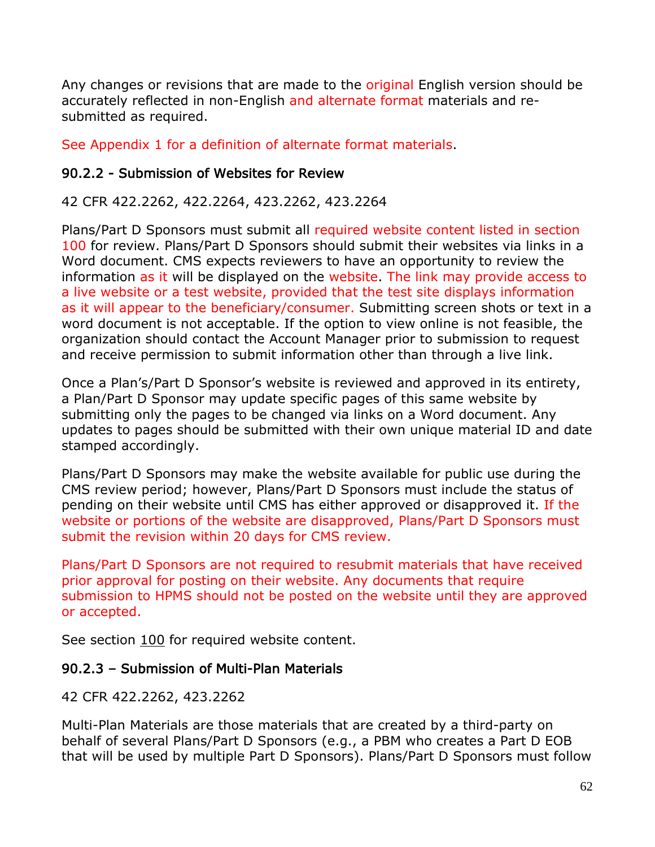Any changes or revisions that are made to the original English version should be accurately reflected in non-English and alternate format materials and resubmitted as required.

See Appendix 1 for a definition of alternate format materials.

#### 90.2.2 - Submission of Websites for Review

#### 42 CFR 422.2262, 422.2264, 423.2262, 423.2264

Plans/Part D Sponsors must submit all required website content listed in section 100 for review. Plans/Part D Sponsors should submit their websites via links in a Word document. CMS expects reviewers to have an opportunity to review the information as it will be displayed on the website. The link may provide access to a live website or a test website, provided that the test site displays information as it will appear to the beneficiary/consumer. Submitting screen shots or text in a word document is not acceptable. If the option to view online is not feasible, the organization should contact the Account Manager prior to submission to request and receive permission to submit information other than through a live link.

Once a Plan's/Part D Sponsor's website is reviewed and approved in its entirety, a Plan/Part D Sponsor may update specific pages of this same website by submitting only the pages to be changed via links on a Word document. Any updates to pages should be submitted with their own unique material ID and date stamped accordingly.

Plans/Part D Sponsors may make the website available for public use during the CMS review period; however, Plans/Part D Sponsors must include the status of pending on their website until CMS has either approved or disapproved it. If the website or portions of the website are disapproved, Plans/Part D Sponsors must submit the revision within 20 days for CMS review.

Plans/Part D Sponsors are not required to resubmit materials that have received prior approval for posting on their website. Any documents that require submission to HPMS should not be posted on the website until they are approved or accepted.

See section 100 for required website content.

#### 90.2.3 – Submission of Multi-Plan Materials

42 CFR 422.2262, 423.2262

Multi-Plan Materials are those materials that are created by a third-party on behalf of several Plans/Part D Sponsors (e.g., a PBM who creates a Part D EOB that will be used by multiple Part D Sponsors). Plans/Part D Sponsors must follow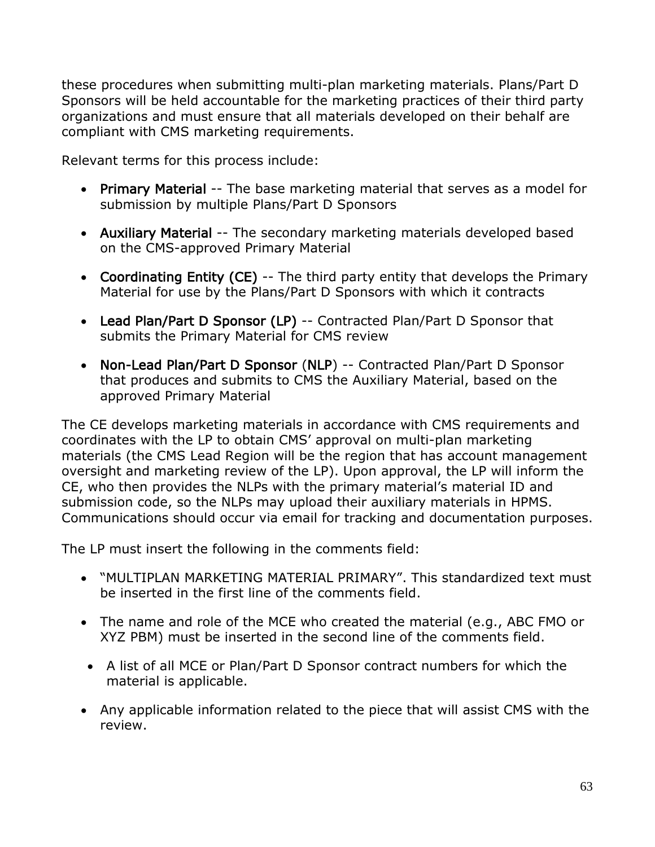these procedures when submitting multi-plan marketing materials. Plans/Part D Sponsors will be held accountable for the marketing practices of their third party organizations and must ensure that all materials developed on their behalf are compliant with CMS marketing requirements.

Relevant terms for this process include:

- Primary Material -- The base marketing material that serves as a model for submission by multiple Plans/Part D Sponsors
- Auxiliary Material -- The secondary marketing materials developed based on the CMS-approved Primary Material
- Coordinating Entity (CE) -- The third party entity that develops the Primary Material for use by the Plans/Part D Sponsors with which it contracts
- Lead Plan/Part D Sponsor (LP) -- Contracted Plan/Part D Sponsor that submits the Primary Material for CMS review
- Non-Lead Plan/Part D Sponsor (NLP) -- Contracted Plan/Part D Sponsor that produces and submits to CMS the Auxiliary Material, based on the approved Primary Material

The CE develops marketing materials in accordance with CMS requirements and coordinates with the LP to obtain CMS' approval on multi-plan marketing materials (the CMS Lead Region will be the region that has account management oversight and marketing review of the LP). Upon approval, the LP will inform the CE, who then provides the NLPs with the primary material's material ID and submission code, so the NLPs may upload their auxiliary materials in HPMS. Communications should occur via email for tracking and documentation purposes.

The LP must insert the following in the comments field:

- "MULTIPLAN MARKETING MATERIAL PRIMARY". This standardized text must be inserted in the first line of the comments field.
- The name and role of the MCE who created the material (e.g., ABC FMO or XYZ PBM) must be inserted in the second line of the comments field.
- A list of all MCE or Plan/Part D Sponsor contract numbers for which the material is applicable.
- Any applicable information related to the piece that will assist CMS with the review.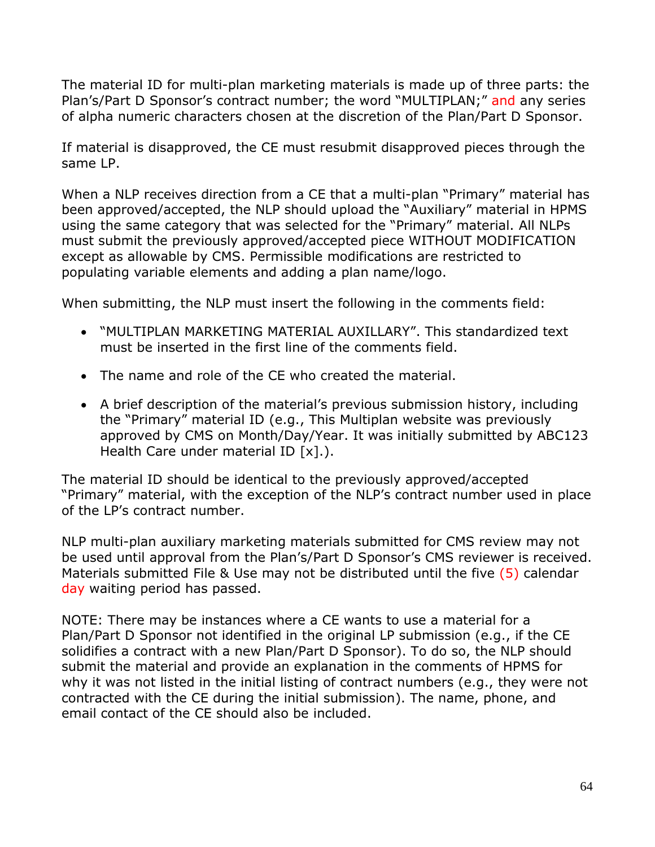The material ID for multi-plan marketing materials is made up of three parts: the Plan's/Part D Sponsor's contract number; the word "MULTIPLAN;" and any series of alpha numeric characters chosen at the discretion of the Plan/Part D Sponsor.

If material is disapproved, the CE must resubmit disapproved pieces through the same LP.

When a NLP receives direction from a CE that a multi-plan "Primary" material has been approved/accepted, the NLP should upload the "Auxiliary" material in HPMS using the same category that was selected for the "Primary" material. All NLPs must submit the previously approved/accepted piece WITHOUT MODIFICATION except as allowable by CMS. Permissible modifications are restricted to populating variable elements and adding a plan name/logo.

When submitting, the NLP must insert the following in the comments field:

- "MULTIPLAN MARKETING MATERIAL AUXILLARY". This standardized text must be inserted in the first line of the comments field.
- The name and role of the CE who created the material.
- A brief description of the material's previous submission history, including the "Primary" material ID (e.g., This Multiplan website was previously approved by CMS on Month/Day/Year. It was initially submitted by ABC123 Health Care under material ID  $[x]$ .).

The material ID should be identical to the previously approved/accepted "Primary" material, with the exception of the NLP's contract number used in place of the LP's contract number.

NLP multi-plan auxiliary marketing materials submitted for CMS review may not be used until approval from the Plan's/Part D Sponsor's CMS reviewer is received. Materials submitted File & Use may not be distributed until the five (5) calendar day waiting period has passed.

NOTE: There may be instances where a CE wants to use a material for a Plan/Part D Sponsor not identified in the original LP submission (e.g., if the CE solidifies a contract with a new Plan/Part D Sponsor). To do so, the NLP should submit the material and provide an explanation in the comments of HPMS for why it was not listed in the initial listing of contract numbers (e.g., they were not contracted with the CE during the initial submission). The name, phone, and email contact of the CE should also be included.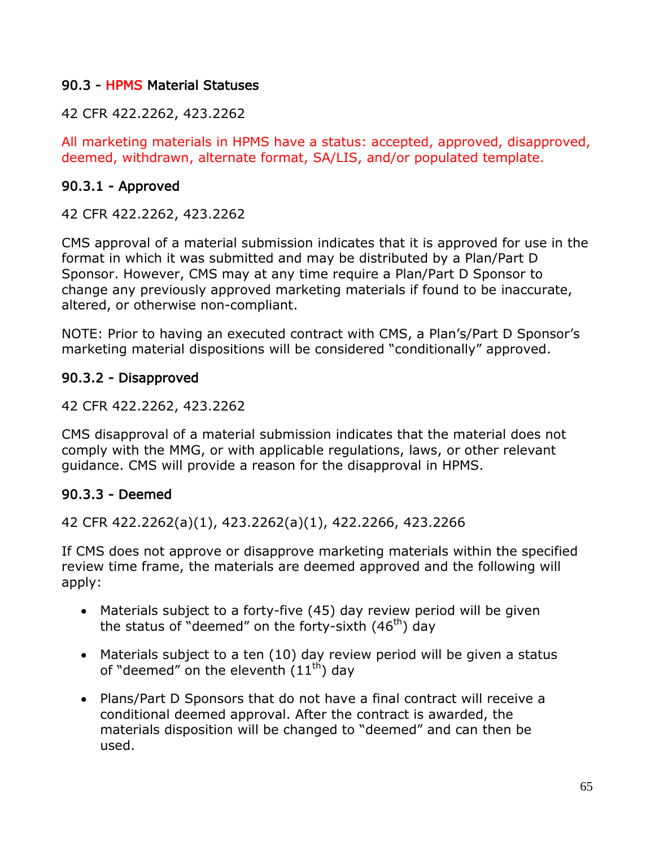#### 90.3 - HPMS Material Statuses

42 CFR 422.2262, 423.2262

All marketing materials in HPMS have a status: accepted, approved, disapproved, deemed, withdrawn, alternate format, SA/LIS, and/or populated template.

#### 90.3.1 - Approved

42 CFR 422.2262, 423.2262

CMS approval of a material submission indicates that it is approved for use in the format in which it was submitted and may be distributed by a Plan/Part D Sponsor. However, CMS may at any time require a Plan/Part D Sponsor to change any previously approved marketing materials if found to be inaccurate, altered, or otherwise non-compliant.

NOTE: Prior to having an executed contract with CMS, a Plan's/Part D Sponsor's marketing material dispositions will be considered "conditionally" approved.

#### 90.3.2 - Disapproved

42 CFR 422.2262, 423.2262

CMS disapproval of a material submission indicates that the material does not comply with the MMG, or with applicable regulations, laws, or other relevant guidance. CMS will provide a reason for the disapproval in HPMS.

#### 90.3.3 - Deemed

42 CFR 422.2262(a)(1), 423.2262(a)(1), 422.2266, 423.2266

If CMS does not approve or disapprove marketing materials within the specified review time frame, the materials are deemed approved and the following will apply:

- Materials subject to a forty-five (45) day review period will be given the status of "deemed" on the forty-sixth  $(46<sup>th</sup>)$  day
- Materials subject to a ten (10) day review period will be given a status of "deemed" on the eleventh  $(11<sup>th</sup>)$  day
- Plans/Part D Sponsors that do not have a final contract will receive a conditional deemed approval. After the contract is awarded, the materials disposition will be changed to "deemed" and can then be used.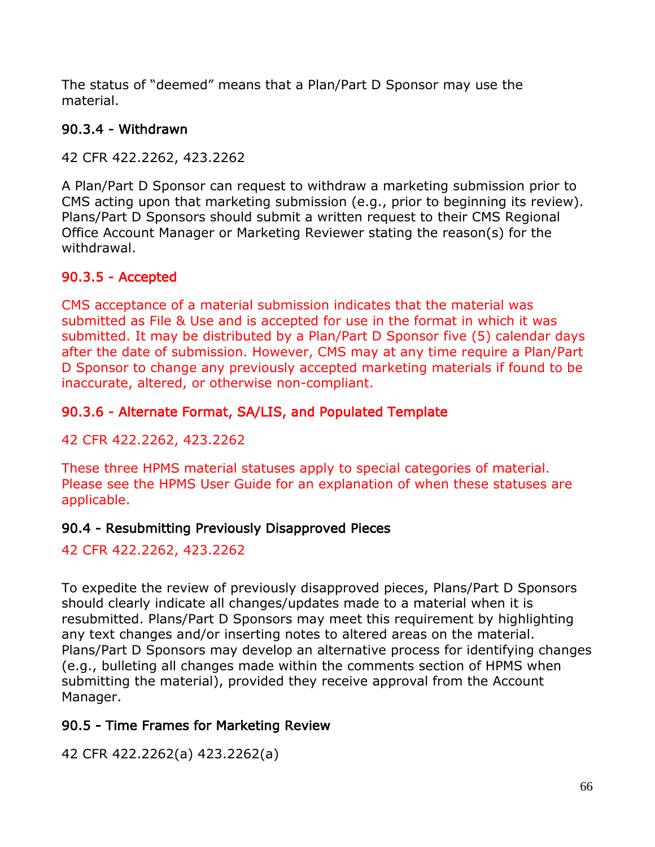The status of "deemed" means that a Plan/Part D Sponsor may use the material.

## 90.3.4 - Withdrawn

42 CFR 422.2262, 423.2262

A Plan/Part D Sponsor can request to withdraw a marketing submission prior to CMS acting upon that marketing submission (e.g., prior to beginning its review). Plans/Part D Sponsors should submit a written request to their CMS Regional Office Account Manager or Marketing Reviewer stating the reason(s) for the withdrawal.

## 90.3.5 - Accepted

CMS acceptance of a material submission indicates that the material was submitted as File & Use and is accepted for use in the format in which it was submitted. It may be distributed by a Plan/Part D Sponsor five (5) calendar days after the date of submission. However, CMS may at any time require a Plan/Part D Sponsor to change any previously accepted marketing materials if found to be inaccurate, altered, or otherwise non-compliant.

### 90.3.6 - Alternate Format, SA/LIS, and Populated Template

42 CFR 422.2262, 423.2262

These three HPMS material statuses apply to special categories of material. Please see the HPMS User Guide for an explanation of when these statuses are applicable.

## 90.4 - Resubmitting Previously Disapproved Pieces

42 CFR 422.2262, 423.2262

To expedite the review of previously disapproved pieces, Plans/Part D Sponsors should clearly indicate all changes/updates made to a material when it is resubmitted. Plans/Part D Sponsors may meet this requirement by highlighting any text changes and/or inserting notes to altered areas on the material. Plans/Part D Sponsors may develop an alternative process for identifying changes (e.g., bulleting all changes made within the comments section of HPMS when submitting the material), provided they receive approval from the Account Manager.

## 90.5 - Time Frames for Marketing Review

42 CFR 422.2262(a) 423.2262(a)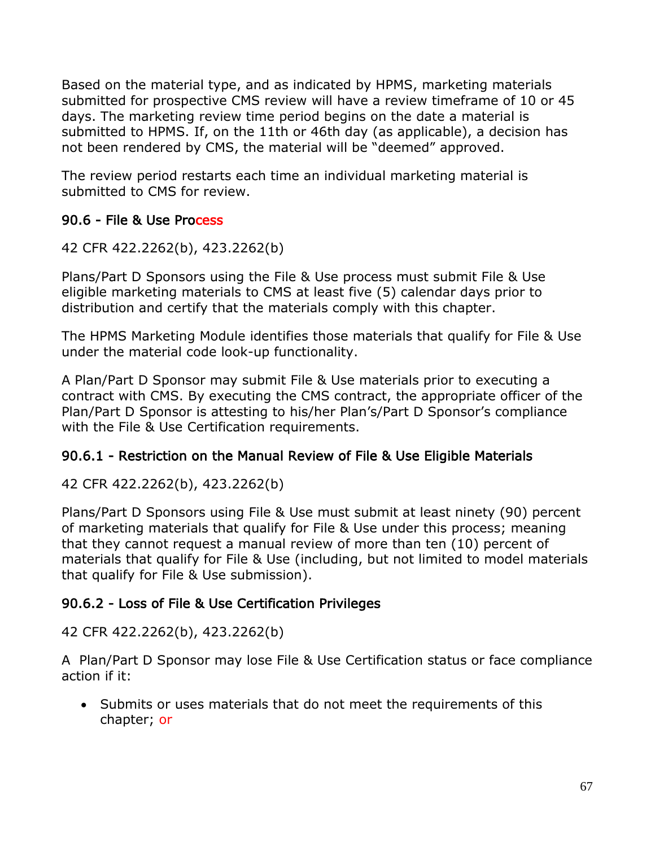Based on the material type, and as indicated by HPMS, marketing materials submitted for prospective CMS review will have a review timeframe of 10 or 45 days. The marketing review time period begins on the date a material is submitted to HPMS. If, on the 11th or 46th day (as applicable), a decision has not been rendered by CMS, the material will be "deemed" approved.

The review period restarts each time an individual marketing material is submitted to CMS for review.

## 90.6 - File & Use Process

42 CFR 422.2262(b), 423.2262(b)

Plans/Part D Sponsors using the File & Use process must submit File & Use eligible marketing materials to CMS at least five (5) calendar days prior to distribution and certify that the materials comply with this chapter.

The HPMS Marketing Module identifies those materials that qualify for File & Use under the material code look-up functionality.

A Plan/Part D Sponsor may submit File & Use materials prior to executing a contract with CMS. By executing the CMS contract, the appropriate officer of the Plan/Part D Sponsor is attesting to his/her Plan's/Part D Sponsor's compliance with the File & Use Certification requirements.

## 90.6.1 - Restriction on the Manual Review of File & Use Eligible Materials

42 CFR 422.2262(b), 423.2262(b)

Plans/Part D Sponsors using File & Use must submit at least ninety (90) percent of marketing materials that qualify for File & Use under this process; meaning that they cannot request a manual review of more than ten (10) percent of materials that qualify for File & Use (including, but not limited to model materials that qualify for File & Use submission).

## 90.6.2 - Loss of File & Use Certification Privileges

42 CFR 422.2262(b), 423.2262(b)

A Plan/Part D Sponsor may lose File & Use Certification status or face compliance action if it:

• Submits or uses materials that do not meet the requirements of this chapter; or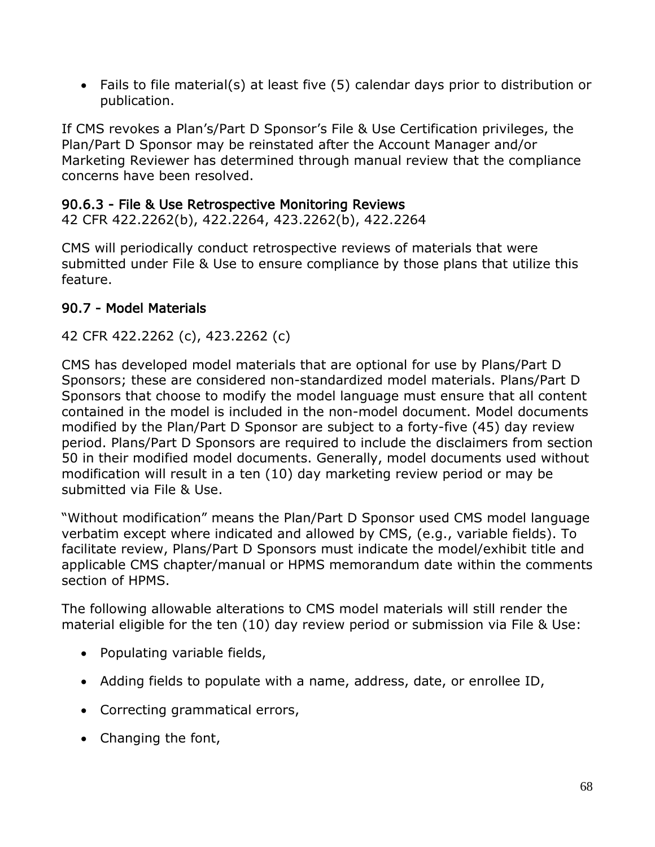• Fails to file material(s) at least five (5) calendar days prior to distribution or publication.

If CMS revokes a Plan's/Part D Sponsor's File & Use Certification privileges, the Plan/Part D Sponsor may be reinstated after the Account Manager and/or Marketing Reviewer has determined through manual review that the compliance concerns have been resolved.

### 90.6.3 - File & Use Retrospective Monitoring Reviews

42 CFR 422.2262(b), 422.2264, 423.2262(b), 422.2264

CMS will periodically conduct retrospective reviews of materials that were submitted under File & Use to ensure compliance by those plans that utilize this feature.

## 90.7 - Model Materials

42 CFR 422.2262 (c), 423.2262 (c)

CMS has developed model materials that are optional for use by Plans/Part D Sponsors; these are considered non-standardized model materials. Plans/Part D Sponsors that choose to modify the model language must ensure that all content contained in the model is included in the non-model document. Model documents modified by the Plan/Part D Sponsor are subject to a forty-five (45) day review period. Plans/Part D Sponsors are required to include the disclaimers from section 50 in their modified model documents. Generally, model documents used without modification will result in a ten (10) day marketing review period or may be submitted via File & Use.

"Without modification" means the Plan/Part D Sponsor used CMS model language verbatim except where indicated and allowed by CMS, (e.g., variable fields). To facilitate review, Plans/Part D Sponsors must indicate the model/exhibit title and applicable CMS chapter/manual or HPMS memorandum date within the comments section of HPMS.

The following allowable alterations to CMS model materials will still render the material eligible for the ten (10) day review period or submission via File & Use:

- Populating variable fields,
- Adding fields to populate with a name, address, date, or enrollee ID,
- Correcting grammatical errors,
- Changing the font,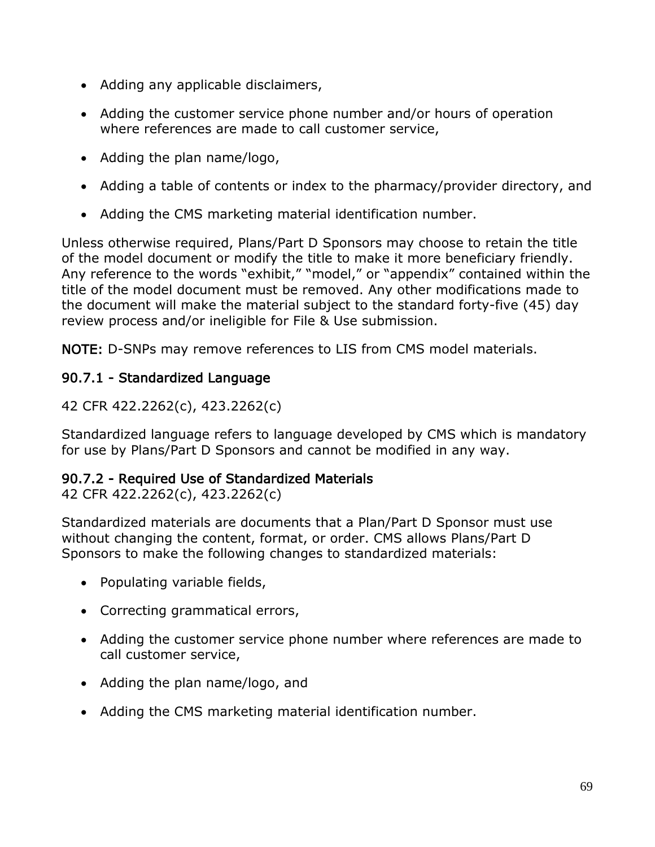- Adding any applicable disclaimers,
- Adding the customer service phone number and/or hours of operation where references are made to call customer service,
- Adding the plan name/logo,
- Adding a table of contents or index to the pharmacy/provider directory, and
- Adding the CMS marketing material identification number.

Unless otherwise required, Plans/Part D Sponsors may choose to retain the title of the model document or modify the title to make it more beneficiary friendly. Any reference to the words "exhibit," "model," or "appendix" contained within the title of the model document must be removed. Any other modifications made to the document will make the material subject to the standard forty-five (45) day review process and/or ineligible for File & Use submission.

NOTE: D-SNPs may remove references to LIS from CMS model materials.

## 90.7.1 - Standardized Language

42 CFR 422.2262(c), 423.2262(c)

Standardized language refers to language developed by CMS which is mandatory for use by Plans/Part D Sponsors and cannot be modified in any way.

## 90.7.2 - Required Use of Standardized Materials

42 CFR 422.2262(c), 423.2262(c)

Standardized materials are documents that a Plan/Part D Sponsor must use without changing the content, format, or order. CMS allows Plans/Part D Sponsors to make the following changes to standardized materials:

- Populating variable fields,
- Correcting grammatical errors,
- Adding the customer service phone number where references are made to call customer service,
- Adding the plan name/logo, and
- Adding the CMS marketing material identification number.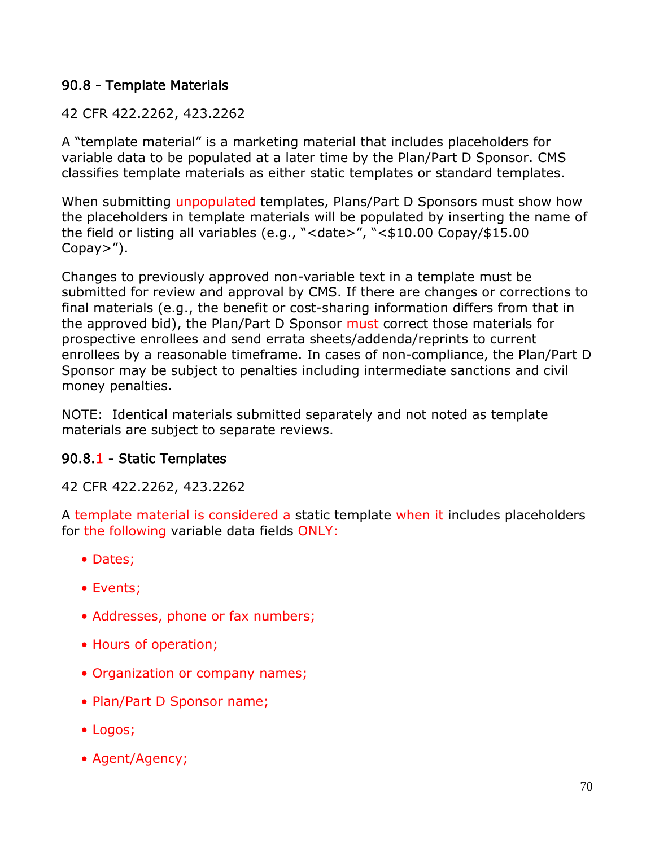### 90.8 - Template Materials

### 42 CFR 422.2262, 423.2262

A "template material" is a marketing material that includes placeholders for variable data to be populated at a later time by the Plan/Part D Sponsor. CMS classifies template materials as either static templates or standard templates.

When submitting unpopulated templates, Plans/Part D Sponsors must show how the placeholders in template materials will be populated by inserting the name of the field or listing all variables (e.g., "<date>", "<\$10.00 Copay/\$15.00 Copay>").

Changes to previously approved non-variable text in a template must be submitted for review and approval by CMS. If there are changes or corrections to final materials (e.g., the benefit or cost-sharing information differs from that in the approved bid), the Plan/Part D Sponsor must correct those materials for prospective enrollees and send errata sheets/addenda/reprints to current enrollees by a reasonable timeframe. In cases of non-compliance, the Plan/Part D Sponsor may be subject to penalties including intermediate sanctions and civil money penalties.

NOTE: Identical materials submitted separately and not noted as template materials are subject to separate reviews.

## 90.8.1 - Static Templates

42 CFR 422.2262, 423.2262

A template material is considered a static template when it includes placeholders for the following variable data fields ONLY:

- Dates;
- Events;
- Addresses, phone or fax numbers;
- Hours of operation;
- Organization or company names;
- Plan/Part D Sponsor name;
- Logos;
- Agent/Agency;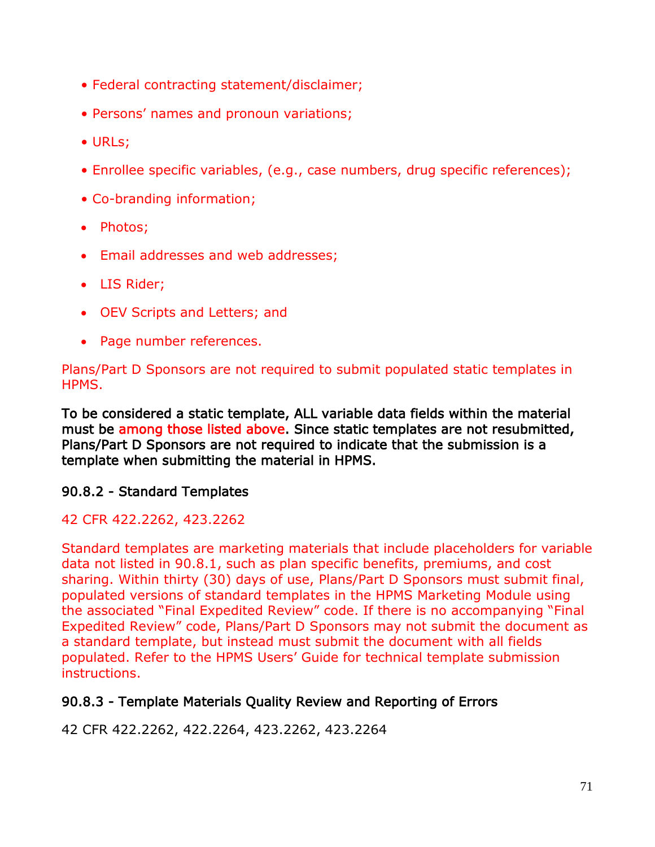- Federal contracting statement/disclaimer;
- Persons' names and pronoun variations;
- URLs;
- Enrollee specific variables, (e.g., case numbers, drug specific references);
- Co-branding information;
- Photos;
- Email addresses and web addresses;
- LIS Rider;
- OEV Scripts and Letters; and
- Page number references.

Plans/Part D Sponsors are not required to submit populated static templates in HPMS.

To be considered a static template, ALL variable data fields within the material must be among those listed above. Since static templates are not resubmitted, Plans/Part D Sponsors are not required to indicate that the submission is a template when submitting the material in HPMS.

## 90.8.2 - Standard Templates

### 42 CFR 422.2262, 423.2262

Standard templates are marketing materials that include placeholders for variable data not listed in 90.8.1, such as plan specific benefits, premiums, and cost sharing. Within thirty (30) days of use, Plans/Part D Sponsors must submit final, populated versions of standard templates in the HPMS Marketing Module using the associated "Final Expedited Review" code. If there is no accompanying "Final Expedited Review" code, Plans/Part D Sponsors may not submit the document as a standard template, but instead must submit the document with all fields populated. Refer to the HPMS Users' Guide for technical template submission instructions.

### 90.8.3 - Template Materials Quality Review and Reporting of Errors

42 CFR 422.2262, 422.2264, 423.2262, 423.2264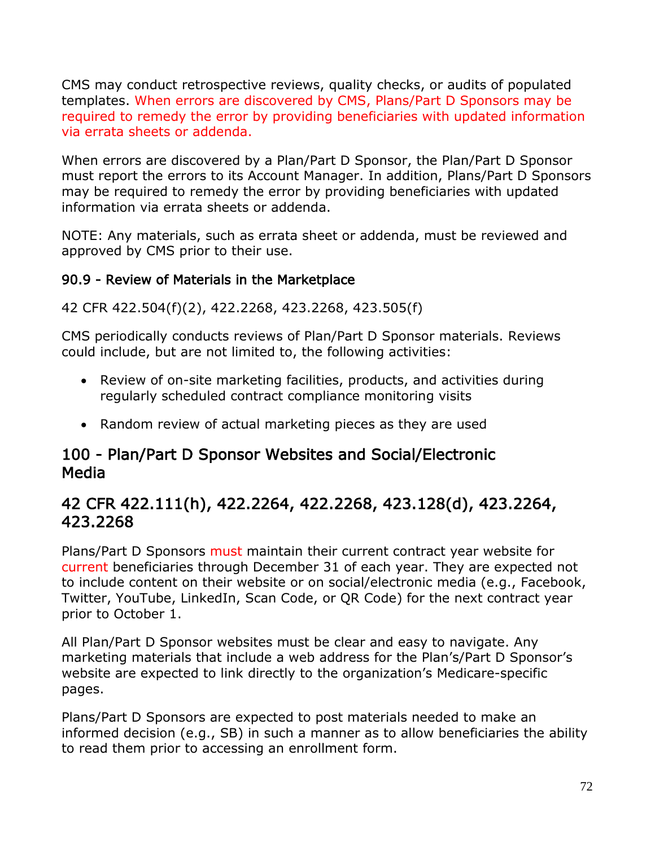CMS may conduct retrospective reviews, quality checks, or audits of populated templates. When errors are discovered by CMS, Plans/Part D Sponsors may be required to remedy the error by providing beneficiaries with updated information via errata sheets or addenda.

When errors are discovered by a Plan/Part D Sponsor, the Plan/Part D Sponsor must report the errors to its Account Manager. In addition, Plans/Part D Sponsors may be required to remedy the error by providing beneficiaries with updated information via errata sheets or addenda.

NOTE: Any materials, such as errata sheet or addenda, must be reviewed and approved by CMS prior to their use.

## 90.9 - Review of Materials in the Marketplace

42 CFR 422.504(f)(2), 422.2268, 423.2268, 423.505(f)

CMS periodically conducts reviews of Plan/Part D Sponsor materials. Reviews could include, but are not limited to, the following activities:

- Review of on-site marketing facilities, products, and activities during regularly scheduled contract compliance monitoring visits
- Random review of actual marketing pieces as they are used

# 100 - Plan/Part D Sponsor Websites and Social/Electronic Media

# 42 CFR 422.111(h), 422.2264, 422.2268, 423.128(d), 423.2264, 423.2268

Plans/Part D Sponsors must maintain their current contract year website for current beneficiaries through December 31 of each year. They are expected not to include content on their website or on social/electronic media (e.g., Facebook, Twitter, YouTube, LinkedIn, Scan Code, or QR Code) for the next contract year prior to October 1.

All Plan/Part D Sponsor websites must be clear and easy to navigate. Any marketing materials that include a web address for the Plan's/Part D Sponsor's website are expected to link directly to the organization's Medicare-specific pages.

Plans/Part D Sponsors are expected to post materials needed to make an informed decision (e.g., SB) in such a manner as to allow beneficiaries the ability to read them prior to accessing an enrollment form.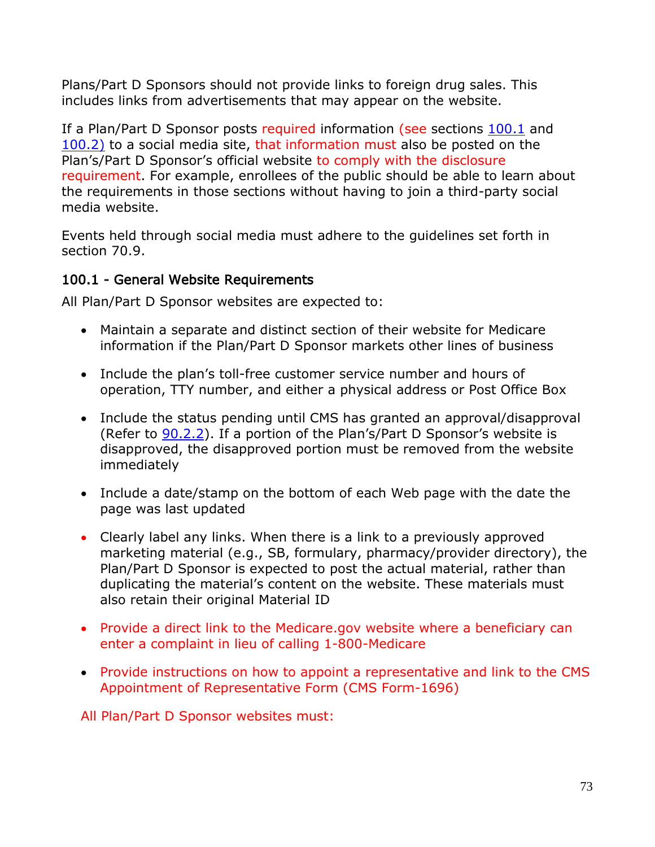Plans/Part D Sponsors should not provide links to foreign drug sales. This includes links from advertisements that may appear on the website.

If a Plan/Part D Sponsor posts required information (see sections 100.1 and 100.2) to a social media site, that information must also be posted on the Plan's/Part D Sponsor's official website to comply with the disclosure requirement. For example, enrollees of the public should be able to learn about the requirements in those sections without having to join a third-party social media website.

Events held through social media must adhere to the guidelines set forth in section 70.9.

### 100.1 - General Website Requirements

All Plan/Part D Sponsor websites are expected to:

- Maintain a separate and distinct section of their website for Medicare information if the Plan/Part D Sponsor markets other lines of business
- Include the plan's toll-free customer service number and hours of operation, TTY number, and either a physical address or Post Office Box
- Include the status pending until CMS has granted an approval/disapproval (Refer to 90.2.2). If a portion of the Plan's/Part D Sponsor's website is disapproved, the disapproved portion must be removed from the website immediately
- Include a date/stamp on the bottom of each Web page with the date the page was last updated
- Clearly label any links. When there is a link to a previously approved marketing material (e.g., SB, formulary, pharmacy/provider directory), the Plan/Part D Sponsor is expected to post the actual material, rather than duplicating the material's content on the website. These materials must also retain their original Material ID
- Provide a direct link to the Medicare.gov website where a beneficiary can enter a complaint in lieu of calling 1-800-Medicare
- Provide instructions on how to appoint a representative and link to the CMS Appointment of Representative Form (CMS Form-1696)

All Plan/Part D Sponsor websites must: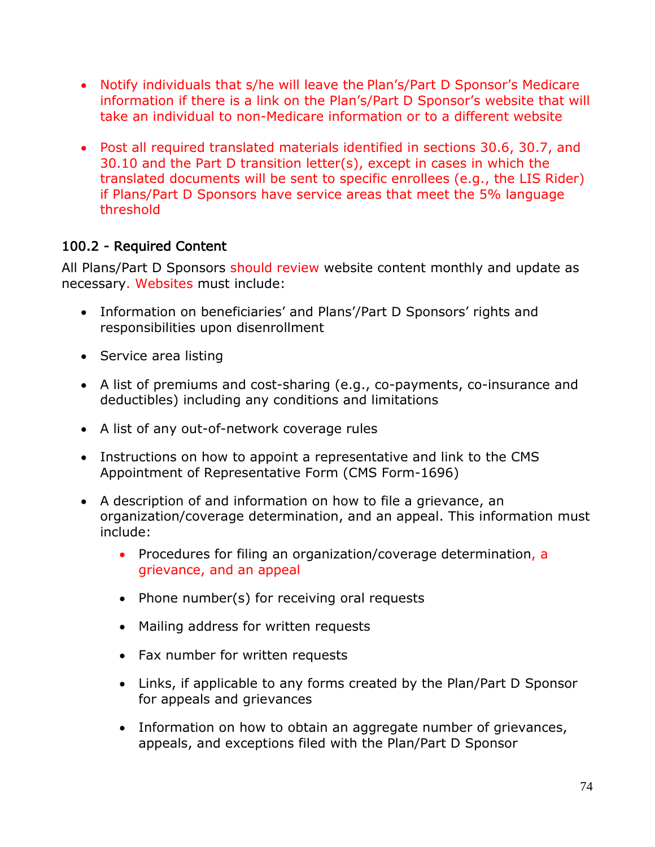- Notify individuals that s/he will leave the Plan's/Part D Sponsor's Medicare information if there is a link on the Plan's/Part D Sponsor's website that will take an individual to non-Medicare information or to a different website
- Post all required translated materials identified in sections 30.6, 30.7, and 30.10 and the Part D transition letter(s), except in cases in which the translated documents will be sent to specific enrollees (e.g., the LIS Rider) if Plans/Part D Sponsors have service areas that meet the 5% language threshold

### 100.2 - Required Content

All Plans/Part D Sponsors should review website content monthly and update as necessary. Websites must include:

- Information on beneficiaries' and Plans'/Part D Sponsors' rights and responsibilities upon disenrollment
- Service area listing
- A list of premiums and cost-sharing (e.g., co-payments, co-insurance and deductibles) including any conditions and limitations
- A list of any out-of-network coverage rules
- Instructions on how to appoint a representative and link to the CMS Appointment of Representative Form (CMS Form-1696)
- A description of and information on how to file a grievance, an organization/coverage determination, and an appeal. This information must include:
	- Procedures for filing an organization/coverage determination, a grievance, and an appeal
	- Phone number(s) for receiving oral requests
	- Mailing address for written requests
	- Fax number for written requests
	- Links, if applicable to any forms created by the Plan/Part D Sponsor for appeals and grievances
	- Information on how to obtain an aggregate number of grievances, appeals, and exceptions filed with the Plan/Part D Sponsor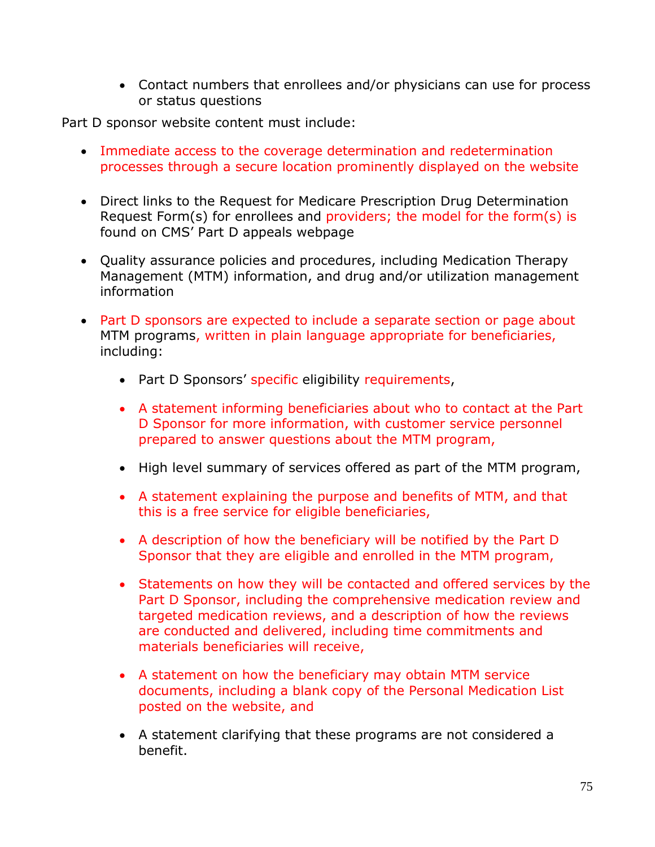• Contact numbers that enrollees and/or physicians can use for process or status questions

Part D sponsor website content must include:

- Immediate access to the coverage determination and redetermination processes through a secure location prominently displayed on the website
- Direct links to the Request for Medicare Prescription Drug Determination Request Form(s) for enrollees and providers; the model for the form(s) is found on CMS' Part D appeals webpage
- Quality assurance policies and procedures, including Medication Therapy Management (MTM) information, and drug and/or utilization management information
- Part D sponsors are expected to include a separate section or page about MTM programs, written in plain language appropriate for beneficiaries, including:
	- Part D Sponsors' specific eligibility requirements,
	- A statement informing beneficiaries about who to contact at the Part D Sponsor for more information, with customer service personnel prepared to answer questions about the MTM program,
	- High level summary of services offered as part of the MTM program,
	- A statement explaining the purpose and benefits of MTM, and that this is a free service for eligible beneficiaries,
	- A description of how the beneficiary will be notified by the Part D Sponsor that they are eligible and enrolled in the MTM program,
	- Statements on how they will be contacted and offered services by the Part D Sponsor, including the comprehensive medication review and targeted medication reviews, and a description of how the reviews are conducted and delivered, including time commitments and materials beneficiaries will receive,
	- A statement on how the beneficiary may obtain MTM service documents, including a blank copy of the Personal Medication List posted on the website, and
	- A statement clarifying that these programs are not considered a benefit.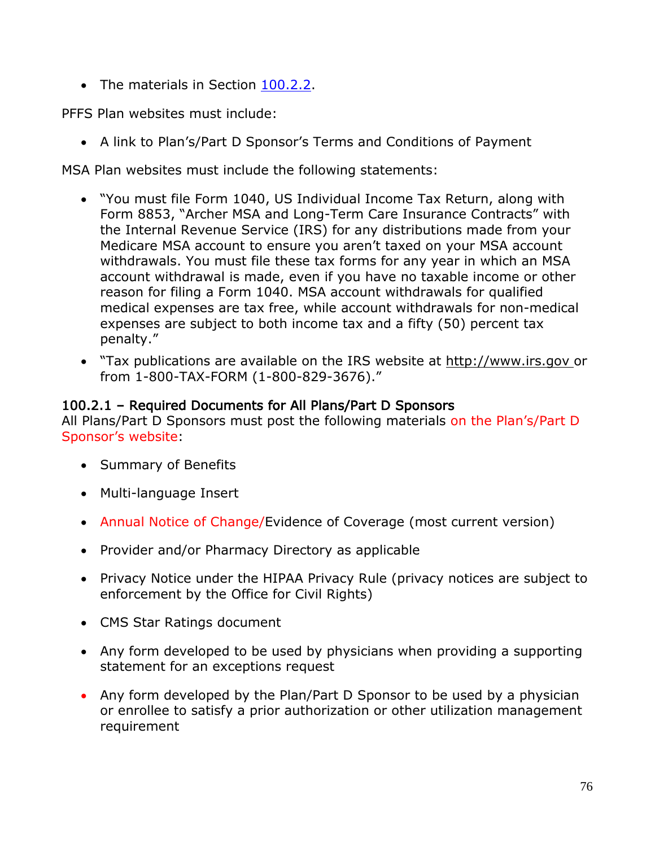• The materials in Section 100.2.2.

PFFS Plan websites must include:

• A link to Plan's/Part D Sponsor's Terms and Conditions of Payment

MSA Plan websites must include the following statements:

- "You must file Form 1040, US Individual Income Tax Return, along with Form 8853, "Archer MSA and Long-Term Care Insurance Contracts" with the Internal Revenue Service (IRS) for any distributions made from your Medicare MSA account to ensure you aren't taxed on your MSA account withdrawals. You must file these tax forms for any year in which an MSA account withdrawal is made, even if you have no taxable income or other reason for filing a Form 1040. MSA account withdrawals for qualified medical expenses are tax free, while account withdrawals for non-medical expenses are subject to both income tax and a fifty (50) percent tax penalty."
- "Tax publications are available on the IRS website at http://www.irs.gov or from 1-800-TAX-FORM (1-800-829-3676)."

### 100.2.1 – Required Documents for All Plans/Part D Sponsors

All Plans/Part D Sponsors must post the following materials on the Plan's/Part D Sponsor's website:

- Summary of Benefits
- Multi-language Insert
- Annual Notice of Change/Evidence of Coverage (most current version)
- Provider and/or Pharmacy Directory as applicable
- Privacy Notice under the HIPAA Privacy Rule (privacy notices are subject to enforcement by the Office for Civil Rights)
- CMS Star Ratings document
- Any form developed to be used by physicians when providing a supporting statement for an exceptions request
- Any form developed by the Plan/Part D Sponsor to be used by a physician or enrollee to satisfy a prior authorization or other utilization management requirement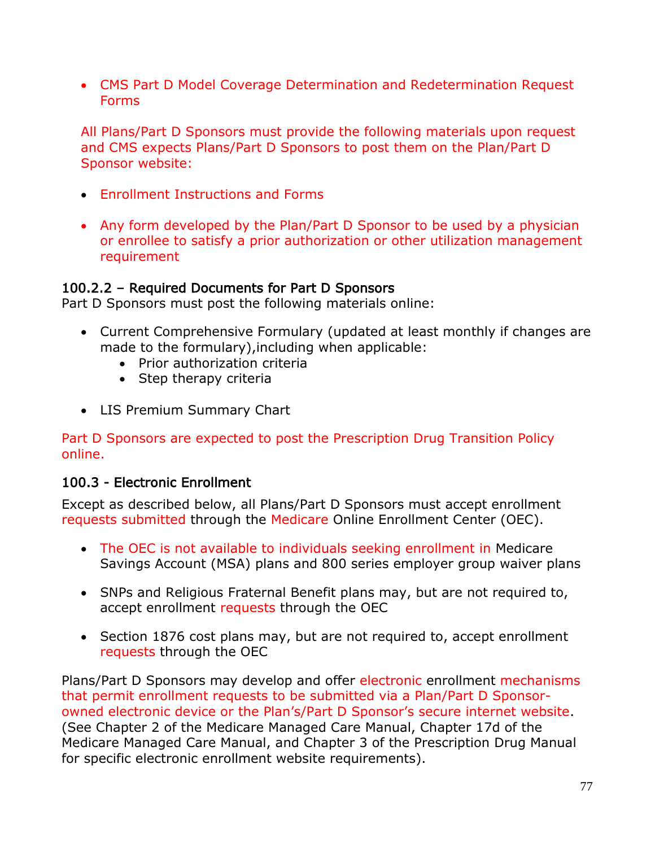• CMS Part D Model Coverage Determination and Redetermination Request Forms

All Plans/Part D Sponsors must provide the following materials upon request and CMS expects Plans/Part D Sponsors to post them on the Plan/Part D Sponsor website:

- Enrollment Instructions and Forms
- Any form developed by the Plan/Part D Sponsor to be used by a physician or enrollee to satisfy a prior authorization or other utilization management requirement

### 100.2.2 – Required Documents for Part D Sponsors

Part D Sponsors must post the following materials online:

- Current Comprehensive Formulary (updated at least monthly if changes are made to the formulary),including when applicable:
	- Prior authorization criteria
	- Step therapy criteria
- LIS Premium Summary Chart

Part D Sponsors are expected to post the Prescription Drug Transition Policy online.

### 100.3 - Electronic Enrollment

Except as described below, all Plans/Part D Sponsors must accept enrollment requests submitted through the Medicare Online Enrollment Center (OEC).

- The OEC is not available to individuals seeking enrollment in Medicare Savings Account (MSA) plans and 800 series employer group waiver plans
- SNPs and Religious Fraternal Benefit plans may, but are not required to, accept enrollment requests through the OEC
- Section 1876 cost plans may, but are not required to, accept enrollment requests through the OEC

Plans/Part D Sponsors may develop and offer electronic enrollment mechanisms that permit enrollment requests to be submitted via a Plan/Part D Sponsorowned electronic device or the Plan's/Part D Sponsor's secure internet website. (See Chapter 2 of the Medicare Managed Care Manual, Chapter 17d of the Medicare Managed Care Manual, and Chapter 3 of the Prescription Drug Manual for specific electronic enrollment website requirements).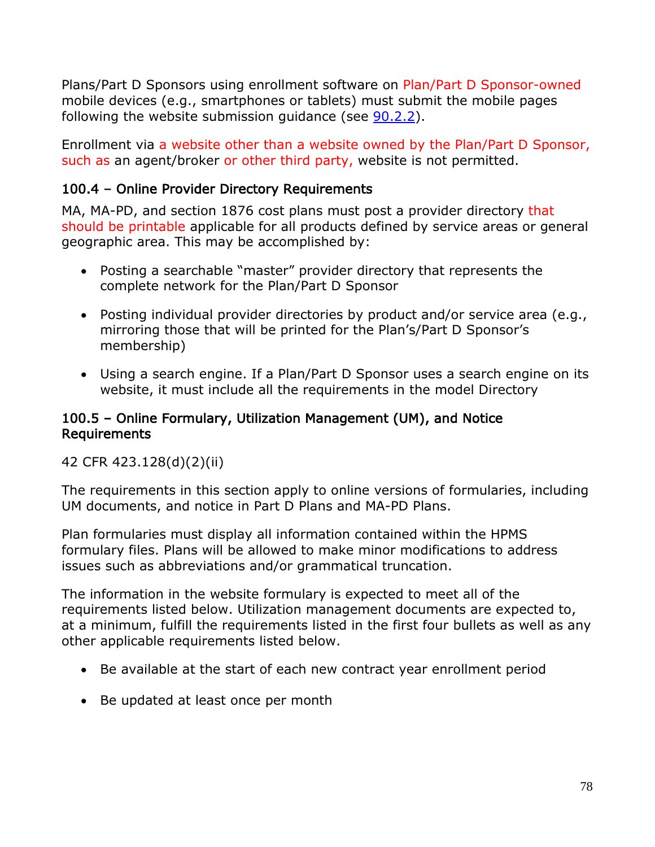Plans/Part D Sponsors using enrollment software on Plan/Part D Sponsor-owned mobile devices (e.g., smartphones or tablets) must submit the mobile pages following the website submission guidance (see 90.2.2).

Enrollment via a website other than a website owned by the Plan/Part D Sponsor, such as an agent/broker or other third party, website is not permitted.

## 100.4 – Online Provider Directory Requirements

MA, MA-PD, and section 1876 cost plans must post a provider directory that should be printable applicable for all products defined by service areas or general geographic area. This may be accomplished by:

- Posting a searchable "master" provider directory that represents the complete network for the Plan/Part D Sponsor
- Posting individual provider directories by product and/or service area (e.g., mirroring those that will be printed for the Plan's/Part D Sponsor's membership)
- Using a search engine. If a Plan/Part D Sponsor uses a search engine on its website, it must include all the requirements in the model Directory

### 100.5 – Online Formulary, Utilization Management (UM), and Notice Requirements

42 CFR 423.128(d)(2)(ii)

The requirements in this section apply to online versions of formularies, including UM documents, and notice in Part D Plans and MA-PD Plans.

Plan formularies must display all information contained within the HPMS formulary files. Plans will be allowed to make minor modifications to address issues such as abbreviations and/or grammatical truncation.

The information in the website formulary is expected to meet all of the requirements listed below. Utilization management documents are expected to, at a minimum, fulfill the requirements listed in the first four bullets as well as any other applicable requirements listed below.

- Be available at the start of each new contract year enrollment period
- Be updated at least once per month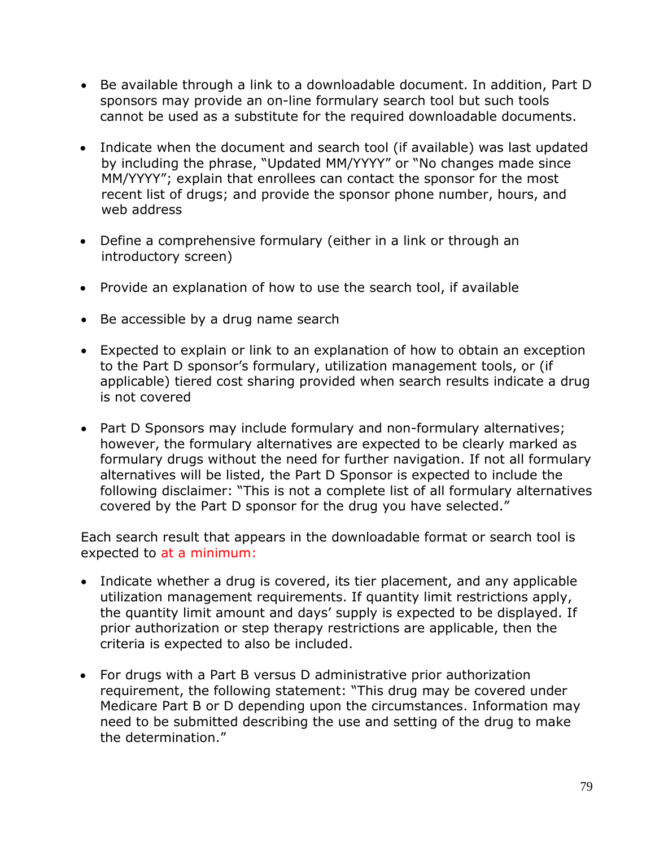- Be available through a link to a downloadable document. In addition, Part D sponsors may provide an on-line formulary search tool but such tools cannot be used as a substitute for the required downloadable documents.
- Indicate when the document and search tool (if available) was last updated by including the phrase, "Updated MM/YYYY" or "No changes made since MM/YYYY"; explain that enrollees can contact the sponsor for the most recent list of drugs; and provide the sponsor phone number, hours, and web address
- Define a comprehensive formulary (either in a link or through an introductory screen)
- Provide an explanation of how to use the search tool, if available
- Be accessible by a drug name search
- Expected to explain or link to an explanation of how to obtain an exception to the Part D sponsor's formulary, utilization management tools, or (if applicable) tiered cost sharing provided when search results indicate a drug is not covered
- Part D Sponsors may include formulary and non-formulary alternatives; however, the formulary alternatives are expected to be clearly marked as formulary drugs without the need for further navigation. If not all formulary alternatives will be listed, the Part D Sponsor is expected to include the following disclaimer: "This is not a complete list of all formulary alternatives covered by the Part D sponsor for the drug you have selected."

Each search result that appears in the downloadable format or search tool is expected to at a minimum:

- Indicate whether a drug is covered, its tier placement, and any applicable utilization management requirements. If quantity limit restrictions apply, the quantity limit amount and days' supply is expected to be displayed. If prior authorization or step therapy restrictions are applicable, then the criteria is expected to also be included.
- For drugs with a Part B versus D administrative prior authorization requirement, the following statement: "This drug may be covered under Medicare Part B or D depending upon the circumstances. Information may need to be submitted describing the use and setting of the drug to make the determination."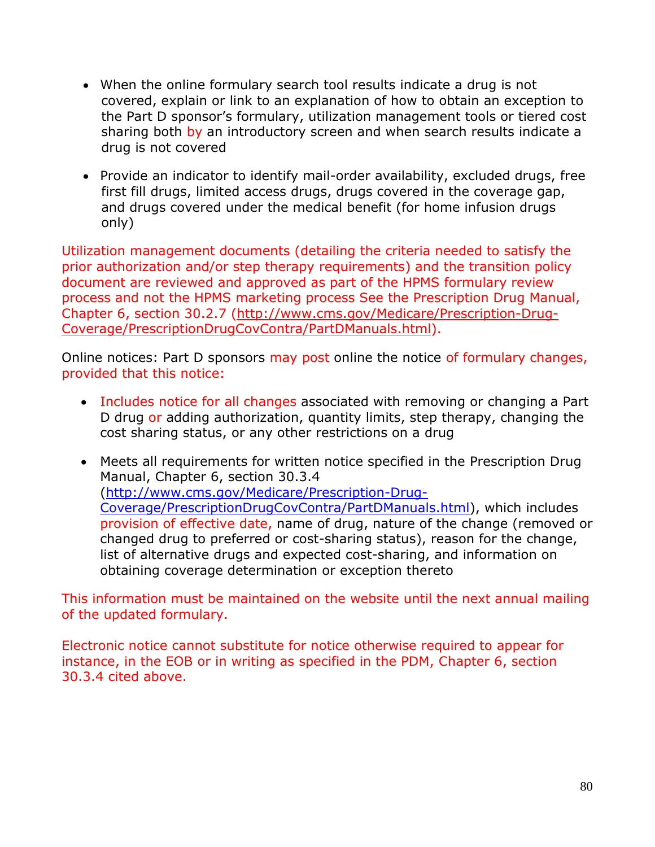- When the online formulary search tool results indicate a drug is not covered, explain or link to an explanation of how to obtain an exception to the Part D sponsor's formulary, utilization management tools or tiered cost sharing both by an introductory screen and when search results indicate a drug is not covered
- Provide an indicator to identify mail-order availability, excluded drugs, free first fill drugs, limited access drugs, drugs covered in the coverage gap, and drugs covered under the medical benefit (for home infusion drugs only)

Utilization management documents (detailing the criteria needed to satisfy the prior authorization and/or step therapy requirements) and the transition policy document are reviewed and approved as part of the HPMS formulary review process and not the HPMS marketing process See the Prescription Drug Manual, Chapter 6, section 30.2.7 [\(http://www.cms.gov/Medicare/Prescription-Drug-](http://www.cms.gov/Medicare/Prescription-Drug-Coverage/PrescriptionDrugCovContra/PartDManuals.html)[Coverage/PrescriptionDrugCovContra/PartDManuals.html\)](http://www.cms.gov/Medicare/Prescription-Drug-Coverage/PrescriptionDrugCovContra/PartDManuals.html).

Online notices: Part D sponsors may post online the notice of formulary changes, provided that this notice:

- Includes notice for all changes associated with removing or changing a Part D drug or adding authorization, quantity limits, step therapy, changing the cost sharing status, or any other restrictions on a drug
- Meets all requirements for written notice specified in the Prescription Drug Manual, Chapter 6, section 30.3.4 [\(http://www.cms.gov/Medicare/Prescription-Drug-](http://www.cms.gov/Medicare/Prescription-Drug-Coverage/PrescriptionDrugCovContra/PartDManuals.html)[Coverage/PrescriptionDrugCovContra/PartDManuals.html\)](http://www.cms.gov/Medicare/Prescription-Drug-Coverage/PrescriptionDrugCovContra/PartDManuals.html), which includes provision of effective date, name of drug, nature of the change (removed or changed drug to preferred or cost-sharing status), reason for the change, list of alternative drugs and expected cost-sharing, and information on obtaining coverage determination or exception thereto

This information must be maintained on the website until the next annual mailing of the updated formulary.

Electronic notice cannot substitute for notice otherwise required to appear for instance, in the EOB or in writing as specified in the PDM, Chapter 6, section 30.3.4 cited above.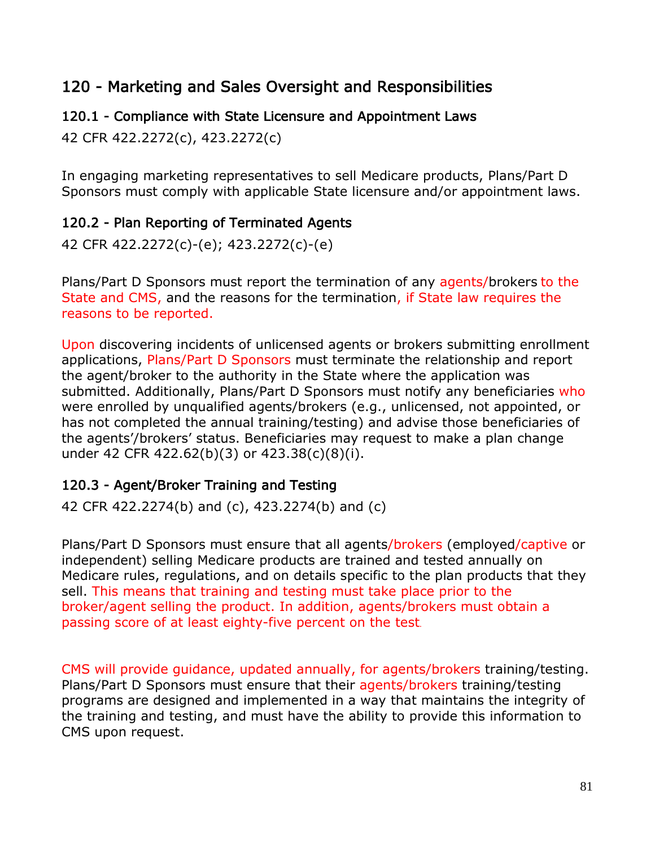# 120 - Marketing and Sales Oversight and Responsibilities

## 120.1 - Compliance with State Licensure and Appointment Laws

42 CFR 422.2272(c), 423.2272(c)

In engaging marketing representatives to sell Medicare products, Plans/Part D Sponsors must comply with applicable State licensure and/or appointment laws.

## 120.2 - Plan Reporting of Terminated Agents

42 CFR 422.2272(c)-(e); 423.2272(c)-(e)

Plans/Part D Sponsors must report the termination of any agents/brokers to the State and CMS, and the reasons for the termination, if State law requires the reasons to be reported.

Upon discovering incidents of unlicensed agents or brokers submitting enrollment applications, Plans/Part D Sponsors must terminate the relationship and report the agent/broker to the authority in the State where the application was submitted. Additionally, Plans/Part D Sponsors must notify any beneficiaries who were enrolled by unqualified agents/brokers (e.g., unlicensed, not appointed, or has not completed the annual training/testing) and advise those beneficiaries of the agents'/brokers' status. Beneficiaries may request to make a plan change under 42 CFR 422.62(b)(3) or 423.38(c)(8)(i).

## 120.3 - Agent/Broker Training and Testing

42 CFR 422.2274(b) and (c), 423.2274(b) and (c)

Plans/Part D Sponsors must ensure that all agents/brokers (employed/captive or independent) selling Medicare products are trained and tested annually on Medicare rules, regulations, and on details specific to the plan products that they sell. This means that training and testing must take place prior to the broker/agent selling the product. In addition, agents/brokers must obtain a passing score of at least eighty-five percent on the test.

CMS will provide guidance, updated annually, for agents/brokers training/testing. Plans/Part D Sponsors must ensure that their agents/brokers training/testing programs are designed and implemented in a way that maintains the integrity of the training and testing, and must have the ability to provide this information to CMS upon request.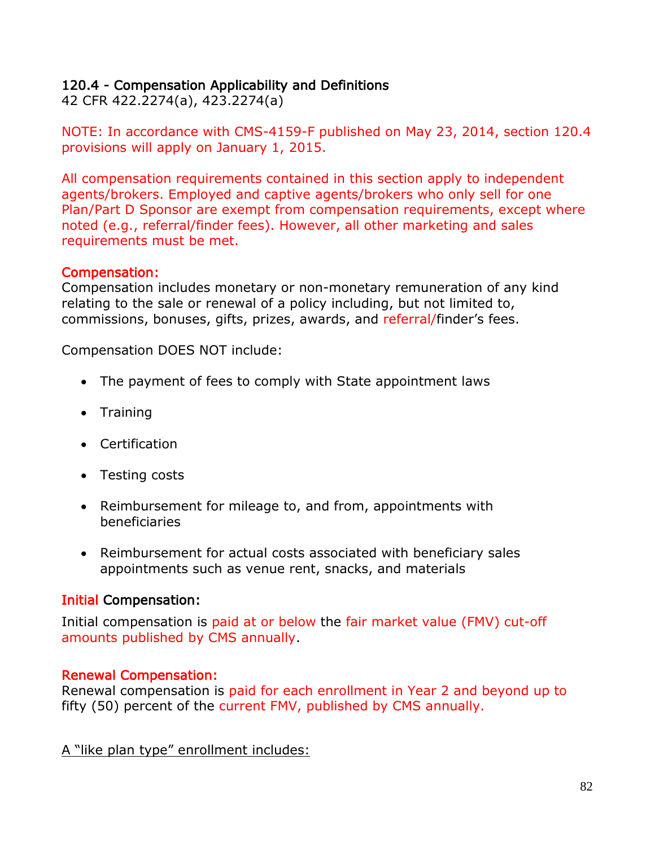### 120.4 - Compensation Applicability and Definitions

42 CFR 422.2274(a), 423.2274(a)

NOTE: In accordance with CMS-4159-F published on May 23, 2014, section 120.4 provisions will apply on January 1, 2015.

All compensation requirements contained in this section apply to independent agents/brokers. Employed and captive agents/brokers who only sell for one Plan/Part D Sponsor are exempt from compensation requirements, except where noted (e.g., referral/finder fees). However, all other marketing and sales requirements must be met.

### Compensation:

Compensation includes monetary or non-monetary remuneration of any kind relating to the sale or renewal of a policy including, but not limited to, commissions, bonuses, gifts, prizes, awards, and referral/finder's fees.

Compensation DOES NOT include:

- The payment of fees to comply with State appointment laws
- Training
- Certification
- Testing costs
- Reimbursement for mileage to, and from, appointments with beneficiaries
- Reimbursement for actual costs associated with beneficiary sales appointments such as venue rent, snacks, and materials

### Initial Compensation:

Initial compensation is paid at or below the fair market value (FMV) cut-off amounts published by CMS annually.

### Renewal Compensation:

Renewal compensation is paid for each enrollment in Year 2 and beyond up to fifty (50) percent of the current FMV, published by CMS annually.

A "like plan type" enrollment includes: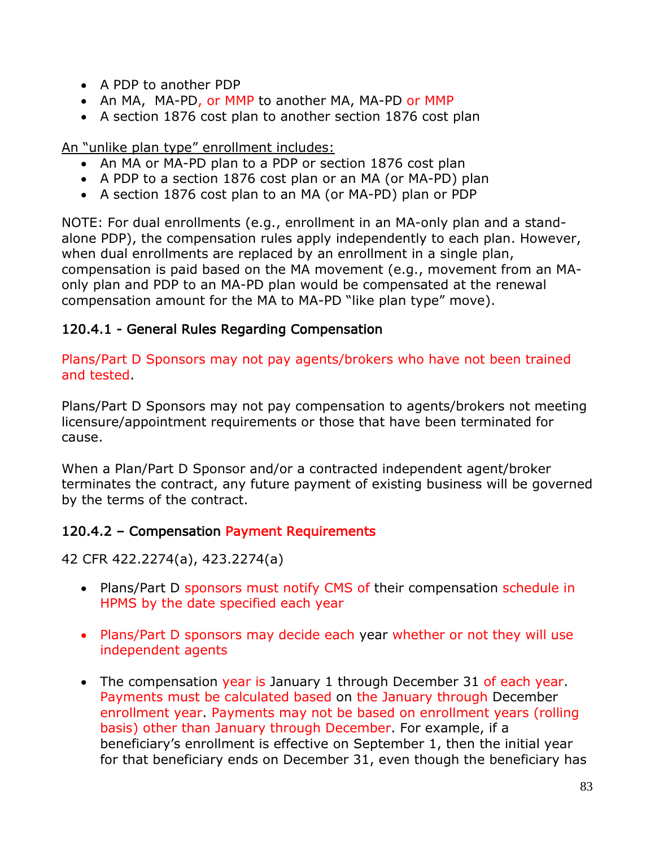- A PDP to another PDP
- An MA, MA-PD, or MMP to another MA, MA-PD or MMP
- A section 1876 cost plan to another section 1876 cost plan

An "unlike plan type" enrollment includes:

- An MA or MA-PD plan to a PDP or section 1876 cost plan
- A PDP to a section 1876 cost plan or an MA (or MA-PD) plan
- A section 1876 cost plan to an MA (or MA-PD) plan or PDP

NOTE: For dual enrollments (e.g., enrollment in an MA-only plan and a standalone PDP), the compensation rules apply independently to each plan. However, when dual enrollments are replaced by an enrollment in a single plan, compensation is paid based on the MA movement (e.g., movement from an MAonly plan and PDP to an MA-PD plan would be compensated at the renewal compensation amount for the MA to MA-PD "like plan type" move).

## 120.4.1 - General Rules Regarding Compensation

Plans/Part D Sponsors may not pay agents/brokers who have not been trained and tested.

Plans/Part D Sponsors may not pay compensation to agents/brokers not meeting licensure/appointment requirements or those that have been terminated for cause.

When a Plan/Part D Sponsor and/or a contracted independent agent/broker terminates the contract, any future payment of existing business will be governed by the terms of the contract.

## 120.4.2 – Compensation Payment Requirements

42 CFR 422.2274(a), 423.2274(a)

- Plans/Part D sponsors must notify CMS of their compensation schedule in HPMS by the date specified each year
- Plans/Part D sponsors may decide each year whether or not they will use independent agents
- The compensation year is January 1 through December 31 of each year. Payments must be calculated based on the January through December enrollment year. Payments may not be based on enrollment years (rolling basis) other than January through December. For example, if a beneficiary's enrollment is effective on September 1, then the initial year for that beneficiary ends on December 31, even though the beneficiary has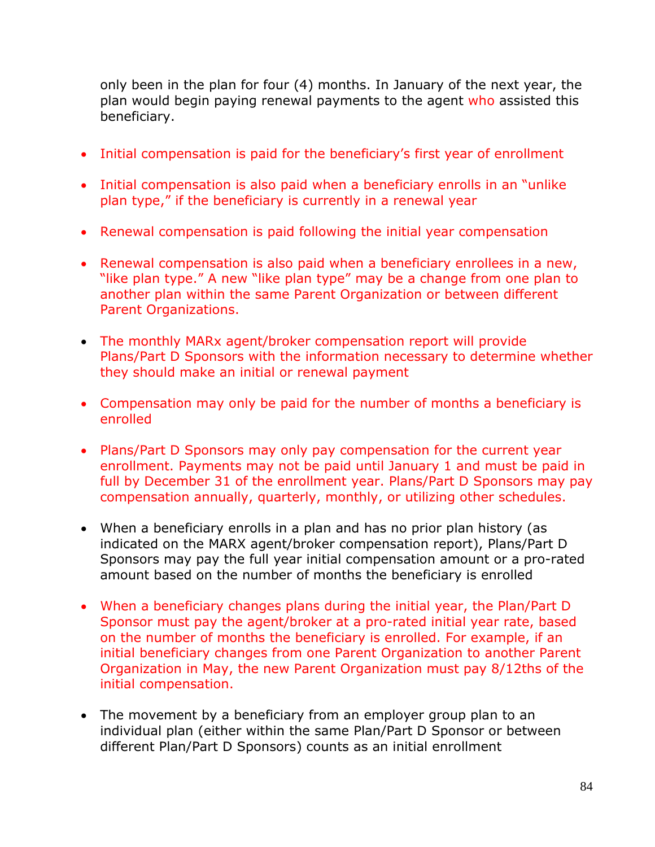only been in the plan for four (4) months. In January of the next year, the plan would begin paying renewal payments to the agent who assisted this beneficiary.

- Initial compensation is paid for the beneficiary's first year of enrollment
- Initial compensation is also paid when a beneficiary enrolls in an "unlike plan type," if the beneficiary is currently in a renewal year
- Renewal compensation is paid following the initial year compensation
- Renewal compensation is also paid when a beneficiary enrollees in a new, "like plan type." A new "like plan type" may be a change from one plan to another plan within the same Parent Organization or between different Parent Organizations.
- The monthly MARx agent/broker compensation report will provide Plans/Part D Sponsors with the information necessary to determine whether they should make an initial or renewal payment
- Compensation may only be paid for the number of months a beneficiary is enrolled
- Plans/Part D Sponsors may only pay compensation for the current year enrollment. Payments may not be paid until January 1 and must be paid in full by December 31 of the enrollment year. Plans/Part D Sponsors may pay compensation annually, quarterly, monthly, or utilizing other schedules.
- When a beneficiary enrolls in a plan and has no prior plan history (as indicated on the MARX agent/broker compensation report), Plans/Part D Sponsors may pay the full year initial compensation amount or a pro-rated amount based on the number of months the beneficiary is enrolled
- When a beneficiary changes plans during the initial year, the Plan/Part D Sponsor must pay the agent/broker at a pro-rated initial year rate, based on the number of months the beneficiary is enrolled. For example, if an initial beneficiary changes from one Parent Organization to another Parent Organization in May, the new Parent Organization must pay 8/12ths of the initial compensation.
- The movement by a beneficiary from an employer group plan to an individual plan (either within the same Plan/Part D Sponsor or between different Plan/Part D Sponsors) counts as an initial enrollment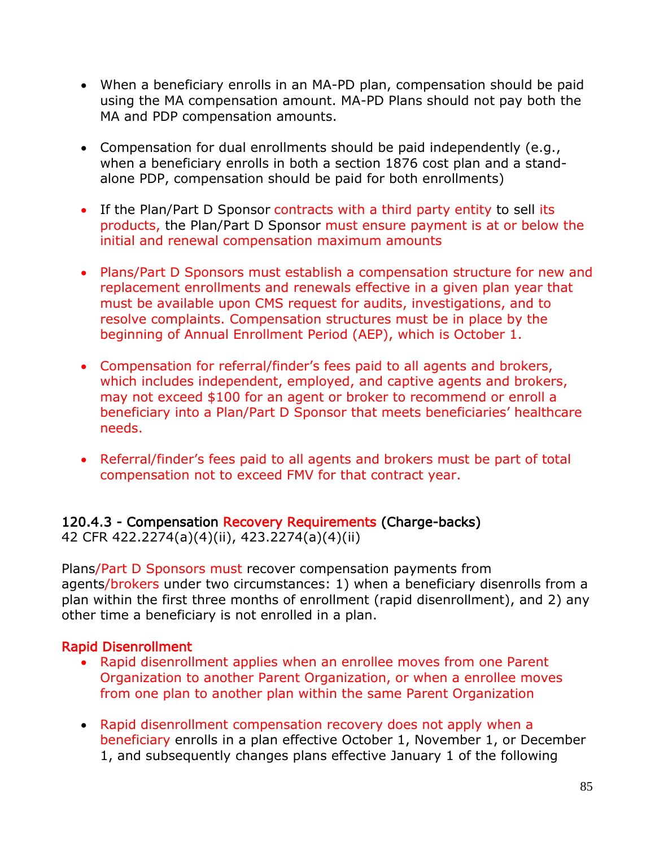- When a beneficiary enrolls in an MA-PD plan, compensation should be paid using the MA compensation amount. MA-PD Plans should not pay both the MA and PDP compensation amounts.
- Compensation for dual enrollments should be paid independently (e.g., when a beneficiary enrolls in both a section 1876 cost plan and a standalone PDP, compensation should be paid for both enrollments)
- If the Plan/Part D Sponsor contracts with a third party entity to sell its products, the Plan/Part D Sponsor must ensure payment is at or below the initial and renewal compensation maximum amounts
- Plans/Part D Sponsors must establish a compensation structure for new and replacement enrollments and renewals effective in a given plan year that must be available upon CMS request for audits, investigations, and to resolve complaints. Compensation structures must be in place by the beginning of Annual Enrollment Period (AEP), which is October 1.
- Compensation for referral/finder's fees paid to all agents and brokers, which includes independent, employed, and captive agents and brokers, may not exceed \$100 for an agent or broker to recommend or enroll a beneficiary into a Plan/Part D Sponsor that meets beneficiaries' healthcare needs.
- Referral/finder's fees paid to all agents and brokers must be part of total compensation not to exceed FMV for that contract year.

# 120.4.3 - Compensation Recovery Requirements (Charge-backs)

42 CFR 422.2274(a)(4)(ii), 423.2274(a)(4)(ii)

Plans/Part D Sponsors must recover compensation payments from agents/brokers under two circumstances: 1) when a beneficiary disenrolls from a plan within the first three months of enrollment (rapid disenrollment), and 2) any other time a beneficiary is not enrolled in a plan.

## Rapid Disenrollment

- Rapid disenrollment applies when an enrollee moves from one Parent Organization to another Parent Organization, or when a enrollee moves from one plan to another plan within the same Parent Organization
- Rapid disenrollment compensation recovery does not apply when a beneficiary enrolls in a plan effective October 1, November 1, or December 1, and subsequently changes plans effective January 1 of the following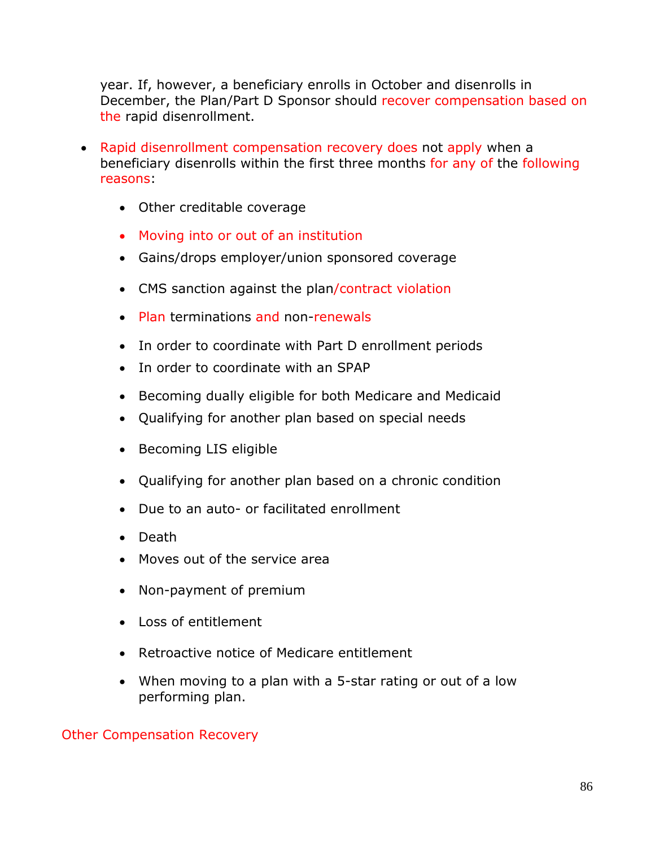year. If, however, a beneficiary enrolls in October and disenrolls in December, the Plan/Part D Sponsor should recover compensation based on the rapid disenrollment.

- Rapid disenrollment compensation recovery does not apply when a beneficiary disenrolls within the first three months for any of the following reasons:
	- Other creditable coverage
	- Moving into or out of an institution
	- Gains/drops employer/union sponsored coverage
	- CMS sanction against the plan/contract violation
	- Plan terminations and non-renewals
	- In order to coordinate with Part D enrollment periods
	- In order to coordinate with an SPAP
	- Becoming dually eligible for both Medicare and Medicaid
	- Qualifying for another plan based on special needs
	- Becoming LIS eligible
	- Qualifying for another plan based on a chronic condition
	- Due to an auto- or facilitated enrollment
	- Death
	- Moves out of the service area
	- Non-payment of premium
	- Loss of entitlement
	- Retroactive notice of Medicare entitlement
	- When moving to a plan with a 5-star rating or out of a low performing plan.

#### Other Compensation Recovery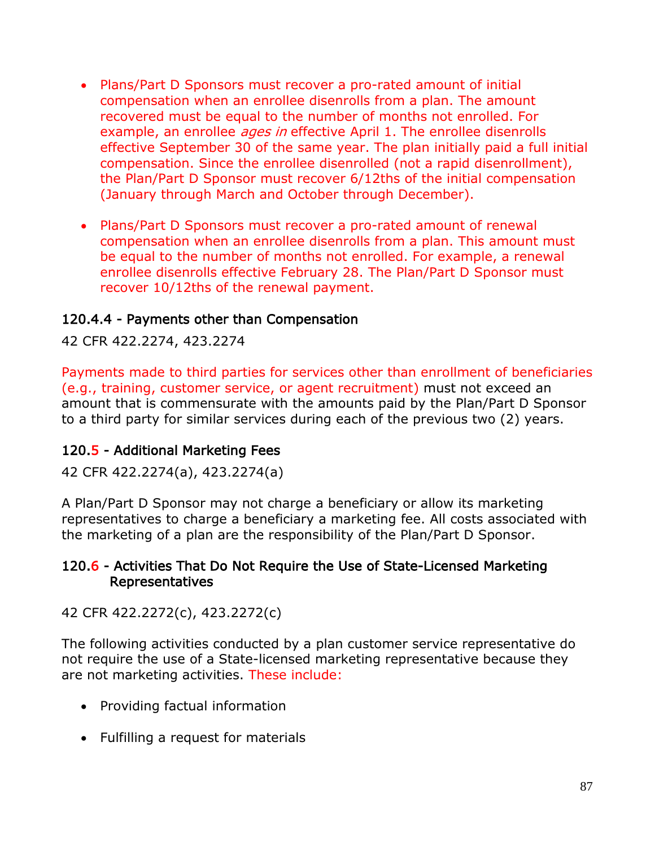- Plans/Part D Sponsors must recover a pro-rated amount of initial compensation when an enrollee disenrolls from a plan. The amount recovered must be equal to the number of months not enrolled. For example, an enrollee *ages in* effective April 1. The enrollee disenrolls effective September 30 of the same year. The plan initially paid a full initial compensation. Since the enrollee disenrolled (not a rapid disenrollment), the Plan/Part D Sponsor must recover 6/12ths of the initial compensation (January through March and October through December).
- Plans/Part D Sponsors must recover a pro-rated amount of renewal compensation when an enrollee disenrolls from a plan. This amount must be equal to the number of months not enrolled. For example, a renewal enrollee disenrolls effective February 28. The Plan/Part D Sponsor must recover 10/12ths of the renewal payment.

### 120.4.4 - Payments other than Compensation

42 CFR 422.2274, 423.2274

Payments made to third parties for services other than enrollment of beneficiaries (e.g., training, customer service, or agent recruitment) must not exceed an amount that is commensurate with the amounts paid by the Plan/Part D Sponsor to a third party for similar services during each of the previous two (2) years.

### 120.5 - Additional Marketing Fees

42 CFR 422.2274(a), 423.2274(a)

A Plan/Part D Sponsor may not charge a beneficiary or allow its marketing representatives to charge a beneficiary a marketing fee. All costs associated with the marketing of a plan are the responsibility of the Plan/Part D Sponsor.

### 120.6 - Activities That Do Not Require the Use of State-Licensed Marketing Representatives

42 CFR 422.2272(c), 423.2272(c)

The following activities conducted by a plan customer service representative do not require the use of a State-licensed marketing representative because they are not marketing activities. These include:

- Providing factual information
- Fulfilling a request for materials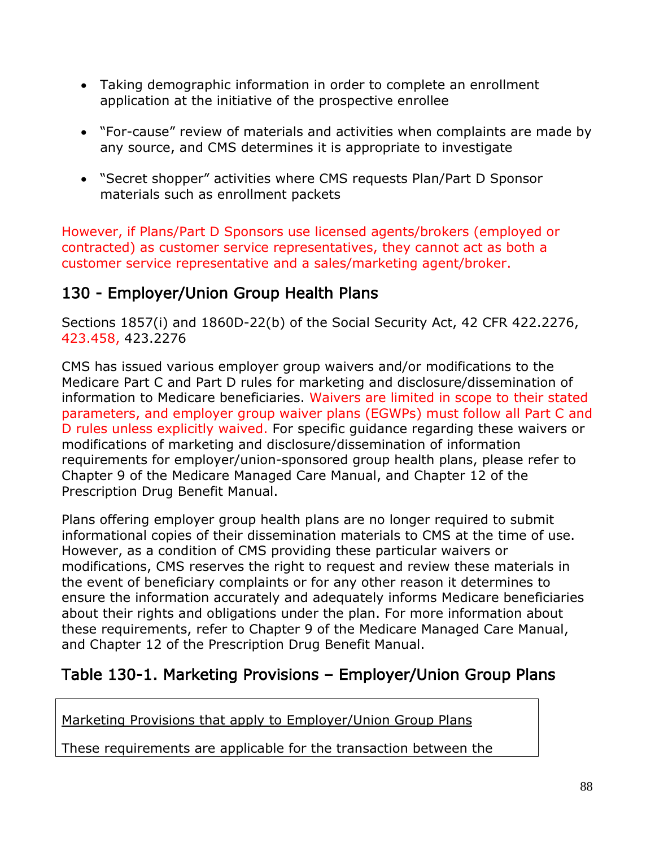- Taking demographic information in order to complete an enrollment application at the initiative of the prospective enrollee
- "For-cause" review of materials and activities when complaints are made by any source, and CMS determines it is appropriate to investigate
- "Secret shopper" activities where CMS requests Plan/Part D Sponsor materials such as enrollment packets

However, if Plans/Part D Sponsors use licensed agents/brokers (employed or contracted) as customer service representatives, they cannot act as both a customer service representative and a sales/marketing agent/broker.

# 130 - Employer/Union Group Health Plans

Sections 1857(i) and 1860D-22(b) of the Social Security Act, 42 CFR 422.2276, 423.458, 423.2276

CMS has issued various employer group waivers and/or modifications to the Medicare Part C and Part D rules for marketing and disclosure/dissemination of information to Medicare beneficiaries. Waivers are limited in scope to their stated parameters, and employer group waiver plans (EGWPs) must follow all Part C and D rules unless explicitly waived. For specific guidance regarding these waivers or modifications of marketing and disclosure/dissemination of information requirements for employer/union-sponsored group health plans, please refer to Chapter 9 of the Medicare Managed Care Manual, and Chapter 12 of the Prescription Drug Benefit Manual.

Plans offering employer group health plans are no longer required to submit informational copies of their dissemination materials to CMS at the time of use. However, as a condition of CMS providing these particular waivers or modifications, CMS reserves the right to request and review these materials in the event of beneficiary complaints or for any other reason it determines to ensure the information accurately and adequately informs Medicare beneficiaries about their rights and obligations under the plan. For more information about these requirements, refer to Chapter 9 of the Medicare Managed Care Manual, and Chapter 12 of the Prescription Drug Benefit Manual.

# Table 130-1. Marketing Provisions – Employer/Union Group Plans

Marketing Provisions that apply to Employer/Union Group Plans

These requirements are applicable for the transaction between the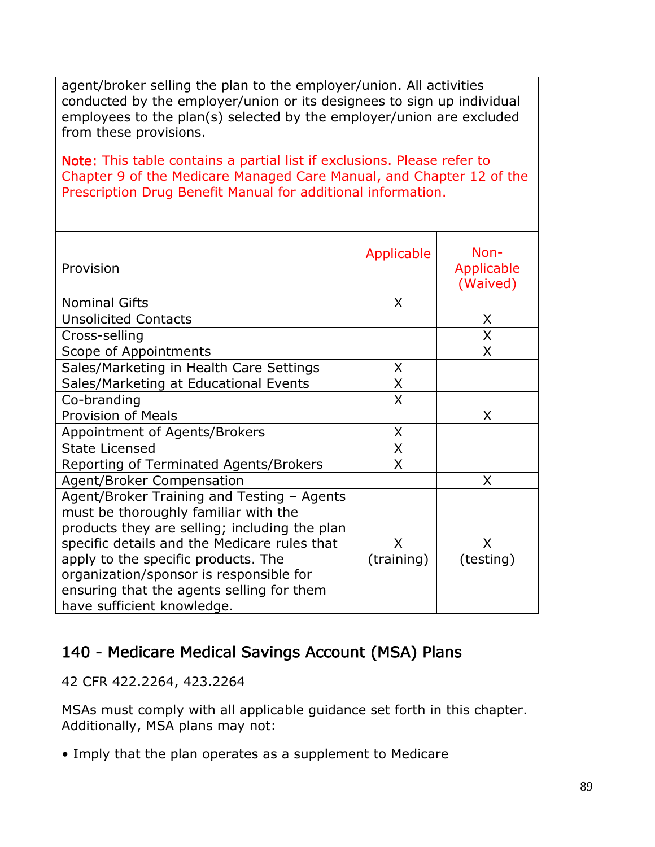agent/broker selling the plan to the employer/union. All activities conducted by the employer/union or its designees to sign up individual employees to the plan(s) selected by the employer/union are excluded from these provisions.

Note: This table contains a partial list if exclusions. Please refer to Chapter 9 of the Medicare Managed Care Manual, and Chapter 12 of the Prescription Drug Benefit Manual for additional information.

| Provision                                                                                                                                                 | Applicable | Non-<br>Applicable<br>(Waived) |
|-----------------------------------------------------------------------------------------------------------------------------------------------------------|------------|--------------------------------|
| <b>Nominal Gifts</b>                                                                                                                                      | X          |                                |
| <b>Unsolicited Contacts</b>                                                                                                                               |            | X                              |
| Cross-selling                                                                                                                                             |            | X                              |
| Scope of Appointments                                                                                                                                     |            | X                              |
| Sales/Marketing in Health Care Settings                                                                                                                   | X          |                                |
| Sales/Marketing at Educational Events                                                                                                                     | X          |                                |
| Co-branding                                                                                                                                               | X          |                                |
| <b>Provision of Meals</b>                                                                                                                                 |            | X                              |
| Appointment of Agents/Brokers                                                                                                                             | X          |                                |
| <b>State Licensed</b>                                                                                                                                     | X          |                                |
| Reporting of Terminated Agents/Brokers                                                                                                                    | X          |                                |
| Agent/Broker Compensation                                                                                                                                 |            | X                              |
| Agent/Broker Training and Testing - Agents<br>must be thoroughly familiar with the<br>products they are selling; including the plan                       |            |                                |
| specific details and the Medicare rules that                                                                                                              | X          | X                              |
| apply to the specific products. The<br>organization/sponsor is responsible for<br>ensuring that the agents selling for them<br>have sufficient knowledge. | (training) | (testing)                      |

# 140 - Medicare Medical Savings Account (MSA) Plans

42 CFR 422.2264, 423.2264

MSAs must comply with all applicable guidance set forth in this chapter. Additionally, MSA plans may not:

• Imply that the plan operates as a supplement to Medicare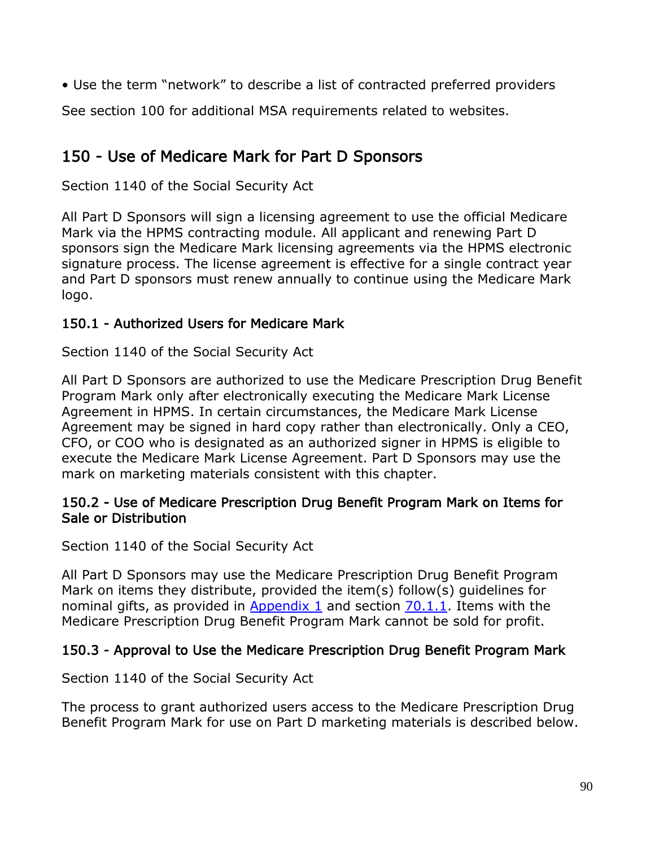• Use the term "network" to describe a list of contracted preferred providers

See section 100 for additional MSA requirements related to websites.

# 150 - Use of Medicare Mark for Part D Sponsors

Section 1140 of the Social Security Act

All Part D Sponsors will sign a licensing agreement to use the official Medicare Mark via the HPMS contracting module. All applicant and renewing Part D sponsors sign the Medicare Mark licensing agreements via the HPMS electronic signature process. The license agreement is effective for a single contract year and Part D sponsors must renew annually to continue using the Medicare Mark logo.

## 150.1 - Authorized Users for Medicare Mark

Section 1140 of the Social Security Act

All Part D Sponsors are authorized to use the Medicare Prescription Drug Benefit Program Mark only after electronically executing the Medicare Mark License Agreement in HPMS. In certain circumstances, the Medicare Mark License Agreement may be signed in hard copy rather than electronically. Only a CEO, CFO, or COO who is designated as an authorized signer in HPMS is eligible to execute the Medicare Mark License Agreement. Part D Sponsors may use the mark on marketing materials consistent with this chapter.

### 150.2 - Use of Medicare Prescription Drug Benefit Program Mark on Items for Sale or Distribution

Section 1140 of the Social Security Act

All Part D Sponsors may use the Medicare Prescription Drug Benefit Program Mark on items they distribute, provided the item(s) follow(s) guidelines for nominal gifts, as provided in Appendix 1 and section 70.1.1. Items with the Medicare Prescription Drug Benefit Program Mark cannot be sold for profit.

## 150.3 - Approval to Use the Medicare Prescription Drug Benefit Program Mark

## Section 1140 of the Social Security Act

The process to grant authorized users access to the Medicare Prescription Drug Benefit Program Mark for use on Part D marketing materials is described below.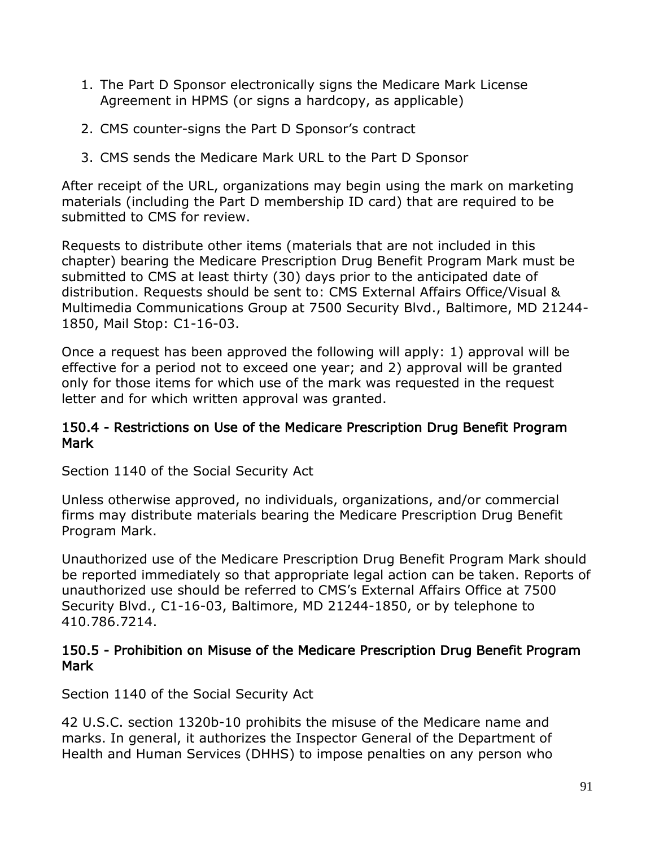- 1. The Part D Sponsor electronically signs the Medicare Mark License Agreement in HPMS (or signs a hardcopy, as applicable)
- 2. CMS counter-signs the Part D Sponsor's contract
- 3. CMS sends the Medicare Mark URL to the Part D Sponsor

After receipt of the URL, organizations may begin using the mark on marketing materials (including the Part D membership ID card) that are required to be submitted to CMS for review.

Requests to distribute other items (materials that are not included in this chapter) bearing the Medicare Prescription Drug Benefit Program Mark must be submitted to CMS at least thirty (30) days prior to the anticipated date of distribution. Requests should be sent to: CMS External Affairs Office/Visual & Multimedia Communications Group at 7500 Security Blvd., Baltimore, MD 21244- 1850, Mail Stop: C1-16-03.

Once a request has been approved the following will apply: 1) approval will be effective for a period not to exceed one year; and 2) approval will be granted only for those items for which use of the mark was requested in the request letter and for which written approval was granted.

### 150.4 - Restrictions on Use of the Medicare Prescription Drug Benefit Program Mark

Section 1140 of the Social Security Act

Unless otherwise approved, no individuals, organizations, and/or commercial firms may distribute materials bearing the Medicare Prescription Drug Benefit Program Mark.

Unauthorized use of the Medicare Prescription Drug Benefit Program Mark should be reported immediately so that appropriate legal action can be taken. Reports of unauthorized use should be referred to CMS's External Affairs Office at 7500 Security Blvd., C1-16-03, Baltimore, MD 21244-1850, or by telephone to 410.786.7214.

### 150.5 - Prohibition on Misuse of the Medicare Prescription Drug Benefit Program **Mark**

Section 1140 of the Social Security Act

42 U.S.C. section 1320b-10 prohibits the misuse of the Medicare name and marks. In general, it authorizes the Inspector General of the Department of Health and Human Services (DHHS) to impose penalties on any person who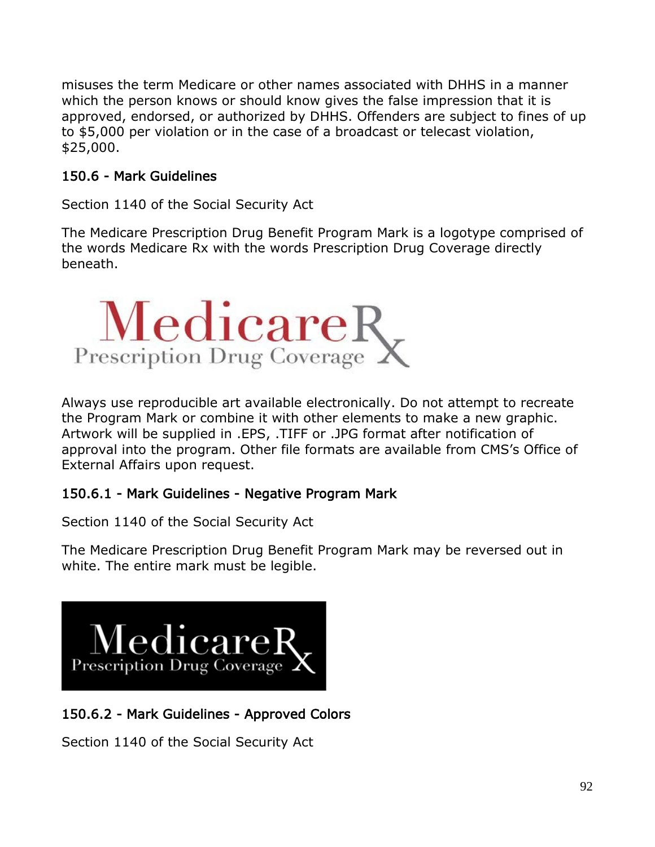misuses the term Medicare or other names associated with DHHS in a manner which the person knows or should know gives the false impression that it is approved, endorsed, or authorized by DHHS. Offenders are subject to fines of up to \$5,000 per violation or in the case of a broadcast or telecast violation, \$25,000.

## 150.6 - Mark Guidelines

Section 1140 of the Social Security Act

The Medicare Prescription Drug Benefit Program Mark is a logotype comprised of the words Medicare Rx with the words Prescription Drug Coverage directly beneath.



Always use reproducible art available electronically. Do not attempt to recreate the Program Mark or combine it with other elements to make a new graphic. Artwork will be supplied in .EPS, .TIFF or .JPG format after notification of approval into the program. Other file formats are available from CMS's Office of External Affairs upon request.

## 150.6.1 - Mark Guidelines - Negative Program Mark

Section 1140 of the Social Security Act

The Medicare Prescription Drug Benefit Program Mark may be reversed out in white. The entire mark must be legible.



# 150.6.2 - Mark Guidelines - Approved Colors

Section 1140 of the Social Security Act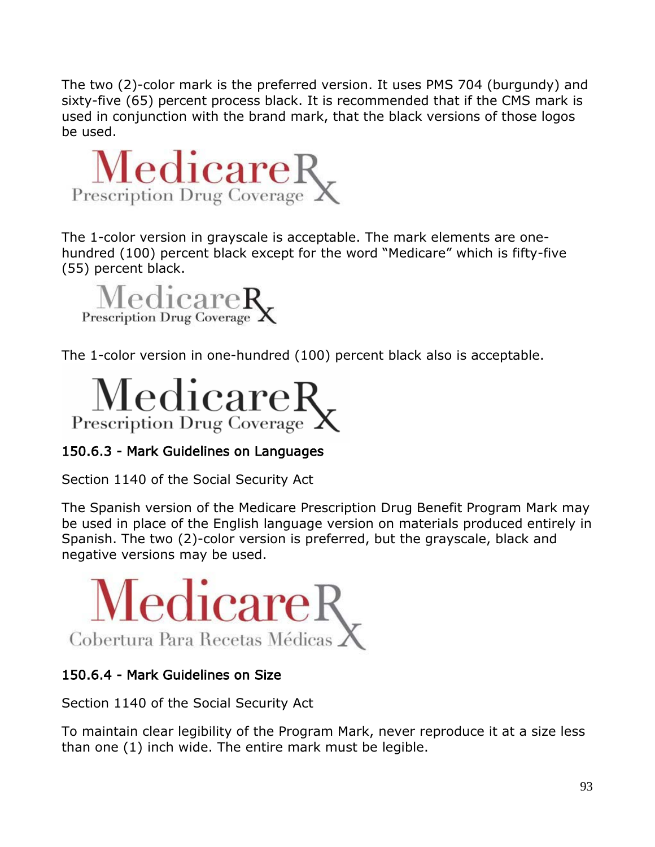The two (2)-color mark is the preferred version. It uses PMS 704 (burgundy) and sixty-five (65) percent process black. It is recommended that if the CMS mark is used in conjunction with the brand mark, that the black versions of those logos be used.



The 1-color version in grayscale is acceptable. The mark elements are onehundred (100) percent black except for the word "Medicare" which is fifty-five (55) percent black.



The 1-color version in one-hundred (100) percent black also is acceptable.



# 150.6.3 - Mark Guidelines on Languages

Section 1140 of the Social Security Act

The Spanish version of the Medicare Prescription Drug Benefit Program Mark may be used in place of the English language version on materials produced entirely in Spanish. The two (2)-color version is preferred, but the grayscale, black and negative versions may be used.



## 150.6.4 - Mark Guidelines on Size

Section 1140 of the Social Security Act

To maintain clear legibility of the Program Mark, never reproduce it at a size less than one (1) inch wide. The entire mark must be legible.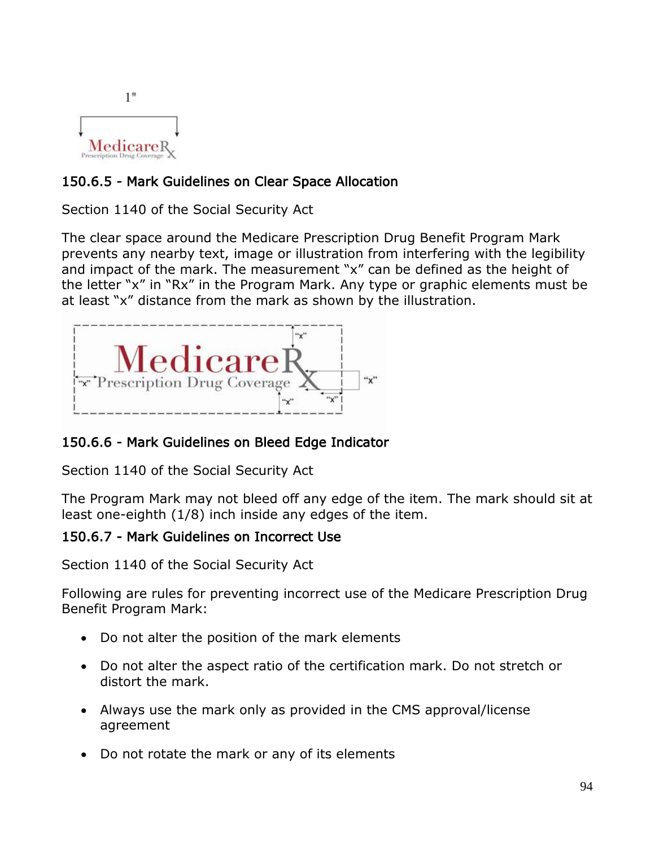

## 150.6.5 - Mark Guidelines on Clear Space Allocation

Section 1140 of the Social Security Act

The clear space around the Medicare Prescription Drug Benefit Program Mark prevents any nearby text, image or illustration from interfering with the legibility and impact of the mark. The measurement "x" can be defined as the height of the letter "x" in "Rx" in the Program Mark. Any type or graphic elements must be at least "x" distance from the mark as shown by the illustration.



## 150.6.6 - Mark Guidelines on Bleed Edge Indicator

Section 1140 of the Social Security Act

The Program Mark may not bleed off any edge of the item. The mark should sit at least one-eighth (1/8) inch inside any edges of the item.

### 150.6.7 - Mark Guidelines on Incorrect Use

Section 1140 of the Social Security Act

Following are rules for preventing incorrect use of the Medicare Prescription Drug Benefit Program Mark:

- Do not alter the position of the mark elements
- Do not alter the aspect ratio of the certification mark. Do not stretch or distort the mark.
- Always use the mark only as provided in the CMS approval/license agreement
- Do not rotate the mark or any of its elements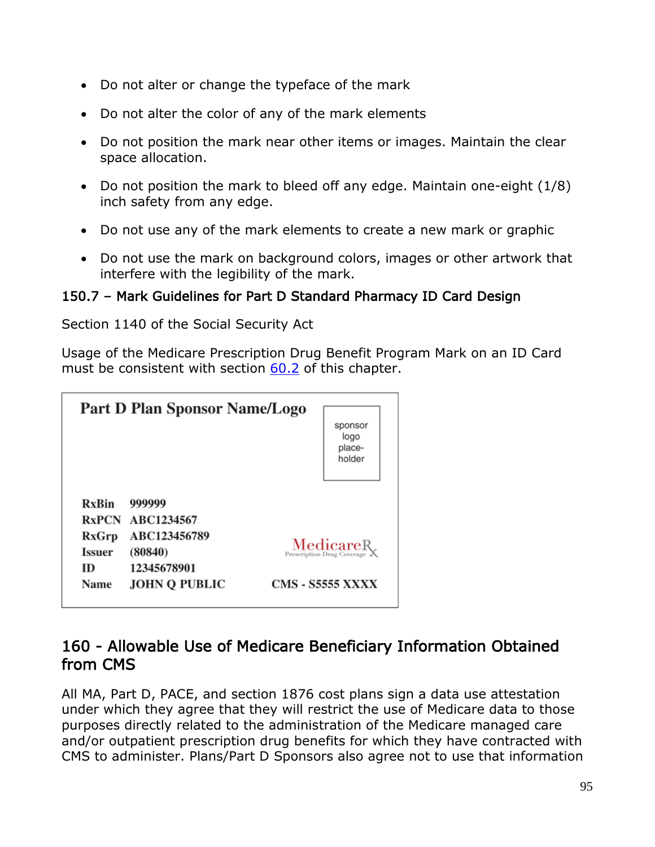- Do not alter or change the typeface of the mark
- Do not alter the color of any of the mark elements
- Do not position the mark near other items or images. Maintain the clear space allocation.
- Do not position the mark to bleed off any edge. Maintain one-eight (1/8) inch safety from any edge.
- Do not use any of the mark elements to create a new mark or graphic
- Do not use the mark on background colors, images or other artwork that interfere with the legibility of the mark.

### 150.7 – Mark Guidelines for Part D Standard Pharmacy ID Card Design

Section 1140 of the Social Security Act

Usage of the Medicare Prescription Drug Benefit Program Mark on an ID Card must be consistent with section 60.2 of this chapter.

|               | Part D Plan Sponsor Name/Logo |                                                                                         |  |
|---------------|-------------------------------|-----------------------------------------------------------------------------------------|--|
|               |                               | sponsor<br>logo<br>place-<br>holder                                                     |  |
| <b>RxBin</b>  | 999999                        |                                                                                         |  |
|               | <b>RxPCN ABC1234567</b>       |                                                                                         |  |
| RxGrp         | ABC123456789                  | $\operatorname*{MedicareR}_{\text{Prescription Drug} }\xspace_{\text{Coverage}}\xspace$ |  |
| <b>Issuer</b> | (80840)                       |                                                                                         |  |
| ID            | 12345678901                   |                                                                                         |  |
| Name          | <b>JOHN O PUBLIC</b>          | <b>CMS - 85555 XXXX</b>                                                                 |  |

# 160 - Allowable Use of Medicare Beneficiary Information Obtained from CMS

All MA, Part D, PACE, and section 1876 cost plans sign a data use attestation under which they agree that they will restrict the use of Medicare data to those purposes directly related to the administration of the Medicare managed care and/or outpatient prescription drug benefits for which they have contracted with CMS to administer. Plans/Part D Sponsors also agree not to use that information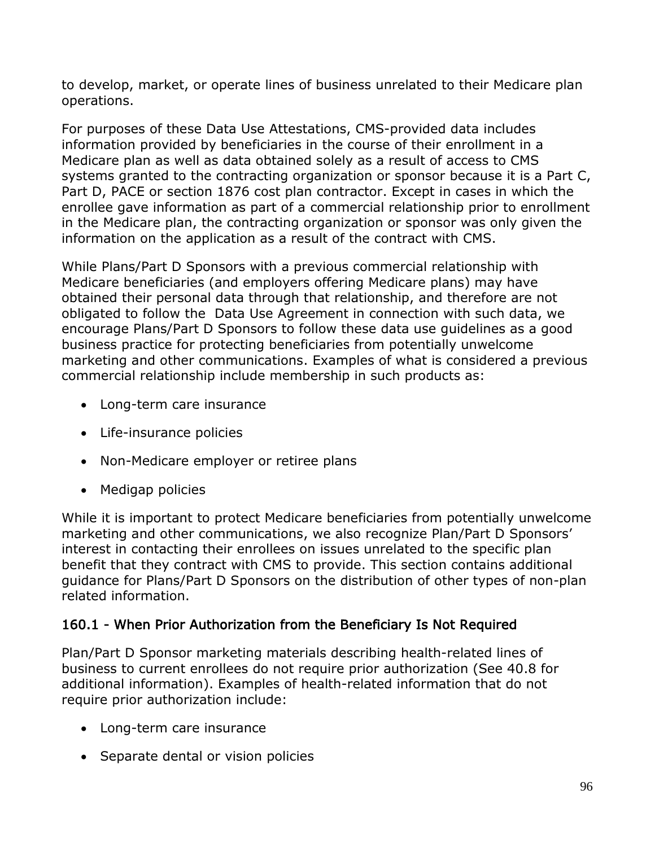to develop, market, or operate lines of business unrelated to their Medicare plan operations.

For purposes of these Data Use Attestations, CMS-provided data includes information provided by beneficiaries in the course of their enrollment in a Medicare plan as well as data obtained solely as a result of access to CMS systems granted to the contracting organization or sponsor because it is a Part C, Part D, PACE or section 1876 cost plan contractor. Except in cases in which the enrollee gave information as part of a commercial relationship prior to enrollment in the Medicare plan, the contracting organization or sponsor was only given the information on the application as a result of the contract with CMS.

While Plans/Part D Sponsors with a previous commercial relationship with Medicare beneficiaries (and employers offering Medicare plans) may have obtained their personal data through that relationship, and therefore are not obligated to follow the Data Use Agreement in connection with such data, we encourage Plans/Part D Sponsors to follow these data use guidelines as a good business practice for protecting beneficiaries from potentially unwelcome marketing and other communications. Examples of what is considered a previous commercial relationship include membership in such products as:

- Long-term care insurance
- Life-insurance policies
- Non-Medicare employer or retiree plans
- Medigap policies

While it is important to protect Medicare beneficiaries from potentially unwelcome marketing and other communications, we also recognize Plan/Part D Sponsors' interest in contacting their enrollees on issues unrelated to the specific plan benefit that they contract with CMS to provide. This section contains additional guidance for Plans/Part D Sponsors on the distribution of other types of non-plan related information.

# 160.1 - When Prior Authorization from the Beneficiary Is Not Required

Plan/Part D Sponsor marketing materials describing health-related lines of business to current enrollees do not require prior authorization (See 40.8 for additional information). Examples of health-related information that do not require prior authorization include:

- Long-term care insurance
- Separate dental or vision policies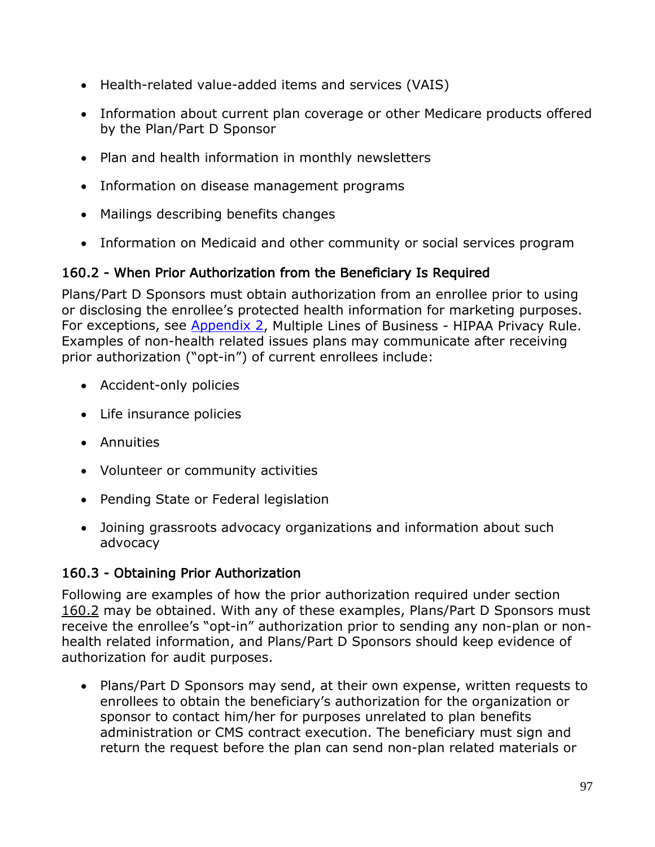- Health-related value-added items and services (VAIS)
- Information about current plan coverage or other Medicare products offered by the Plan/Part D Sponsor
- Plan and health information in monthly newsletters
- Information on disease management programs
- Mailings describing benefits changes
- Information on Medicaid and other community or social services program

## 160.2 - When Prior Authorization from the Beneficiary Is Required

Plans/Part D Sponsors must obtain authorization from an enrollee prior to using or disclosing the enrollee's protected health information for marketing purposes. For exceptions, see Appendix 2, Multiple Lines of Business - HIPAA Privacy Rule. Examples of non-health related issues plans may communicate after receiving prior authorization ("opt-in") of current enrollees include:

- Accident-only policies
- Life insurance policies
- Annuities
- Volunteer or community activities
- Pending State or Federal legislation
- Joining grassroots advocacy organizations and information about such advocacy

## 160.3 - Obtaining Prior Authorization

Following are examples of how the prior authorization required under section 160.2 may be obtained. With any of these examples, Plans/Part D Sponsors must receive the enrollee's "opt-in" authorization prior to sending any non-plan or nonhealth related information, and Plans/Part D Sponsors should keep evidence of authorization for audit purposes.

• Plans/Part D Sponsors may send, at their own expense, written requests to enrollees to obtain the beneficiary's authorization for the organization or sponsor to contact him/her for purposes unrelated to plan benefits administration or CMS contract execution. The beneficiary must sign and return the request before the plan can send non-plan related materials or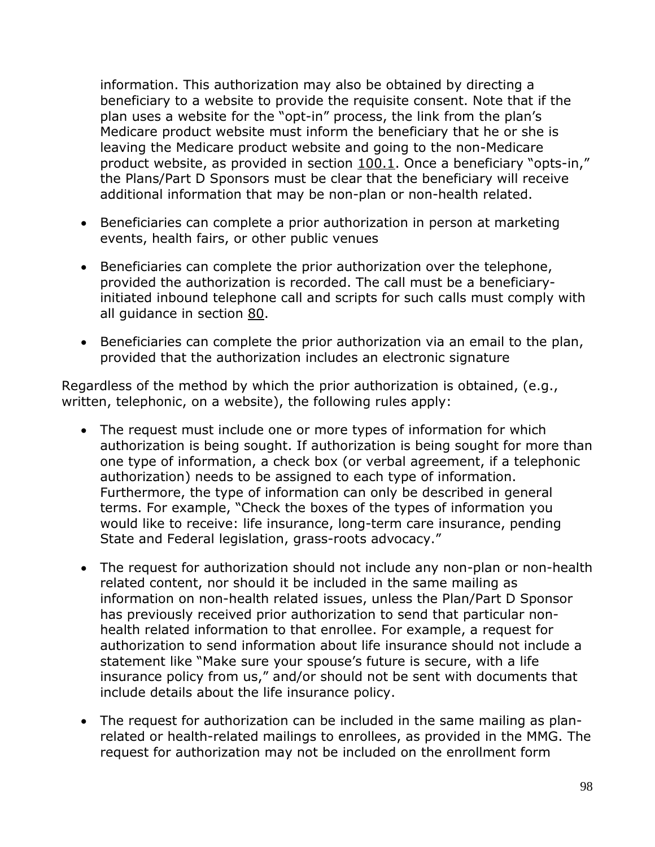information. This authorization may also be obtained by directing a beneficiary to a website to provide the requisite consent. Note that if the plan uses a website for the "opt-in" process, the link from the plan's Medicare product website must inform the beneficiary that he or she is leaving the Medicare product website and going to the non-Medicare product website, as provided in section 100.1. Once a beneficiary "opts-in," the Plans/Part D Sponsors must be clear that the beneficiary will receive additional information that may be non-plan or non-health related.

- Beneficiaries can complete a prior authorization in person at marketing events, health fairs, or other public venues
- Beneficiaries can complete the prior authorization over the telephone, provided the authorization is recorded. The call must be a beneficiaryinitiated inbound telephone call and scripts for such calls must comply with all guidance in section 80.
- Beneficiaries can complete the prior authorization via an email to the plan, provided that the authorization includes an electronic signature

Regardless of the method by which the prior authorization is obtained, (e.g., written, telephonic, on a website), the following rules apply:

- The request must include one or more types of information for which authorization is being sought. If authorization is being sought for more than one type of information, a check box (or verbal agreement, if a telephonic authorization) needs to be assigned to each type of information. Furthermore, the type of information can only be described in general terms. For example, "Check the boxes of the types of information you would like to receive: life insurance, long-term care insurance, pending State and Federal legislation, grass-roots advocacy."
- The request for authorization should not include any non-plan or non-health related content, nor should it be included in the same mailing as information on non-health related issues, unless the Plan/Part D Sponsor has previously received prior authorization to send that particular nonhealth related information to that enrollee. For example, a request for authorization to send information about life insurance should not include a statement like "Make sure your spouse's future is secure, with a life insurance policy from us," and/or should not be sent with documents that include details about the life insurance policy.
- The request for authorization can be included in the same mailing as planrelated or health-related mailings to enrollees, as provided in the MMG. The request for authorization may not be included on the enrollment form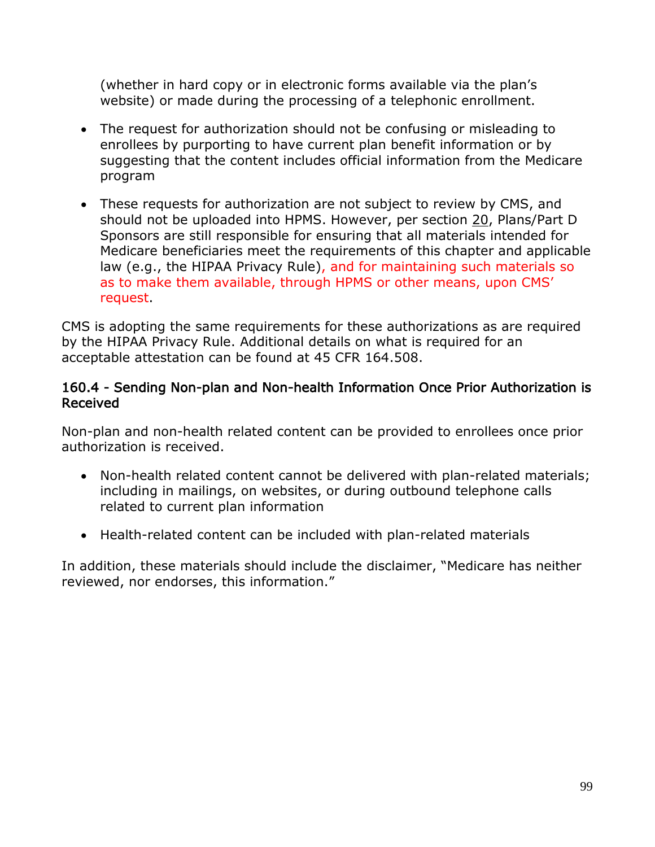(whether in hard copy or in electronic forms available via the plan's website) or made during the processing of a telephonic enrollment.

- The request for authorization should not be confusing or misleading to enrollees by purporting to have current plan benefit information or by suggesting that the content includes official information from the Medicare program
- These requests for authorization are not subject to review by CMS, and should not be uploaded into HPMS. However, per section 20, Plans/Part D Sponsors are still responsible for ensuring that all materials intended for Medicare beneficiaries meet the requirements of this chapter and applicable law (e.g., the HIPAA Privacy Rule), and for maintaining such materials so as to make them available, through HPMS or other means, upon CMS' request.

CMS is adopting the same requirements for these authorizations as are required by the HIPAA Privacy Rule. Additional details on what is required for an acceptable attestation can be found at 45 CFR 164.508.

### 160.4 - Sending Non-plan and Non-health Information Once Prior Authorization is Received

Non-plan and non-health related content can be provided to enrollees once prior authorization is received.

- Non-health related content cannot be delivered with plan-related materials; including in mailings, on websites, or during outbound telephone calls related to current plan information
- Health-related content can be included with plan-related materials

In addition, these materials should include the disclaimer, "Medicare has neither reviewed, nor endorses, this information."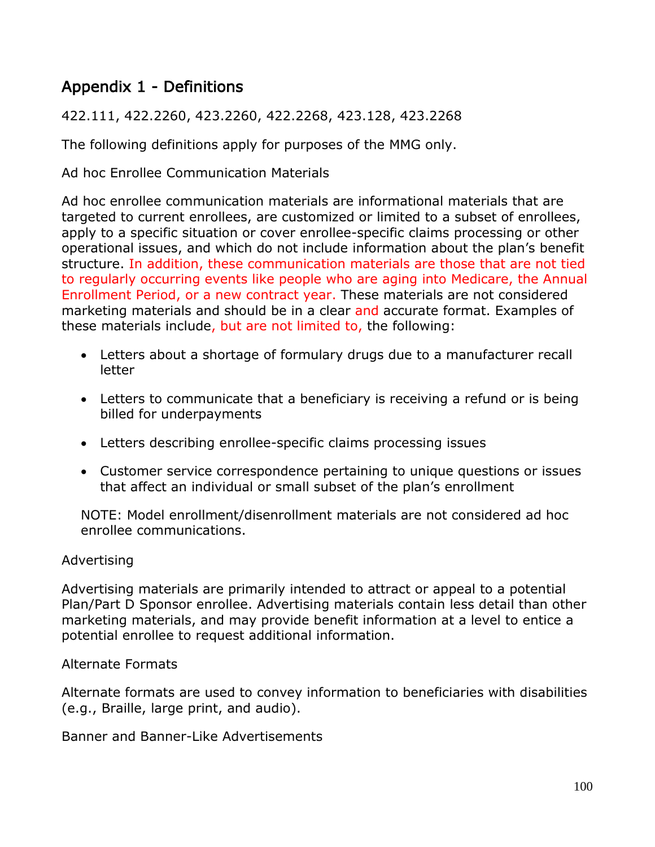# Appendix 1 - Definitions

422.111, 422.2260, 423.2260, 422.2268, 423.128, 423.2268

The following definitions apply for purposes of the MMG only.

Ad hoc Enrollee Communication Materials

Ad hoc enrollee communication materials are informational materials that are targeted to current enrollees, are customized or limited to a subset of enrollees, apply to a specific situation or cover enrollee-specific claims processing or other operational issues, and which do not include information about the plan's benefit structure. In addition, these communication materials are those that are not tied to regularly occurring events like people who are aging into Medicare, the Annual Enrollment Period, or a new contract year. These materials are not considered marketing materials and should be in a clear and accurate format. Examples of these materials include, but are not limited to, the following:

- Letters about a shortage of formulary drugs due to a manufacturer recall letter
- Letters to communicate that a beneficiary is receiving a refund or is being billed for underpayments
- Letters describing enrollee-specific claims processing issues
- Customer service correspondence pertaining to unique questions or issues that affect an individual or small subset of the plan's enrollment

NOTE: Model enrollment/disenrollment materials are not considered ad hoc enrollee communications.

### Advertising

Advertising materials are primarily intended to attract or appeal to a potential Plan/Part D Sponsor enrollee. Advertising materials contain less detail than other marketing materials, and may provide benefit information at a level to entice a potential enrollee to request additional information.

### Alternate Formats

Alternate formats are used to convey information to beneficiaries with disabilities (e.g., Braille, large print, and audio).

Banner and Banner-Like Advertisements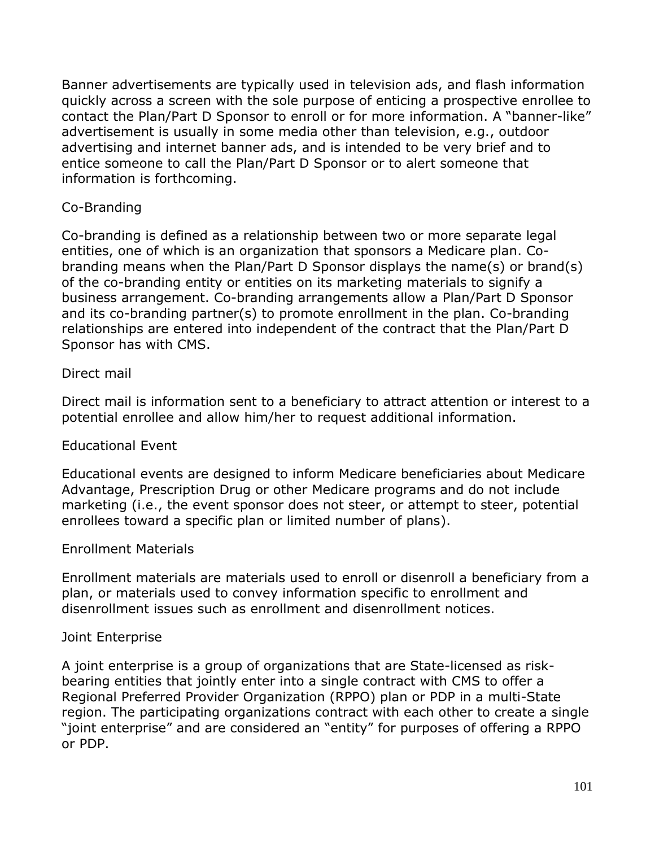Banner advertisements are typically used in television ads, and flash information quickly across a screen with the sole purpose of enticing a prospective enrollee to contact the Plan/Part D Sponsor to enroll or for more information. A "banner-like" advertisement is usually in some media other than television, e.g., outdoor advertising and internet banner ads, and is intended to be very brief and to entice someone to call the Plan/Part D Sponsor or to alert someone that information is forthcoming.

### Co-Branding

Co-branding is defined as a relationship between two or more separate legal entities, one of which is an organization that sponsors a Medicare plan. Cobranding means when the Plan/Part D Sponsor displays the name(s) or brand(s) of the co-branding entity or entities on its marketing materials to signify a business arrangement. Co-branding arrangements allow a Plan/Part D Sponsor and its co-branding partner(s) to promote enrollment in the plan. Co-branding relationships are entered into independent of the contract that the Plan/Part D Sponsor has with CMS.

### Direct mail

Direct mail is information sent to a beneficiary to attract attention or interest to a potential enrollee and allow him/her to request additional information.

### Educational Event

Educational events are designed to inform Medicare beneficiaries about Medicare Advantage, Prescription Drug or other Medicare programs and do not include marketing (i.e., the event sponsor does not steer, or attempt to steer, potential enrollees toward a specific plan or limited number of plans).

### Enrollment Materials

Enrollment materials are materials used to enroll or disenroll a beneficiary from a plan, or materials used to convey information specific to enrollment and disenrollment issues such as enrollment and disenrollment notices.

### Joint Enterprise

A joint enterprise is a group of organizations that are State-licensed as riskbearing entities that jointly enter into a single contract with CMS to offer a Regional Preferred Provider Organization (RPPO) plan or PDP in a multi-State region. The participating organizations contract with each other to create a single "joint enterprise" and are considered an "entity" for purposes of offering a RPPO or PDP.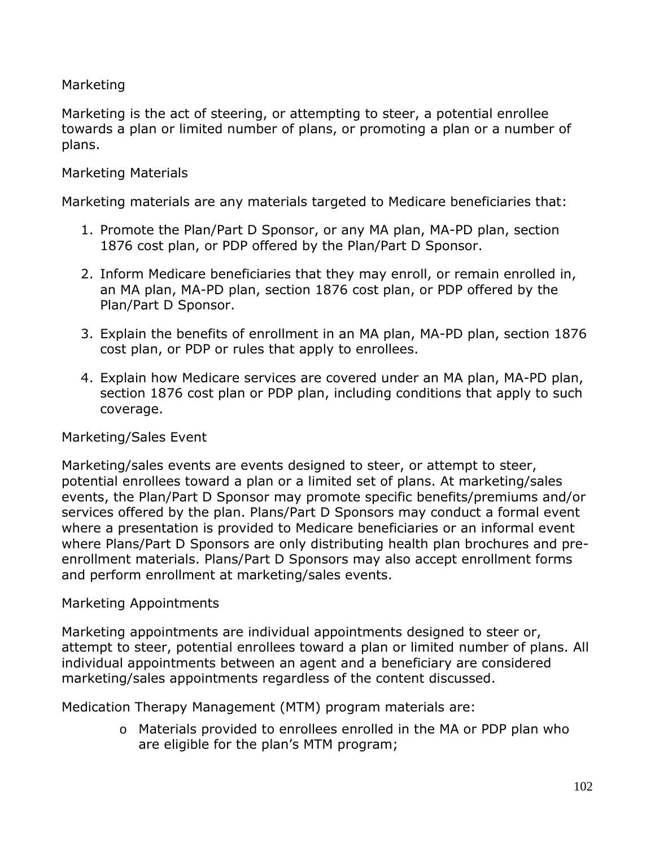### Marketing

Marketing is the act of steering, or attempting to steer, a potential enrollee towards a plan or limited number of plans, or promoting a plan or a number of plans.

### Marketing Materials

Marketing materials are any materials targeted to Medicare beneficiaries that:

- 1. Promote the Plan/Part D Sponsor, or any MA plan, MA-PD plan, section 1876 cost plan, or PDP offered by the Plan/Part D Sponsor.
- 2. Inform Medicare beneficiaries that they may enroll, or remain enrolled in, an MA plan, MA-PD plan, section 1876 cost plan, or PDP offered by the Plan/Part D Sponsor.
- 3. Explain the benefits of enrollment in an MA plan, MA-PD plan, section 1876 cost plan, or PDP or rules that apply to enrollees.
- 4. Explain how Medicare services are covered under an MA plan, MA-PD plan, section 1876 cost plan or PDP plan, including conditions that apply to such coverage.

### Marketing/Sales Event

Marketing/sales events are events designed to steer, or attempt to steer, potential enrollees toward a plan or a limited set of plans. At marketing/sales events, the Plan/Part D Sponsor may promote specific benefits/premiums and/or services offered by the plan. Plans/Part D Sponsors may conduct a formal event where a presentation is provided to Medicare beneficiaries or an informal event where Plans/Part D Sponsors are only distributing health plan brochures and preenrollment materials. Plans/Part D Sponsors may also accept enrollment forms and perform enrollment at marketing/sales events.

### Marketing Appointments

Marketing appointments are individual appointments designed to steer or, attempt to steer, potential enrollees toward a plan or limited number of plans. All individual appointments between an agent and a beneficiary are considered marketing/sales appointments regardless of the content discussed.

Medication Therapy Management (MTM) program materials are:

o Materials provided to enrollees enrolled in the MA or PDP plan who are eligible for the plan's MTM program;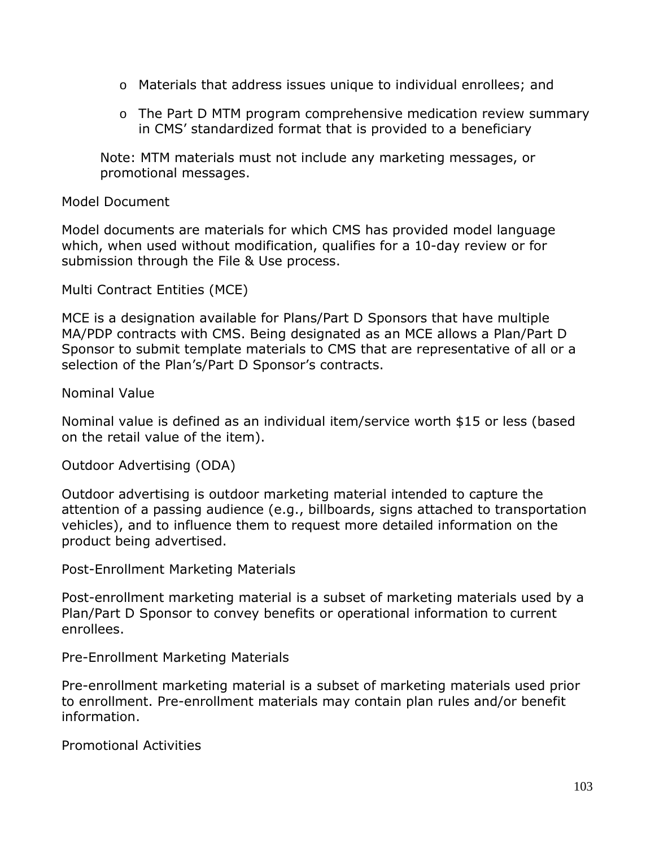- o Materials that address issues unique to individual enrollees; and
- o The Part D MTM program comprehensive medication review summary in CMS' standardized format that is provided to a beneficiary

Note: MTM materials must not include any marketing messages, or promotional messages.

#### Model Document

Model documents are materials for which CMS has provided model language which, when used without modification, qualifies for a 10-day review or for submission through the File & Use process.

Multi Contract Entities (MCE)

MCE is a designation available for Plans/Part D Sponsors that have multiple MA/PDP contracts with CMS. Being designated as an MCE allows a Plan/Part D Sponsor to submit template materials to CMS that are representative of all or a selection of the Plan's/Part D Sponsor's contracts.

Nominal Value

Nominal value is defined as an individual item/service worth \$15 or less (based on the retail value of the item).

Outdoor Advertising (ODA)

Outdoor advertising is outdoor marketing material intended to capture the attention of a passing audience (e.g., billboards, signs attached to transportation vehicles), and to influence them to request more detailed information on the product being advertised.

Post-Enrollment Marketing Materials

Post-enrollment marketing material is a subset of marketing materials used by a Plan/Part D Sponsor to convey benefits or operational information to current enrollees.

Pre-Enrollment Marketing Materials

Pre-enrollment marketing material is a subset of marketing materials used prior to enrollment. Pre-enrollment materials may contain plan rules and/or benefit information.

Promotional Activities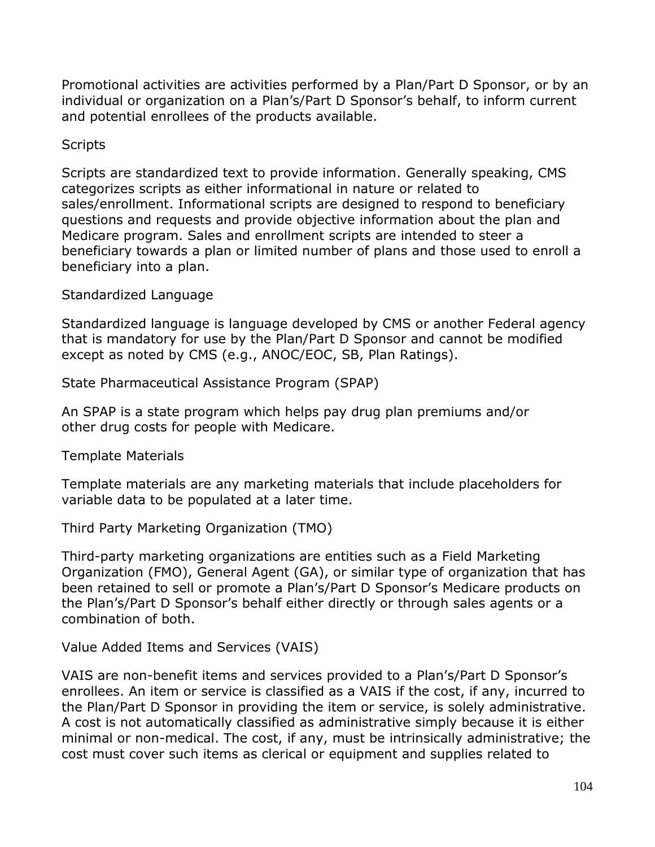Promotional activities are activities performed by a Plan/Part D Sponsor, or by an individual or organization on a Plan's/Part D Sponsor's behalf, to inform current and potential enrollees of the products available.

#### **Scripts**

Scripts are standardized text to provide information. Generally speaking, CMS categorizes scripts as either informational in nature or related to sales/enrollment. Informational scripts are designed to respond to beneficiary questions and requests and provide objective information about the plan and Medicare program. Sales and enrollment scripts are intended to steer a beneficiary towards a plan or limited number of plans and those used to enroll a beneficiary into a plan.

#### Standardized Language

Standardized language is language developed by CMS or another Federal agency that is mandatory for use by the Plan/Part D Sponsor and cannot be modified except as noted by CMS (e.g., ANOC/EOC, SB, Plan Ratings).

State Pharmaceutical Assistance Program (SPAP)

An SPAP is a state program which helps pay drug plan premiums and/or other drug costs for people with Medicare.

Template Materials

Template materials are any marketing materials that include placeholders for variable data to be populated at a later time.

Third Party Marketing Organization (TMO)

Third-party marketing organizations are entities such as a Field Marketing Organization (FMO), General Agent (GA), or similar type of organization that has been retained to sell or promote a Plan's/Part D Sponsor's Medicare products on the Plan's/Part D Sponsor's behalf either directly or through sales agents or a combination of both.

Value Added Items and Services (VAIS)

VAIS are non-benefit items and services provided to a Plan's/Part D Sponsor's enrollees. An item or service is classified as a VAIS if the cost, if any, incurred to the Plan/Part D Sponsor in providing the item or service, is solely administrative. A cost is not automatically classified as administrative simply because it is either minimal or non-medical. The cost, if any, must be intrinsically administrative; the cost must cover such items as clerical or equipment and supplies related to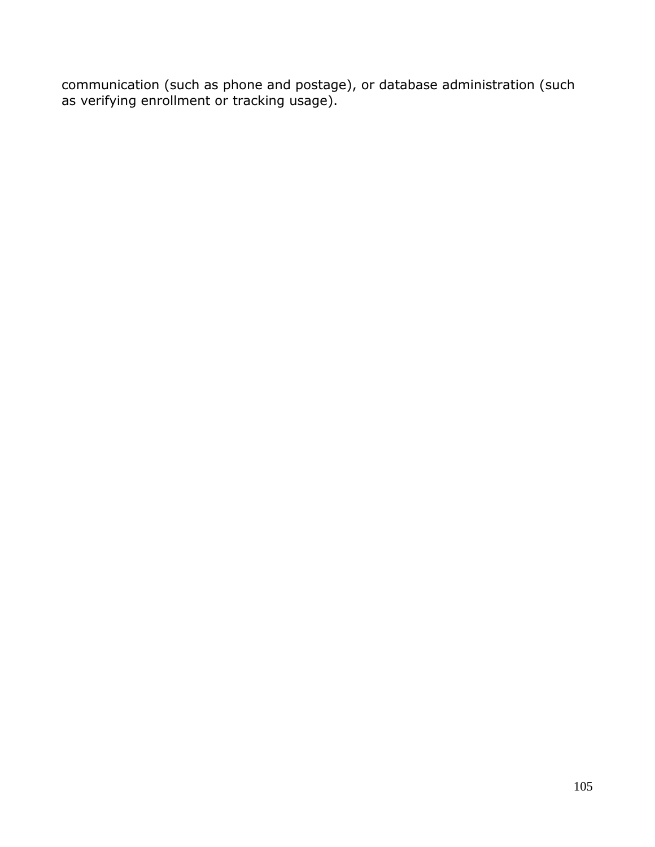communication (such as phone and postage), or database administration (such as verifying enrollment or tracking usage).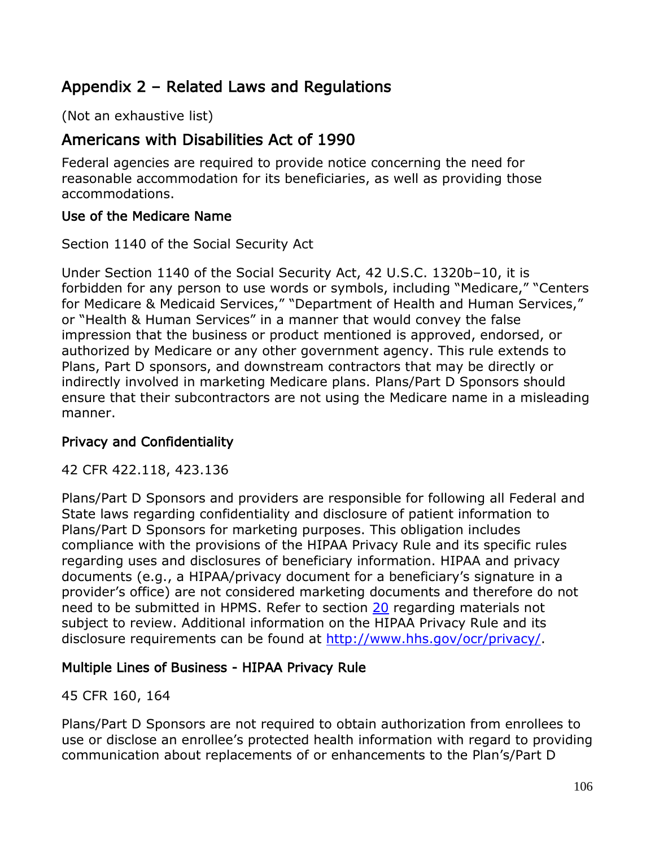# Appendix 2 – Related Laws and Regulations

(Not an exhaustive list)

# Americans with Disabilities Act of 1990

Federal agencies are required to provide notice concerning the need for reasonable accommodation for its beneficiaries, as well as providing those accommodations.

## Use of the Medicare Name

Section 1140 of the Social Security Act

Under Section 1140 of the Social Security Act, 42 U.S.C. 1320b–10, it is forbidden for any person to use words or symbols, including "Medicare," "Centers for Medicare & Medicaid Services," "Department of Health and Human Services," or "Health & Human Services" in a manner that would convey the false impression that the business or product mentioned is approved, endorsed, or authorized by Medicare or any other government agency. This rule extends to Plans, Part D sponsors, and downstream contractors that may be directly or indirectly involved in marketing Medicare plans. Plans/Part D Sponsors should ensure that their subcontractors are not using the Medicare name in a misleading manner.

## Privacy and Confidentiality

42 CFR 422.118, 423.136

Plans/Part D Sponsors and providers are responsible for following all Federal and State laws regarding confidentiality and disclosure of patient information to Plans/Part D Sponsors for marketing purposes. This obligation includes compliance with the provisions of the HIPAA Privacy Rule and its specific rules regarding uses and disclosures of beneficiary information. HIPAA and privacy documents (e.g., a HIPAA/privacy document for a beneficiary's signature in a provider's office) are not considered marketing documents and therefore do not need to be submitted in HPMS. Refer to section 20 regarding materials not subject to review. Additional information on the HIPAA Privacy Rule and its disclosure requirements can be found at [http://www.hhs.gov/ocr/privacy/.](http://www.hhs.gov/ocr/privacy/)

## Multiple Lines of Business - HIPAA Privacy Rule

## 45 CFR 160, 164

Plans/Part D Sponsors are not required to obtain authorization from enrollees to use or disclose an enrollee's protected health information with regard to providing communication about replacements of or enhancements to the Plan's/Part D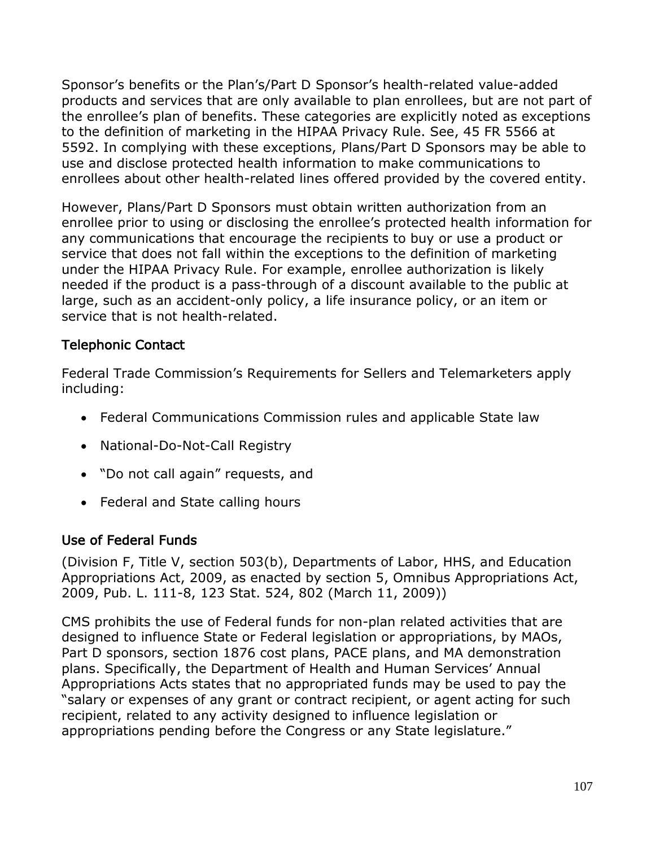Sponsor's benefits or the Plan's/Part D Sponsor's health-related value-added products and services that are only available to plan enrollees, but are not part of the enrollee's plan of benefits. These categories are explicitly noted as exceptions to the definition of marketing in the HIPAA Privacy Rule. See, 45 FR 5566 at 5592. In complying with these exceptions, Plans/Part D Sponsors may be able to use and disclose protected health information to make communications to enrollees about other health-related lines offered provided by the covered entity.

However, Plans/Part D Sponsors must obtain written authorization from an enrollee prior to using or disclosing the enrollee's protected health information for any communications that encourage the recipients to buy or use a product or service that does not fall within the exceptions to the definition of marketing under the HIPAA Privacy Rule. For example, enrollee authorization is likely needed if the product is a pass-through of a discount available to the public at large, such as an accident-only policy, a life insurance policy, or an item or service that is not health-related.

## Telephonic Contact

Federal Trade Commission's Requirements for Sellers and Telemarketers apply including:

- Federal Communications Commission rules and applicable State law
- National-Do-Not-Call Registry
- "Do not call again" requests, and
- Federal and State calling hours

### Use of Federal Funds

(Division F, Title V, section 503(b), Departments of Labor, HHS, and Education Appropriations Act, 2009, as enacted by section 5, Omnibus Appropriations Act, 2009, Pub. L. 111-8, 123 Stat. 524, 802 (March 11, 2009))

CMS prohibits the use of Federal funds for non-plan related activities that are designed to influence State or Federal legislation or appropriations, by MAOs, Part D sponsors, section 1876 cost plans, PACE plans, and MA demonstration plans. Specifically, the Department of Health and Human Services' Annual Appropriations Acts states that no appropriated funds may be used to pay the "salary or expenses of any grant or contract recipient, or agent acting for such recipient, related to any activity designed to influence legislation or appropriations pending before the Congress or any State legislature."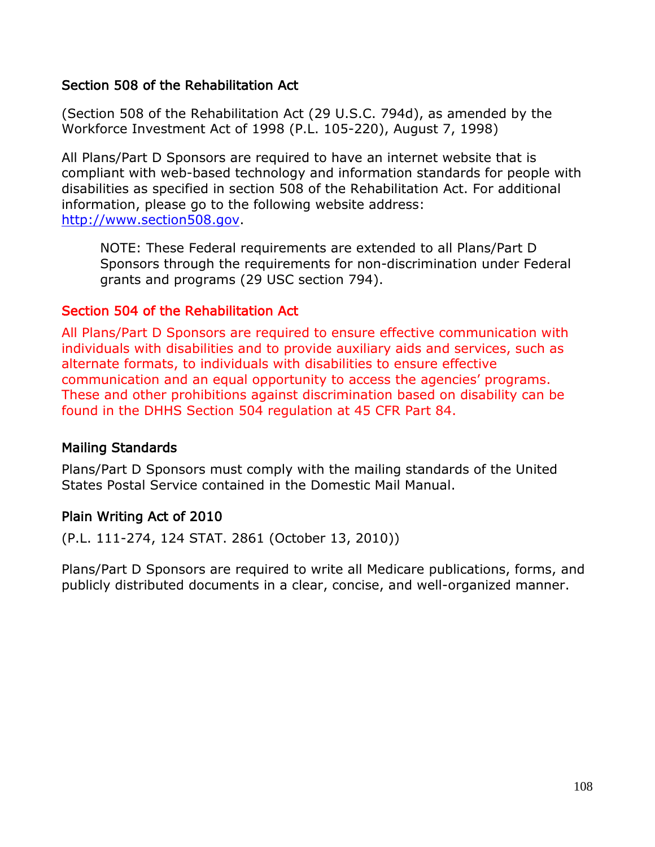### Section 508 of the Rehabilitation Act

(Section 508 of the Rehabilitation Act (29 U.S.C. 794d), as amended by the Workforce Investment Act of 1998 (P.L. 105-220), August 7, 1998)

All Plans/Part D Sponsors are required to have an internet website that is compliant with web-based technology and information standards for people with disabilities as specified in section 508 of the Rehabilitation Act. For additional information, please go to the following website address: [http://www.section508.gov.](http://www.section508.gov/)

NOTE: These Federal requirements are extended to all Plans/Part D Sponsors through the requirements for non-discrimination under Federal grants and programs (29 USC section 794).

### Section 504 of the Rehabilitation Act

All Plans/Part D Sponsors are required to ensure effective communication with individuals with disabilities and to provide auxiliary aids and services, such as alternate formats, to individuals with disabilities to ensure effective communication and an equal opportunity to access the agencies' programs. These and other prohibitions against discrimination based on disability can be found in the DHHS Section 504 regulation at 45 CFR Part 84.

#### Mailing Standards

Plans/Part D Sponsors must comply with the mailing standards of the United States Postal Service contained in the Domestic Mail Manual.

### Plain Writing Act of 2010

(P.L. 111-274, 124 STAT. 2861 (October 13, 2010))

Plans/Part D Sponsors are required to write all Medicare publications, forms, and publicly distributed documents in a clear, concise, and well-organized manner.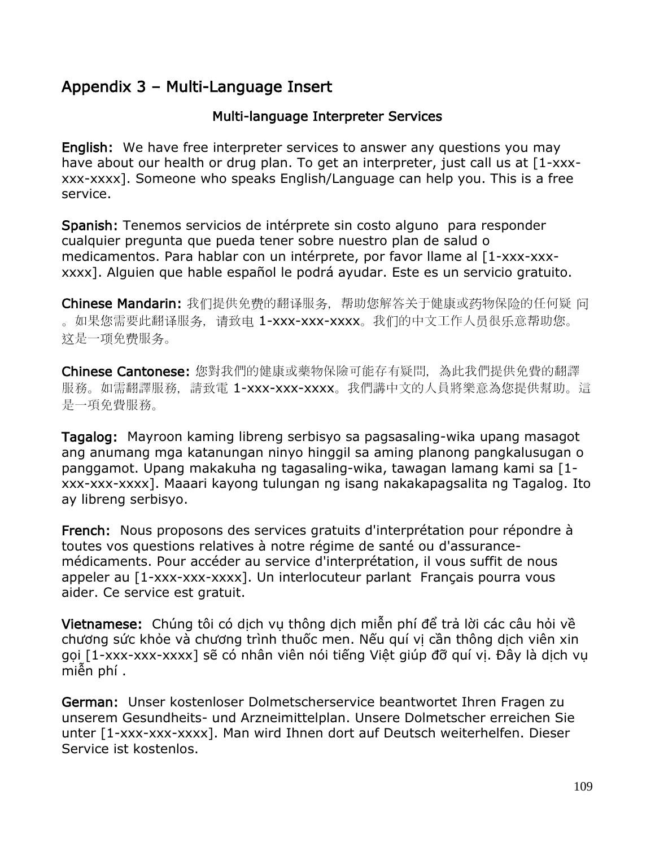# Appendix 3 – Multi-Language Insert

## Multi-language Interpreter Services

English: We have free interpreter services to answer any questions you may have about our health or drug plan. To get an interpreter, just call us at [1-xxxxxx-xxxx]. Someone who speaks English/Language can help you. This is a free service.

Spanish: Tenemos servicios de intérprete sin costo alguno para responder cualquier pregunta que pueda tener sobre nuestro plan de salud o medicamentos. Para hablar con un intérprete, por favor llame al [1-xxx-xxxxxxx]. Alguien que hable español le podrá ayudar. Este es un servicio gratuito.

Chinese Mandarin: 我们提供免费的翻译服务,帮助您解答关于健康或药物保险的任何疑 问 。如果您需要此翻译服务,请致电 1-xxx-xxx-xxxx。我们的中文工作人员很乐意帮助您。 这是一项免费服务。

Chinese Cantonese: 您對我們的健康或藥物保險可能存有疑問,為此我們提供免費的翻譯 服務。如需翻譯服務,請致電 1-xxx-xxx-xxxx。我們講中文的人員將樂意為您提供幫助。這 是一項免費服務。

Tagalog: Mayroon kaming libreng serbisyo sa pagsasaling-wika upang masagot ang anumang mga katanungan ninyo hinggil sa aming planong pangkalusugan o panggamot. Upang makakuha ng tagasaling-wika, tawagan lamang kami sa [1 xxx-xxx-xxxx]. Maaari kayong tulungan ng isang nakakapagsalita ng Tagalog. Ito ay libreng serbisyo.

French: Nous proposons des services gratuits d'interprétation pour répondre à toutes vos questions relatives à notre régime de santé ou d'assurancemédicaments. Pour accéder au service d'interprétation, il vous suffit de nous appeler au [1-xxx-xxx-xxxx]. Un interlocuteur parlant Français pourra vous aider. Ce service est gratuit.

Vietnamese: Chúng tôi có dịch vụ thông dịch miễn phí để trả lời các câu hỏi về chương sức khỏe và chương trình thuốc men. Nếu quí vị cần thông dịch viên xin gọi [1-xxx-xxx-xxxx] sẽ có nhân viên nói tiếng Việt giúp đỡ quí vị. Đây là dịch vụ miễn phí .

German: Unser kostenloser Dolmetscherservice beantwortet Ihren Fragen zu unserem Gesundheits- und Arzneimittelplan. Unsere Dolmetscher erreichen Sie unter [1-xxx-xxx-xxxx]. Man wird Ihnen dort auf Deutsch weiterhelfen. Dieser Service ist kostenlos.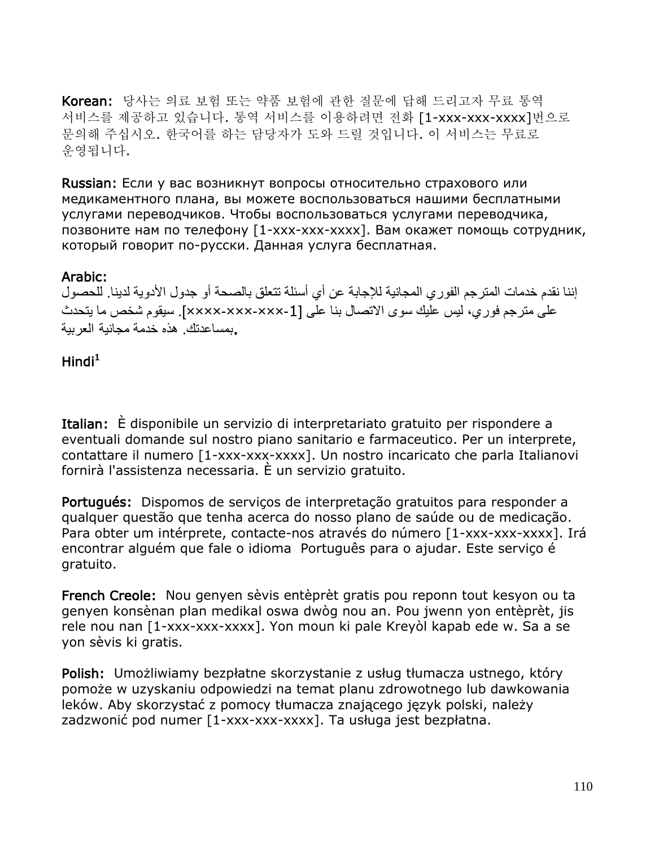Korean: 당사는 의료 보험 또는 약품 보험에 관한 질문에 답해 드리고자 무료 통역 서비스를 제공하고 있습니다. 통역 서비스를 이용하려면 전화 [1-xxx-xxx-xxxx]번으로 문의해 주십시오. 한국어를 하는 담당자가 도와 드릴 것입니다. 이 서비스는 무료로 운영됩니다.

Russian: Если у вас возникнут вопросы относительно страхового или медикаментного плана, вы можете воспользоваться нашими бесплатными услугами переводчиков. Чтобы воспользоваться услугами переводчика, позвоните нам по телефону [1-xxx-xxx-xxxx]. Вам окажет помощь сотрудник, который говорит по-pусски. Данная услуга бесплатная.

#### Arabic:

إننا نقدم خدمات المترجم الفوري المجانية للإجابة عن أي أسئلة تتعلق بالصحة أو جدول الأدوية لدينا. للحصول على مترجم فوري، ليس عليك سوى الاتصال بنا على [-1×××-×××-××××]. سيقوم شخص ما يتحدث .بمساعدتك. هذه خدمة مجانية العربية

## Hindi $^{\mathsf{1}}$

Italian: È disponibile un servizio di interpretariato gratuito per rispondere a eventuali domande sul nostro piano sanitario e farmaceutico. Per un interprete, contattare il numero [1-xxx-xxx-xxxx]. Un nostro incaricato che parla Italianovi fornirà l'assistenza necessaria. È un servizio gratuito.

Portugués: Dispomos de serviços de interpretação gratuitos para responder a qualquer questão que tenha acerca do nosso plano de saúde ou de medicação. Para obter um intérprete, contacte-nos através do número [1-xxx-xxx-xxxx]. Irá encontrar alguém que fale o idioma Português para o ajudar. Este serviço é gratuito.

French Creole: Nou genyen sèvis entèprèt gratis pou reponn tout kesyon ou ta genyen konsènan plan medikal oswa dwòg nou an. Pou jwenn yon entèprèt, jis rele nou nan [1-xxx-xxx-xxxx]. Yon moun ki pale Kreyòl kapab ede w. Sa a se yon sèvis ki gratis.

Polish: Umożliwiamy bezpłatne skorzystanie z usług tłumacza ustnego, który pomoże w uzyskaniu odpowiedzi na temat planu zdrowotnego lub dawkowania leków. Aby skorzystać z pomocy tłumacza znającego język polski, należy zadzwonić pod numer [1-xxx-xxx-xxxx]. Ta usługa jest bezpłatna.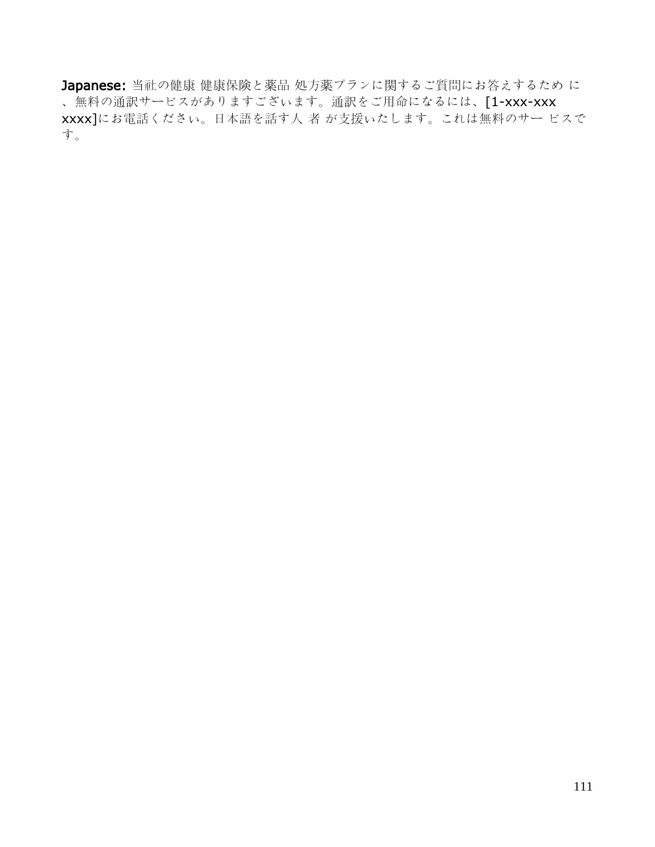Japanese: 当社の健康 健康保険と薬品 処方薬プランに関するご質問にお答えするため に 、無料の通訳サービスがありますございます。通訳をご用命になるには、[1-xxx-xxx xxxx]にお電話ください。日本語を話す人 者 が支援いたします。これは無料のサー ビスで す。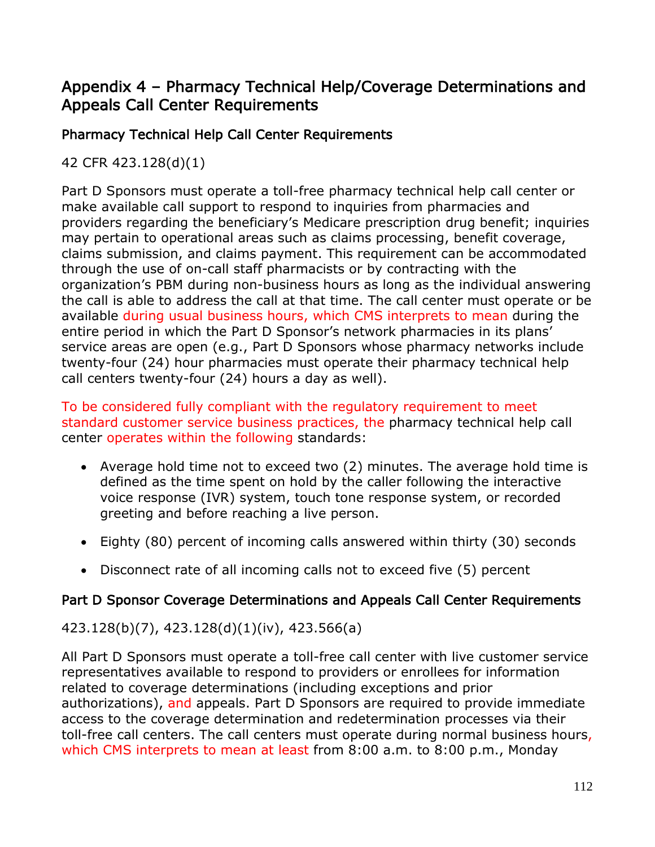# Appendix 4 – Pharmacy Technical Help/Coverage Determinations and Appeals Call Center Requirements

# Pharmacy Technical Help Call Center Requirements

42 CFR 423.128(d)(1)

Part D Sponsors must operate a toll-free pharmacy technical help call center or make available call support to respond to inquiries from pharmacies and providers regarding the beneficiary's Medicare prescription drug benefit; inquiries may pertain to operational areas such as claims processing, benefit coverage, claims submission, and claims payment. This requirement can be accommodated through the use of on-call staff pharmacists or by contracting with the organization's PBM during non-business hours as long as the individual answering the call is able to address the call at that time. The call center must operate or be available during usual business hours, which CMS interprets to mean during the entire period in which the Part D Sponsor's network pharmacies in its plans' service areas are open (e.g., Part D Sponsors whose pharmacy networks include twenty-four (24) hour pharmacies must operate their pharmacy technical help call centers twenty-four (24) hours a day as well).

To be considered fully compliant with the regulatory requirement to meet standard customer service business practices, the pharmacy technical help call center operates within the following standards:

- Average hold time not to exceed two (2) minutes. The average hold time is defined as the time spent on hold by the caller following the interactive voice response (IVR) system, touch tone response system, or recorded greeting and before reaching a live person.
- Eighty (80) percent of incoming calls answered within thirty (30) seconds
- Disconnect rate of all incoming calls not to exceed five (5) percent

## Part D Sponsor Coverage Determinations and Appeals Call Center Requirements

### 423.128(b)(7), 423.128(d)(1)(iv), 423.566(a)

All Part D Sponsors must operate a toll-free call center with live customer service representatives available to respond to providers or enrollees for information related to coverage determinations (including exceptions and prior authorizations), and appeals. Part D Sponsors are required to provide immediate access to the coverage determination and redetermination processes via their toll-free call centers. The call centers must operate during normal business hours, which CMS interprets to mean at least from 8:00 a.m. to 8:00 p.m., Monday